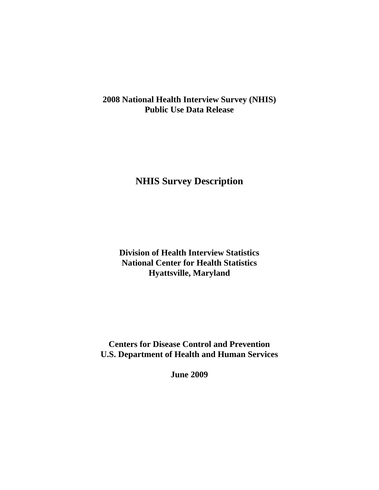**2008 National Health Interview Survey (NHIS) Public Use Data Release** 

**NHIS Survey Description** 

**Division of Health Interview Statistics National Center for Health Statistics Hyattsville, Maryland** 

**Centers for Disease Control and Prevention U.S. Department of Health and Human Services** 

**June 2009**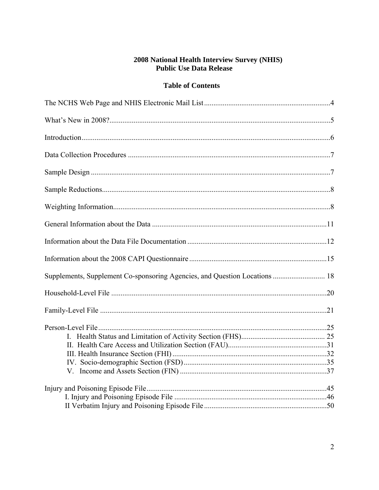# **2008 National Health Interview Survey (NHIS)**<br>Public Use Data Release

### **Table of Contents**

| Supplements, Supplement Co-sponsoring Agencies, and Question Locations  18 |  |
|----------------------------------------------------------------------------|--|
|                                                                            |  |
|                                                                            |  |
|                                                                            |  |
|                                                                            |  |
|                                                                            |  |
|                                                                            |  |
|                                                                            |  |
|                                                                            |  |
|                                                                            |  |
|                                                                            |  |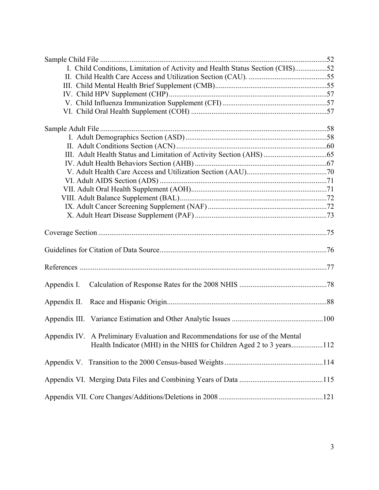| I. Child Conditions, Limitation of Activity and Health Status Section (CHS)52                                                                           |  |
|---------------------------------------------------------------------------------------------------------------------------------------------------------|--|
|                                                                                                                                                         |  |
|                                                                                                                                                         |  |
|                                                                                                                                                         |  |
|                                                                                                                                                         |  |
|                                                                                                                                                         |  |
|                                                                                                                                                         |  |
|                                                                                                                                                         |  |
|                                                                                                                                                         |  |
|                                                                                                                                                         |  |
|                                                                                                                                                         |  |
|                                                                                                                                                         |  |
|                                                                                                                                                         |  |
|                                                                                                                                                         |  |
|                                                                                                                                                         |  |
|                                                                                                                                                         |  |
|                                                                                                                                                         |  |
|                                                                                                                                                         |  |
|                                                                                                                                                         |  |
|                                                                                                                                                         |  |
| Appendix I.                                                                                                                                             |  |
|                                                                                                                                                         |  |
|                                                                                                                                                         |  |
| Appendix IV. A Preliminary Evaluation and Recommendations for use of the Mental<br>Health Indicator (MHI) in the NHIS for Children Aged 2 to 3 years112 |  |
|                                                                                                                                                         |  |
|                                                                                                                                                         |  |
|                                                                                                                                                         |  |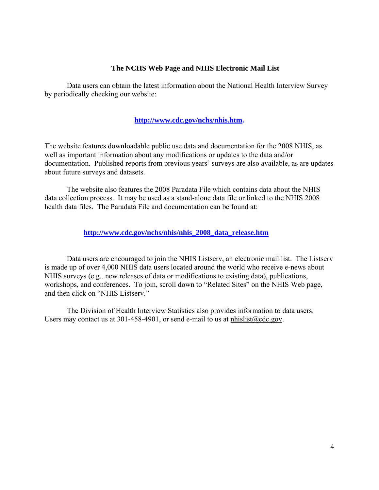#### **The NCHS Web Page and NHIS Electronic Mail List**

Data users can obtain the latest information about the National Health Interview Survey by periodically checking our website:

#### **[http://www.cdc.gov/nchs/nhis.htm.](http://www.cdc.gov/nchs/nhis.htm)**

The website features downloadable public use data and documentation for the 2008 NHIS, as well as important information about any modifications or updates to the data and/or documentation. Published reports from previous years' surveys are also available, as are updates about future surveys and datasets.

The website also features the 2008 Paradata File which contains data about the NHIS data collection process. It may be used as a stand-alone data file or linked to the NHIS 2008 health data files. The Paradata File and documentation can be found at:

 **[http://www.cdc.gov/nchs/nhis/nhis\\_2008\\_data\\_release.htm](http://www.cdc.gov/nchs/nhis/nhis_2008_data_release.htm)** 

and then click on "NHIS Listsery." Data users are encouraged to join the NHIS Listserv, an electronic mail list. The Listserv is made up of over 4,000 NHIS data users located around the world who receive e-news about NHIS surveys (e.g., new releases of data or modifications to existing data), publications, workshops, and conferences. To join, scroll down to "Related Sites" on the NHIS Web page,

The Division of Health Interview Statistics also provides information to data users. Users may contact us at 301-458-4901, or send e-mail to us at [nhislist@cdc.gov.](mailto:nhislist@cdc.gov)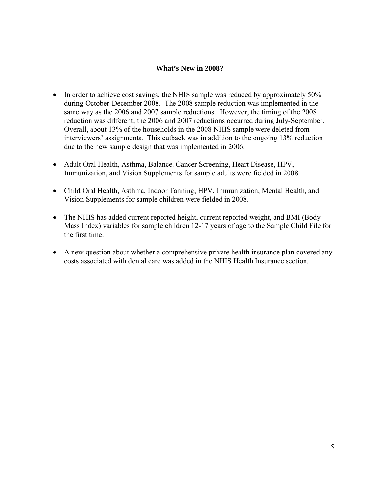#### **What's New in 2008?**

- In order to achieve cost savings, the NHIS sample was reduced by approximately 50% during October-December 2008. The 2008 sample reduction was implemented in the same way as the 2006 and 2007 sample reductions. However, the timing of the 2008 reduction was different; the 2006 and 2007 reductions occurred during July-September. Overall, about 13% of the households in the 2008 NHIS sample were deleted from interviewers' assignments. This cutback was in addition to the ongoing 13% reduction due to the new sample design that was implemented in 2006.
- Adult Oral Health, Asthma, Balance, Cancer Screening, Heart Disease, HPV, Immunization, and Vision Supplements for sample adults were fielded in 2008.
- Child Oral Health, Asthma, Indoor Tanning, HPV, Immunization, Mental Health, and Vision Supplements for sample children were fielded in 2008.
- The NHIS has added current reported height, current reported weight, and BMI (Body Mass Index) variables for sample children 12-17 years of age to the Sample Child File for the first time.
- A new question about whether a comprehensive private health insurance plan covered any costs associated with dental care was added in the NHIS Health Insurance section.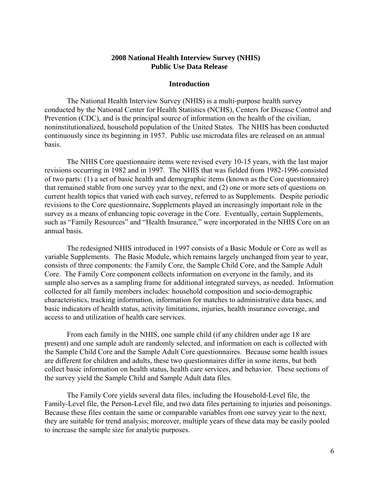#### **2008 National Health Interview Survey (NHIS) Public Use Data Release**

#### **Introduction**

The National Health Interview Survey (NHIS) is a multi-purpose health survey conducted by the National Center for Health Statistics (NCHS), Centers for Disease Control and Prevention (CDC), and is the principal source of information on the health of the civilian, noninstitutionalized, household population of the United States. The NHIS has been conducted continuously since its beginning in 1957. Public use microdata files are released on an annual basis.

The NHIS Core questionnaire items were revised every 10-15 years, with the last major revisions occurring in 1982 and in 1997. The NHIS that was fielded from 1982-1996 consisted of two parts: (1) a set of basic health and demographic items (known as the Core questionnaire) that remained stable from one survey year to the next, and (2) one or more sets of questions on current health topics that varied with each survey, referred to as Supplements. Despite periodic revisions to the Core questionnaire, Supplements played an increasingly important role in the survey as a means of enhancing topic coverage in the Core. Eventually, certain Supplements, such as "Family Resources" and "Health Insurance," were incorporated in the NHIS Core on an annual basis.

The redesigned NHIS introduced in 1997 consists of a Basic Module or Core as well as variable Supplements. The Basic Module, which remains largely unchanged from year to year, consists of three components: the Family Core, the Sample Child Core, and the Sample Adult Core. The Family Core component collects information on everyone in the family, and its sample also serves as a sampling frame for additional integrated surveys, as needed. Information collected for all family members includes: household composition and socio-demographic characteristics, tracking information, information for matches to administrative data bases, and basic indicators of health status, activity limitations, injuries, health insurance coverage, and access to and utilization of health care services.

From each family in the NHIS, one sample child (if any children under age 18 are present) and one sample adult are randomly selected, and information on each is collected with the Sample Child Core and the Sample Adult Core questionnaires. Because some health issues are different for children and adults, these two questionnaires differ in some items, but both collect basic information on health status, health care services, and behavior. These sections of the survey yield the Sample Child and Sample Adult data files.

The Family Core yields several data files, including the Household-Level file, the Family-Level file, the Person-Level file, and two data files pertaining to injuries and poisonings. Because these files contain the same or comparable variables from one survey year to the next, they are suitable for trend analysis; moreover, multiple years of these data may be easily pooled to increase the sample size for analytic purposes.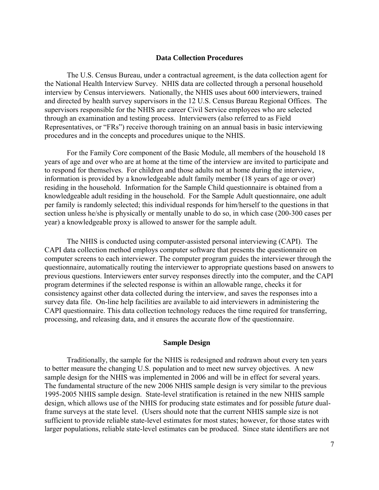#### **Data Collection Procedures**

The U.S. Census Bureau, under a contractual agreement, is the data collection agent for the National Health Interview Survey. NHIS data are collected through a personal household interview by Census interviewers. Nationally, the NHIS uses about 600 interviewers, trained and directed by health survey supervisors in the 12 U.S. Census Bureau Regional Offices. The supervisors responsible for the NHIS are career Civil Service employees who are selected through an examination and testing process. Interviewers (also referred to as Field Representatives, or "FRs") receive thorough training on an annual basis in basic interviewing procedures and in the concepts and procedures unique to the NHIS.

For the Family Core component of the Basic Module, all members of the household 18 years of age and over who are at home at the time of the interview are invited to participate and to respond for themselves. For children and those adults not at home during the interview, information is provided by a knowledgeable adult family member (18 years of age or over) residing in the household. Information for the Sample Child questionnaire is obtained from a knowledgeable adult residing in the household. For the Sample Adult questionnaire, one adult per family is randomly selected; this individual responds for him/herself to the questions in that section unless he/she is physically or mentally unable to do so, in which case (200-300 cases per year) a knowledgeable proxy is allowed to answer for the sample adult.

The NHIS is conducted using computer-assisted personal interviewing (CAPI). The CAPI data collection method employs computer software that presents the questionnaire on computer screens to each interviewer. The computer program guides the interviewer through the questionnaire, automatically routing the interviewer to appropriate questions based on answers to previous questions. Interviewers enter survey responses directly into the computer, and the CAPI program determines if the selected response is within an allowable range, checks it for consistency against other data collected during the interview, and saves the responses into a survey data file. On-line help facilities are available to aid interviewers in administering the CAPI questionnaire. This data collection technology reduces the time required for transferring, processing, and releasing data, and it ensures the accurate flow of the questionnaire.

#### **Sample Design**

Traditionally, the sample for the NHIS is redesigned and redrawn about every ten years to better measure the changing U.S. population and to meet new survey objectives. A new sample design for the NHIS was implemented in 2006 and will be in effect for several years. The fundamental structure of the new 2006 NHIS sample design is very similar to the previous 1995-2005 NHIS sample design. State-level stratification is retained in the new NHIS sample design, which allows use of the NHIS for producing state estimates and for possible *future* dualframe surveys at the state level. (Users should note that the current NHIS sample size is not sufficient to provide reliable state-level estimates for most states; however, for those states with larger populations, reliable state-level estimates can be produced. Since state identifiers are not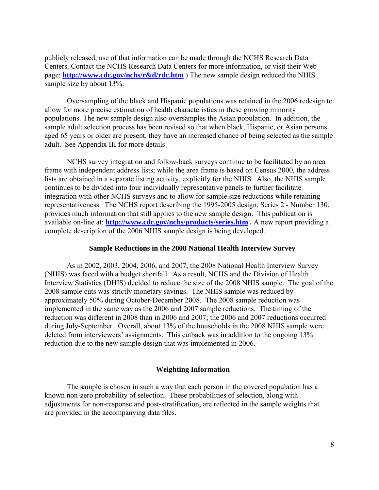publicly released, use of that information can be made through the NCHS Research Data Centers. Contact the NCHS Research Data Centers for more information, or visit their Web page: **<http://www.cdc.gov/nchs/r&d/rdc.htm>** ) The new sample design reduced the NHIS sample size by about 13%.

Oversampling of the black and Hispanic populations was retained in the 2006 redesign to allow for more precise estimation of health characteristics in these growing minority populations. The new sample design also oversamples the Asian population. In addition, the sample adult selection process has been revised so that when black, Hispanic, or Asian persons aged 65 years or older are present, they have an increased chance of being selected as the sample adult. See Appendix III for more details.

NCHS survey integration and follow-back surveys continue to be facilitated by an area frame with independent address lists; while the area frame is based on Census 2000, the address lists are obtained in a separate listing activity, explicitly for the NHIS. Also, the NHIS sample continues to be divided into four individually representative panels to further facilitate integration with other NCHS surveys and to allow for sample size reductions while retaining representativeness. The NCHS report describing the 1995-2005 design, Series 2 - Number 130, provides much information that still applies to the new sample design. This publication is available on-line at: **[http://www.cdc.gov/nchs/products/series.htm .](http://www.cdc.gov/nchs/products/series.htm)** A new report providing a complete description of the 2006 NHIS sample design is being developed.

#### **Sample Reductions in the 2008 National Health Interview Survey**

As in 2002, 2003, 2004, 2006, and 2007, the 2008 National Health Interview Survey (NHIS) was faced with a budget shortfall. As a result, NCHS and the Division of Health Interview Statistics (DHIS) decided to reduce the size of the 2008 NHIS sample. The goal of the 2008 sample cuts was strictly monetary savings. The NHIS sample was reduced by approximately 50% during October-December 2008. The 2008 sample reduction was implemented in the same way as the 2006 and 2007 sample reductions. The timing of the reduction was different in 2008 than in 2006 and 2007; the 2006 and 2007 reductions occurred during July-September. Overall, about 13% of the households in the 2008 NHIS sample were deleted from interviewers' assignments. This cutback was in addition to the ongoing 13% reduction due to the new sample design that was implemented in 2006.

#### **Weighting Information**

The sample is chosen in such a way that each person in the covered population has a known non-zero probability of selection. These probabilities of selection, along with adjustments for non-response and post-stratification, are reflected in the sample weights that are provided in the accompanying data files.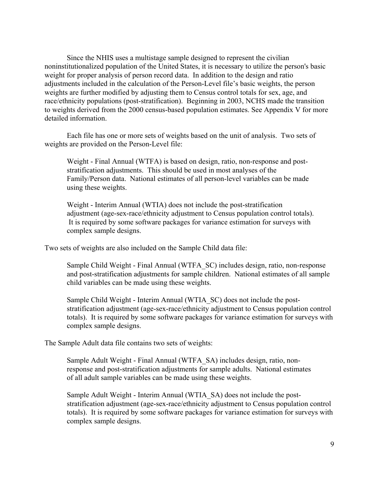Since the NHIS uses a multistage sample designed to represent the civilian noninstitutionalized population of the United States, it is necessary to utilize the person's basic weight for proper analysis of person record data. In addition to the design and ratio adjustments included in the calculation of the Person-Level file's basic weights, the person weights are further modified by adjusting them to Census control totals for sex, age, and race/ethnicity populations (post-stratification). Beginning in 2003, NCHS made the transition to weights derived from the 2000 census-based population estimates. See Appendix V for more detailed information.

Each file has one or more sets of weights based on the unit of analysis. Two sets of weights are provided on the Person-Level file:

Weight - Final Annual (WTFA) is based on design, ratio, non-response and poststratification adjustments. This should be used in most analyses of the Family/Person data. National estimates of all person-level variables can be made using these weights.

Weight - Interim Annual (WTIA) does not include the post-stratification adjustment (age-sex-race/ethnicity adjustment to Census population control totals). It is required by some software packages for variance estimation for surveys with complex sample designs.

Two sets of weights are also included on the Sample Child data file:

Sample Child Weight - Final Annual (WTFA\_SC) includes design, ratio, non-response and post-stratification adjustments for sample children. National estimates of all sample child variables can be made using these weights.

Sample Child Weight - Interim Annual (WTIA\_SC) does not include the poststratification adjustment (age-sex-race/ethnicity adjustment to Census population control totals). It is required by some software packages for variance estimation for surveys with complex sample designs.

The Sample Adult data file contains two sets of weights:

Sample Adult Weight - Final Annual (WTFA\_SA) includes design, ratio, nonresponse and post-stratification adjustments for sample adults. National estimates of all adult sample variables can be made using these weights.

Sample Adult Weight - Interim Annual (WTIA\_SA) does not include the poststratification adjustment (age-sex-race/ethnicity adjustment to Census population control totals). It is required by some software packages for variance estimation for surveys with complex sample designs.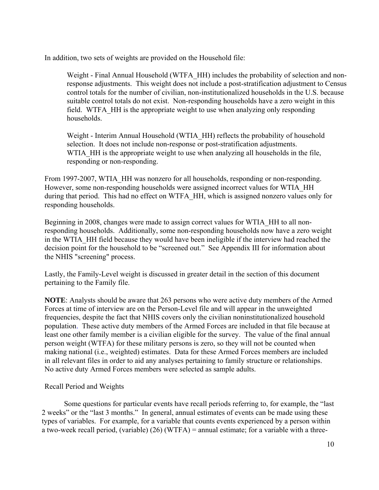In addition, two sets of weights are provided on the Household file:

Weight - Final Annual Household (WTFA\_HH) includes the probability of selection and nonresponse adjustments. This weight does not include a post-stratification adjustment to Census control totals for the number of civilian, non-institutionalized households in the U.S. because suitable control totals do not exist. Non-responding households have a zero weight in this field. WTFA\_HH is the appropriate weight to use when analyzing only responding households.

Weight - Interim Annual Household (WTIA\_HH) reflects the probability of household selection. It does not include non-response or post-stratification adjustments. WTIA HH is the appropriate weight to use when analyzing all households in the file, responding or non-responding.

From 1997-2007, WTIA HH was nonzero for all households, responding or non-responding. However, some non-responding households were assigned incorrect values for WTIA\_HH during that period. This had no effect on WTFA\_HH, which is assigned nonzero values only for responding households.

Beginning in 2008, changes were made to assign correct values for WTIA\_HH to all nonresponding households. Additionally, some non-responding households now have a zero weight in the WTIA\_HH field because they would have been ineligible if the interview had reached the decision point for the household to be "screened out." See Appendix III for information about the NHIS "screening" process.

Lastly, the Family-Level weight is discussed in greater detail in the section of this document pertaining to the Family file.

**NOTE**: Analysts should be aware that 263 persons who were active duty members of the Armed Forces at time of interview are on the Person-Level file and will appear in the unweighted frequencies, despite the fact that NHIS covers only the civilian noninstitutionalized household population. These active duty members of the Armed Forces are included in that file because at least one other family member is a civilian eligible for the survey. The value of the final annual person weight (WTFA) for these military persons is zero, so they will not be counted when making national (i.e., weighted) estimates. Data for these Armed Forces members are included in all relevant files in order to aid any analyses pertaining to family structure or relationships. No active duty Armed Forces members were selected as sample adults.

#### Recall Period and Weights

Some questions for particular events have recall periods referring to, for example, the "last 2 weeks" or the "last 3 months." In general, annual estimates of events can be made using these types of variables. For example, for a variable that counts events experienced by a person within a two-week recall period, (variable) (26) (WTFA) = annual estimate; for a variable with a three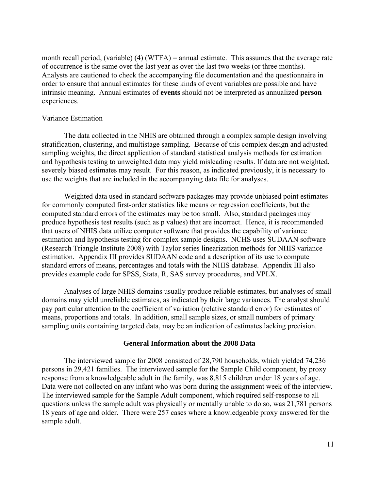month recall period, (variable) (4) (WTFA) = annual estimate. This assumes that the average rate of occurrence is the same over the last year as over the last two weeks (or three months). Analysts are cautioned to check the accompanying file documentation and the questionnaire in order to ensure that annual estimates for these kinds of event variables are possible and have intrinsic meaning. Annual estimates of **events** should not be interpreted as annualized **person**  experiences.

#### Variance Estimation

The data collected in the NHIS are obtained through a complex sample design involving stratification, clustering, and multistage sampling. Because of this complex design and adjusted sampling weights, the direct application of standard statistical analysis methods for estimation and hypothesis testing to unweighted data may yield misleading results. If data are not weighted, severely biased estimates may result. For this reason, as indicated previously, it is necessary to use the weights that are included in the accompanying data file for analyses.

Weighted data used in standard software packages may provide unbiased point estimates for commonly computed first-order statistics like means or regression coefficients, but the computed standard errors of the estimates may be too small. Also, standard packages may produce hypothesis test results (such as p values) that are incorrect. Hence, it is recommended that users of NHIS data utilize computer software that provides the capability of variance estimation and hypothesis testing for complex sample designs. NCHS uses SUDAAN software (Research Triangle Institute 2008) with Taylor series linearization methods for NHIS variance estimation. Appendix III provides SUDAAN code and a description of its use to compute standard errors of means, percentages and totals with the NHIS database. Appendix III also provides example code for SPSS, Stata, R, SAS survey procedures, and VPLX.

Analyses of large NHIS domains usually produce reliable estimates, but analyses of small domains may yield unreliable estimates, as indicated by their large variances. The analyst should pay particular attention to the coefficient of variation (relative standard error) for estimates of means, proportions and totals. In addition, small sample sizes, or small numbers of primary sampling units containing targeted data, may be an indication of estimates lacking precision.

#### **General Information about the 2008 Data**

The interviewed sample for 2008 consisted of 28,790 households, which yielded 74,236 persons in 29,421 families. The interviewed sample for the Sample Child component, by proxy response from a knowledgeable adult in the family, was 8,815 children under 18 years of age. Data were not collected on any infant who was born during the assignment week of the interview. The interviewed sample for the Sample Adult component, which required self-response to all questions unless the sample adult was physically or mentally unable to do so, was 21,781 persons 18 years of age and older. There were 257 cases where a knowledgeable proxy answered for the sample adult.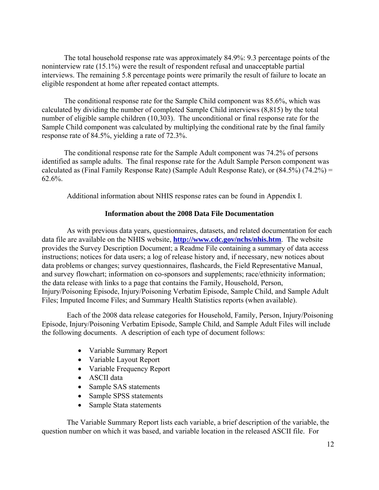The total household response rate was approximately 84.9%: 9.3 percentage points of the noninterview rate (15.1%) were the result of respondent refusal and unacceptable partial interviews. The remaining 5.8 percentage points were primarily the result of failure to locate an eligible respondent at home after repeated contact attempts.

The conditional response rate for the Sample Child component was 85.6%, which was calculated by dividing the number of completed Sample Child interviews (8,815) by the total number of eligible sample children (10,303). The unconditional or final response rate for the Sample Child component was calculated by multiplying the conditional rate by the final family response rate of 84.5%, yielding a rate of 72.3%.

The conditional response rate for the Sample Adult component was 74.2% of persons identified as sample adults. The final response rate for the Adult Sample Person component was calculated as (Final Family Response Rate) (Sample Adult Response Rate), or  $(84.5\%)$   $(74.2\%)$  = 62.6%.

Additional information about NHIS response rates can be found in Appendix I.

#### **Information about the 2008 Data File Documentation**

As with previous data years, questionnaires, datasets, and related documentation for each data file are available on the NHIS website, **<http://www.cdc.gov/nchs/nhis.htm>**. The website provides the Survey Description Document; a Readme File containing a summary of data access instructions; notices for data users; a log of release history and, if necessary, new notices about data problems or changes; survey questionnaires, flashcards, the Field Representative Manual, and survey flowchart; information on co-sponsors and supplements; race/ethnicity information; the data release with links to a page that contains the Family, Household, Person, Injury/Poisoning Episode, Injury/Poisoning Verbatim Episode, Sample Child, and Sample Adult Files; Imputed Income Files; and Summary Health Statistics reports (when available).

Each of the 2008 data release categories for Household, Family, Person, Injury/Poisoning Episode, Injury/Poisoning Verbatim Episode, Sample Child, and Sample Adult Files will include the following documents. A description of each type of document follows:

- Variable Summary Report
- Variable Layout Report
- Variable Frequency Report
- ASCII data
- Sample SAS statements
- Sample SPSS statements
- Sample Stata statements

The Variable Summary Report lists each variable, a brief description of the variable, the question number on which it was based, and variable location in the released ASCII file. For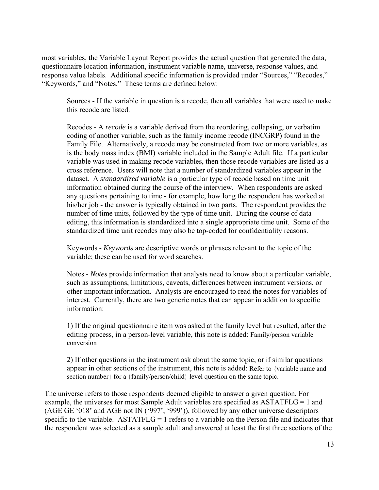most variables, the Variable Layout Report provides the actual question that generated the data, questionnaire location information, instrument variable name, universe, response values, and response value labels. Additional specific information is provided under "Sources," "Recodes," "Keywords," and "Notes." These terms are defined below:

Sources - If the variable in question is a recode, then all variables that were used to make this recode are listed.

Recodes - A *recode* is a variable derived from the reordering, collapsing, or verbatim coding of another variable, such as the family income recode (INCGRP) found in the Family File. Alternatively, a recode may be constructed from two or more variables, as is the body mass index (BMI) variable included in the Sample Adult file. If a particular variable was used in making recode variables, then those recode variables are listed as a cross reference. Users will note that a number of standardized variables appear in the dataset. A *standardized variable* is a particular type of recode based on time unit information obtained during the course of the interview. When respondents are asked any questions pertaining to time - for example, how long the respondent has worked at his/her job - the answer is typically obtained in two parts. The respondent provides the number of time units, followed by the type of time unit. During the course of data editing, this information is standardized into a single appropriate time unit. Some of the standardized time unit recodes may also be top-coded for confidentiality reasons.

Keywords - *Keywords* are descriptive words or phrases relevant to the topic of the variable; these can be used for word searches.

Notes - *Notes* provide information that analysts need to know about a particular variable, such as assumptions, limitations, caveats, differences between instrument versions, or other important information. Analysts are encouraged to read the notes for variables of interest. Currently, there are two generic notes that can appear in addition to specific information:

1) If the original questionnaire item was asked at the family level but resulted, after the editing process, in a person-level variable, this note is added: Family/person variable conversion

2) If other questions in the instrument ask about the same topic, or if similar questions appear in other sections of the instrument, this note is added: Refer to {variable name and section number} for a {family/person/child} level question on the same topic.

The universe refers to those respondents deemed eligible to answer a given question. For example, the universes for most Sample Adult variables are specified as ASTATFLG = 1 and (AGE GE '018' and AGE not IN ('997', '999')), followed by any other universe descriptors specific to the variable. ASTATFLG = 1 refers to a variable on the Person file and indicates that the respondent was selected as a sample adult and answered at least the first three sections of the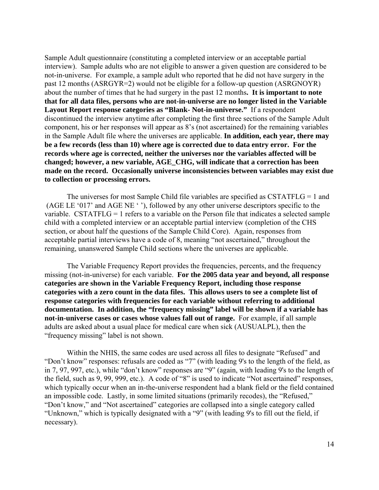Sample Adult questionnaire (constituting a completed interview or an acceptable partial interview). Sample adults who are not eligible to answer a given question are considered to be not-in-universe. For example, a sample adult who reported that he did not have surgery in the past 12 months (ASRGYR=2) would not be eligible for a follow-up question (ASRGNOYR) about the number of times that he had surgery in the past 12 months**. It is important to note that for all data files, persons who are not-in-universe are no longer listed in the Variable Layout Report response categories as "Blank- Not-in-universe."** If a respondent discontinued the interview anytime after completing the first three sections of the Sample Adult component, his or her responses will appear as 8's (not ascertained) for the remaining variables in the Sample Adult file where the universes are applicable. **In addition, each year, there may be a few records (less than 10) where age is corrected due to data entry error. For the records where age is corrected, neither the universes nor the variables affected will be changed; however, a new variable, AGE\_CHG, will indicate that a correction has been made on the record. Occasionally universe inconsistencies between variables may exist due to collection or processing errors.** 

The universes for most Sample Child file variables are specified as CSTATFLG = 1 and (AGE LE '017' and AGE NE ' '), followed by any other universe descriptors specific to the variable. CSTATFLG = 1 refers to a variable on the Person file that indicates a selected sample child with a completed interview or an acceptable partial interview (completion of the CHS section, or about half the questions of the Sample Child Core). Again, responses from acceptable partial interviews have a code of 8, meaning "not ascertained," throughout the remaining, unanswered Sample Child sections where the universes are applicable.

The Variable Frequency Report provides the frequencies, percents, and the frequency missing (not-in-universe) for each variable. **For the 2005 data year and beyond, all response categories are shown in the Variable Frequency Report, including those response categories with a zero count in the data files. This allows users to see a complete list of response categories with frequencies for each variable without referring to additional documentation. In addition, the "frequency missing" label will be shown if a variable has not-in-universe cases or cases whose values fall out of range.** For example, if all sample adults are asked about a usual place for medical care when sick (AUSUALPL), then the "frequency missing" label is not shown.

Within the NHIS, the same codes are used across all files to designate "Refused" and "Don't know" responses: refusals are coded as "7" (with leading 9's to the length of the field, as in 7, 97, 997, etc.), while "don't know" responses are "9" (again, with leading 9's to the length of the field, such as 9, 99, 999, etc.). A code of "8" is used to indicate "Not ascertained" responses, which typically occur when an in-the-universe respondent had a blank field or the field contained an impossible code. Lastly, in some limited situations (primarily recodes), the "Refused," "Don't know," and "Not ascertained" categories are collapsed into a single category called "Unknown," which is typically designated with a "9" (with leading 9's to fill out the field, if necessary).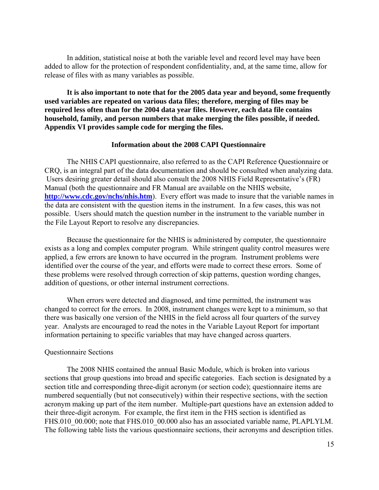In addition, statistical noise at both the variable level and record level may have been added to allow for the protection of respondent confidentiality, and, at the same time, allow for release of files with as many variables as possible.

**It is also important to note that for the 2005 data year and beyond, some frequently used variables are repeated on various data files; therefore, merging of files may be required less often than for the 2004 data year files. However, each data file contains household, family, and person numbers that make merging the files possible, if needed. Appendix VI provides sample code for merging the files.** 

#### **Information about the 2008 CAPI Questionnaire**

The NHIS CAPI questionnaire, also referred to as the CAPI Reference Questionnaire or CRQ, is an integral part of the data documentation and should be consulted when analyzing data. Users desiring greater detail should also consult the 2008 NHIS Field Representative's (FR) Manual (both the questionnaire and FR Manual are available on the NHIS website, **<http://www.cdc.gov/nchs/nhis.htm>**). Every effort was made to insure that the variable names in the data are consistent with the question items in the instrument. In a few cases, this was not possible. Users should match the question number in the instrument to the variable number in the File Layout Report to resolve any discrepancies.

Because the questionnaire for the NHIS is administered by computer, the questionnaire exists as a long and complex computer program. While stringent quality control measures were applied, a few errors are known to have occurred in the program. Instrument problems were identified over the course of the year, and efforts were made to correct these errors. Some of these problems were resolved through correction of skip patterns, question wording changes, addition of questions, or other internal instrument corrections.

When errors were detected and diagnosed, and time permitted, the instrument was changed to correct for the errors. In 2008, instrument changes were kept to a minimum, so that there was basically one version of the NHIS in the field across all four quarters of the survey year. Analysts are encouraged to read the notes in the Variable Layout Report for important information pertaining to specific variables that may have changed across quarters.

#### Questionnaire Sections

The 2008 NHIS contained the annual Basic Module, which is broken into various sections that group questions into broad and specific categories. Each section is designated by a section title and corresponding three-digit acronym (or section code); questionnaire items are numbered sequentially (but not consecutively) within their respective sections, with the section acronym making up part of the item number. Multiple-part questions have an extension added to their three-digit acronym. For example, the first item in the FHS section is identified as FHS.010\_00.000; note that FHS.010\_00.000 also has an associated variable name, PLAPLYLM. The following table lists the various questionnaire sections, their acronyms and description titles.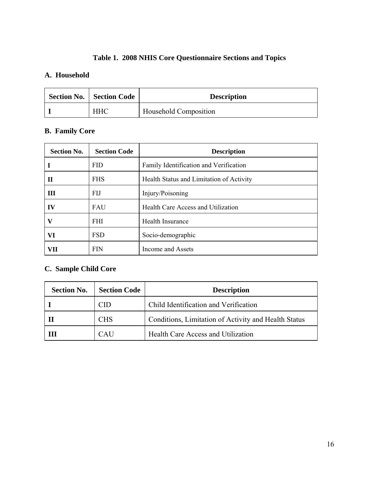## **Table 1. 2008 NHIS Core Questionnaire Sections and Topics**

## **A. Household**

| <b>Section No.   Section Code</b> | <b>Description</b>    |  |
|-----------------------------------|-----------------------|--|
| <b>HHC</b>                        | Household Composition |  |

## **B. Family Core**

| <b>Section No.</b> | <b>Section Code</b> | <b>Description</b>                       |  |  |
|--------------------|---------------------|------------------------------------------|--|--|
|                    | <b>FID</b>          | Family Identification and Verification   |  |  |
| $\mathbf H$        | <b>FHS</b>          | Health Status and Limitation of Activity |  |  |
| Ш                  | FIJ                 | Injury/Poisoning                         |  |  |
| $\bf{IV}$          | <b>FAU</b>          | Health Care Access and Utilization       |  |  |
| v                  | <b>FHI</b>          | <b>Health Insurance</b>                  |  |  |
| VI                 | <b>FSD</b>          | Socio-demographic                        |  |  |
| VII                | <b>FIN</b>          | Income and Assets                        |  |  |

## **C. Sample Child Core**

| <b>Section No.</b> | <b>Section Code</b> | <b>Description</b>                                   |  |
|--------------------|---------------------|------------------------------------------------------|--|
|                    | CID                 | Child Identification and Verification                |  |
|                    | <b>CHS</b>          | Conditions, Limitation of Activity and Health Status |  |
|                    | CAU                 | Health Care Access and Utilization                   |  |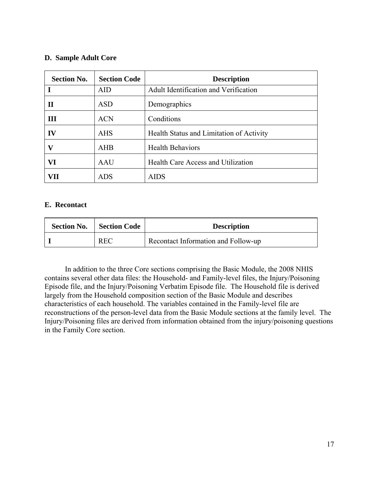#### **D. Sample Adult Core**

| <b>Section No.</b> | <b>Section Code</b> | <b>Description</b>                       |  |  |
|--------------------|---------------------|------------------------------------------|--|--|
|                    | <b>AID</b>          | Adult Identification and Verification    |  |  |
| $\mathbf H$        | <b>ASD</b>          | Demographics                             |  |  |
| Ш                  | <b>ACN</b>          | Conditions                               |  |  |
| IV                 | <b>AHS</b>          | Health Status and Limitation of Activity |  |  |
| v                  | AHB                 | <b>Health Behaviors</b>                  |  |  |
| VI                 | AAU                 | Health Care Access and Utilization       |  |  |
| VH                 | <b>ADS</b>          | <b>AIDS</b>                              |  |  |

#### **E. Recontact**

| <b>Section No.</b> | Section Code | <b>Description</b>                  |
|--------------------|--------------|-------------------------------------|
|                    | <b>REC</b>   | Recontact Information and Follow-up |

 In addition to the three Core sections comprising the Basic Module, the 2008 NHIS contains several other data files: the Household- and Family-level files, the Injury/Poisoning Episode file, and the Injury/Poisoning Verbatim Episode file. The Household file is derived largely from the Household composition section of the Basic Module and describes characteristics of each household. The variables contained in the Family-level file are reconstructions of the person-level data from the Basic Module sections at the family level. The Injury/Poisoning files are derived from information obtained from the injury/poisoning questions in the Family Core section.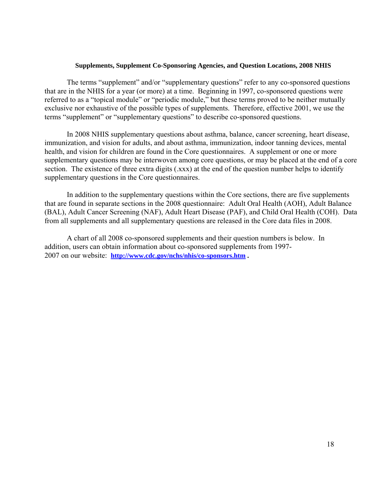#### **Supplements, Supplement Co-Sponsoring Agencies, and Question Locations, 2008 NHIS**

<span id="page-17-0"></span>The terms "supplement" and/or "supplementary questions" refer to any co-sponsored questions that are in the NHIS for a year (or more) at a time. Beginning in 1997, co-sponsored questions were referred to as a "topical module" or "periodic module," but these terms proved to be neither mutually exclusive nor exhaustive of the possible types of supplements. Therefore, effective 2001, we use the terms "supplement" or "supplementary questions" to describe co-sponsored questions.

In 2008 NHIS supplementary questions about asthma, balance, cancer screening, heart disease, immunization, and vision for adults, and about asthma, immunization, indoor tanning devices, mental health, and vision for children are found in the Core questionnaires. A supplement or one or more supplementary questions may be interwoven among core questions, or may be placed at the end of a core section. The existence of three extra digits (.xxx) at the end of the question number helps to identify supplementary questions in the Core questionnaires.

In addition to the supplementary questions within the Core sections, there are five supplements that are found in separate sections in the 2008 questionnaire: Adult Oral Health (AOH), Adult Balance (BAL), Adult Cancer Screening (NAF), Adult Heart Disease (PAF), and Child Oral Health (COH). Data from all supplements and all supplementary questions are released in the Core data files in 2008.

 2007 on our website: **[http://www.cdc.gov/nchs/nhis/co-sponsors.htm .](http://www.cdc.gov/nchs/nhis/co-sponsors.htm)**  A chart of all 2008 co-sponsored supplements and their question numbers is below. In addition, users can obtain information about co-sponsored supplements from 1997-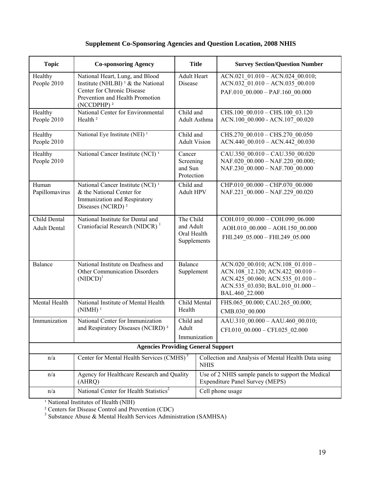### **Supplement Co-Sponsoring Agencies and Question Location, 2008 NHIS**

| <b>Topic</b>                        | <b>Co-sponsoring Agency</b>                                                                                                                                                              |                                                      | <b>Title</b>                                        | <b>Survey Section/Question Number</b>                                                                                                                          |  |  |
|-------------------------------------|------------------------------------------------------------------------------------------------------------------------------------------------------------------------------------------|------------------------------------------------------|-----------------------------------------------------|----------------------------------------------------------------------------------------------------------------------------------------------------------------|--|--|
| Healthy<br>People 2010              | National Heart, Lung, and Blood<br>Institute (NHLBI) <sup><math>1</math></sup> & the National<br>Center for Chronic Disease<br>Prevention and Health Promotion<br>(NCCDPHP) <sup>2</sup> | Adult Heart<br>Disease                               |                                                     | ACN.021 01.010 - ACN.024 00.010;<br>ACN.032_01.010 - ACN.035_00.010<br>PAF.010 00.000 - PAF.160 00.000                                                         |  |  |
| Healthy<br>People 2010              | National Center for Environmental<br>Health <sup>2</sup>                                                                                                                                 | Child and<br>Adult Asthma                            |                                                     | CHS.100_00.010 - CHS.100 03.120<br>ACN.100 00.000 - ACN.107 00.020                                                                                             |  |  |
| Healthy<br>People 2010              | National Eye Institute (NEI) <sup>1</sup>                                                                                                                                                | Child and<br><b>Adult Vision</b>                     |                                                     | CHS.270 00.010 - CHS.270 00.050<br>$ACN.440\_00.010 - ACN.442\_00.030$                                                                                         |  |  |
| Healthy<br>People 2010              | National Cancer Institute (NCI) <sup>1</sup>                                                                                                                                             | Cancer<br>Screening<br>and Sun<br>Protection         |                                                     | CAU.350 00.010 - CAU.350 00.020<br>NAF.020 00.000 - NAF.220 00.000;<br>NAF.230 00.000 - NAF.700 00.000                                                         |  |  |
| Human<br>Papillomavirus             | National Cancer Institute (NCI) <sup>1</sup><br>& the National Center for<br>Immunization and Respiratory<br>Diseases (NCIRD) <sup>2</sup>                                               | Child and<br><b>Adult HPV</b>                        |                                                     | CHP.010 00.000 - CHP.070 00.000<br>NAF.221 00.000 - NAF.229 00.020                                                                                             |  |  |
| Child Dental<br><b>Adult Dental</b> | National Institute for Dental and<br>Craniofacial Research (NIDCR) <sup>1</sup>                                                                                                          | The Child<br>and Adult<br>Oral Health<br>Supplements |                                                     | COH.010 00.000 - COH.090 06.000<br>AOH.010 00.000 - AOH.150 00.000<br>FHI.249 05.000 - FHI.249 05.000                                                          |  |  |
| <b>Balance</b>                      | National Institute on Deafness and<br>Other Communication Disorders<br>$(NIDCD)^1$                                                                                                       | <b>Balance</b><br>Supplement                         |                                                     | ACN.020 00.010; ACN.108 01.010 -<br>ACN.108 12.120; ACN.422 00.010 -<br>ACN.425 00.060; ACN.535 01.010 -<br>ACN.535_03.030; BAL.010_01.000 -<br>BAL.460 22.000 |  |  |
| Mental Health                       | National Institute of Mental Health<br>$(NIMH)^1$                                                                                                                                        | Child Mental<br>Health                               |                                                     | FHS.065 00.000; CAU.265 00.000;<br>CMB.030 00.000                                                                                                              |  |  |
| Immunization                        | National Center for Immunization<br>and Respiratory Diseases (NCIRD) <sup>2</sup>                                                                                                        | Child and<br>Adult<br>Immunization                   |                                                     | AAU.310 00.000 - AAU.460 00.010;<br>CFI.010 00.000 - CFI.025 02.000                                                                                            |  |  |
|                                     | <b>Agencies Providing General Support</b>                                                                                                                                                |                                                      |                                                     |                                                                                                                                                                |  |  |
| n/a                                 | Center for Mental Health Services (CMHS) <sup>3</sup><br><b>NHIS</b>                                                                                                                     |                                                      | Collection and Analysis of Mental Health Data using |                                                                                                                                                                |  |  |
| n/a                                 | Agency for Healthcare Research and Quality<br>(AHRQ)                                                                                                                                     |                                                      |                                                     | Use of 2 NHIS sample panels to support the Medical<br><b>Expenditure Panel Survey (MEPS)</b>                                                                   |  |  |
| n/a                                 | National Center for Health Statistics <sup>2</sup>                                                                                                                                       |                                                      |                                                     | Cell phone usage                                                                                                                                               |  |  |

<sup>1</sup> National Institutes of Health (NIH)

<sup>2</sup> Centers for Disease Control and Prevention (CDC)<br><sup>3</sup> Substance Abuse & Mental Health Services Administration (SAMHSA)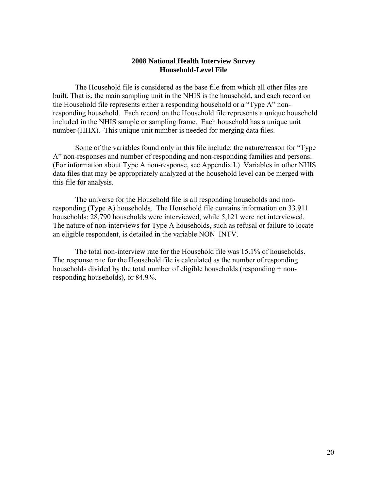#### **2008 National Health Interview Survey Household-Level File**

The Household file is considered as the base file from which all other files are built. That is, the main sampling unit in the NHIS is the household, and each record on the Household file represents either a responding household or a "Type A" nonresponding household. Each record on the Household file represents a unique household included in the NHIS sample or sampling frame. Each household has a unique unit number (HHX). This unique unit number is needed for merging data files.

Some of the variables found only in this file include: the nature/reason for "Type A" non-responses and number of responding and non-responding families and persons. (For information about Type A non-response, see Appendix I.) Variables in other NHIS data files that may be appropriately analyzed at the household level can be merged with this file for analysis.

The universe for the Household file is all responding households and nonresponding (Type A) households. The Household file contains information on 33,911 households: 28,790 households were interviewed, while 5,121 were not interviewed. The nature of non-interviews for Type A households, such as refusal or failure to locate an eligible respondent, is detailed in the variable NON\_INTV.

The total non-interview rate for the Household file was 15.1% of households. The response rate for the Household file is calculated as the number of responding households divided by the total number of eligible households (responding + nonresponding households), or 84.9%.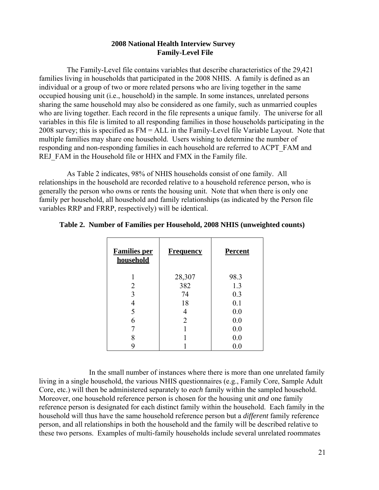#### **2008 National Health Interview Survey Family-Level File**

The Family-Level file contains variables that describe characteristics of the 29,421 families living in households that participated in the 2008 NHIS. A family is defined as an individual or a group of two or more related persons who are living together in the same occupied housing unit (i.e., household) in the sample. In some instances, unrelated persons sharing the same household may also be considered as one family, such as unmarried couples who are living together. Each record in the file represents a unique family. The universe for all variables in this file is limited to all responding families in those households participating in the 2008 survey; this is specified as FM = ALL in the Family-Level file Variable Layout. Note that multiple families may share one household. Users wishing to determine the number of responding and non-responding families in each household are referred to ACPT\_FAM and REJ FAM in the Household file or HHX and FMX in the Family file.

As Table 2 indicates, 98% of NHIS households consist of one family. All relationships in the household are recorded relative to a household reference person, who is generally the person who owns or rents the housing unit. Note that when there is only one family per household, all household and family relationships (as indicated by the Person file variables RRP and FRRP, respectively) will be identical.

| <b>Families per</b><br>household | <b>Frequency</b> | <b>Percent</b> |
|----------------------------------|------------------|----------------|
|                                  | 28,307           | 98.3           |
| 2                                | 382              | 1.3            |
| 3                                | 74               | 0.3            |
|                                  | 18               | 0.1            |
| 5                                | 4                | 0.0            |
| 6                                | $\overline{2}$   | 0.0            |
|                                  |                  | 0.0            |
|                                  |                  | 0.0            |
|                                  |                  | 0.0            |

#### **Table 2. Number of Families per Household, 2008 NHIS (unweighted counts)**

In the small number of instances where there is more than one unrelated family living in a single household, the various NHIS questionnaires (e.g., Family Core, Sample Adult Core, etc.) will then be administered separately to *each* family within the sampled household. Moreover, one household reference person is chosen for the housing unit *and* one family reference person is designated for each distinct family within the household. Each family in the household will thus have the same household reference person but a *different* family reference person, and all relationships in both the household and the family will be described relative to these two persons. Examples of multi-family households include several unrelated roommates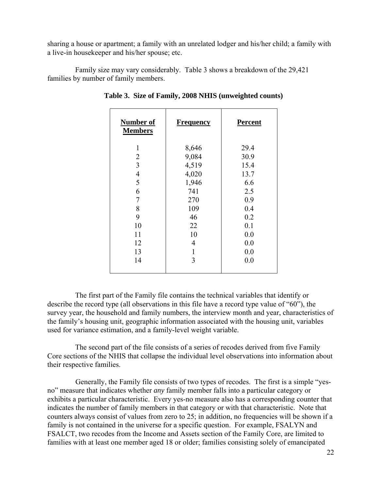sharing a house or apartment; a family with an unrelated lodger and his/her child; a family with a live-in housekeeper and his/her spouse; etc.

Family size may vary considerably. Table 3 shows a breakdown of the 29,421 families by number of family members.

| Number of<br><b>Members</b> | <b>Frequency</b> | <b>Percent</b> |
|-----------------------------|------------------|----------------|
| 1                           | 8,646            | 29.4           |
| 2                           | 9,084            | 30.9           |
| 3                           | 4,519            | 15.4           |
| 4                           | 4,020            | 13.7           |
| 5                           | 1,946            | 6.6            |
| 6                           | 741              | 2.5            |
| 7                           | 270              | 0.9            |
| 8                           | 109              | 0.4            |
| 9                           | 46               | 0.2            |
| 10                          | 22               | 0.1            |
| 11                          | 10               | 0.0            |
| 12                          | 4                | 0.0            |
| 13                          | 1                | 0.0            |
| 14                          | 3                | 0.0            |
|                             |                  |                |

**Table 3. Size of Family, 2008 NHIS (unweighted counts)** 

The first part of the Family file contains the technical variables that identify or describe the record type (all observations in this file have a record type value of "60"), the survey year, the household and family numbers, the interview month and year, characteristics of the family's housing unit, geographic information associated with the housing unit, variables used for variance estimation, and a family-level weight variable.

The second part of the file consists of a series of recodes derived from five Family Core sections of the NHIS that collapse the individual level observations into information about their respective families.

Generally, the Family file consists of two types of recodes. The first is a simple "yesno" measure that indicates whether *any* family member falls into a particular category or exhibits a particular characteristic. Every yes-no measure also has a corresponding counter that indicates the number of family members in that category or with that characteristic. Note that counters always consist of values from zero to 25; in addition, no frequencies will be shown if a family is not contained in the universe for a specific question. For example, FSALYN and FSALCT, two recodes from the Income and Assets section of the Family Core, are limited to families with at least one member aged 18 or older; families consisting solely of emancipated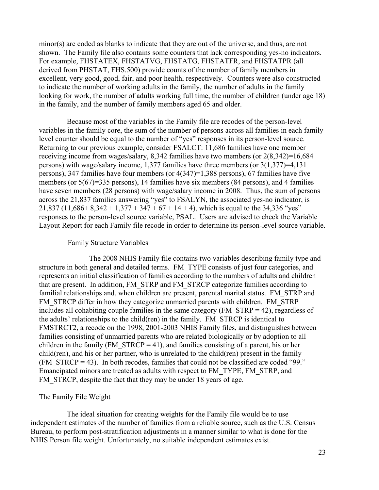minor(s) are coded as blanks to indicate that they are out of the universe, and thus, are not shown. The Family file also contains some counters that lack corresponding yes-no indicators. For example, FHSTATEX, FHSTATVG, FHSTATG, FHSTATFR, and FHSTATPR (all derived from PHSTAT, FHS.500) provide counts of the number of family members in excellent, very good, good, fair, and poor health, respectively. Counters were also constructed to indicate the number of working adults in the family, the number of adults in the family looking for work, the number of adults working full time, the number of children (under age 18) in the family, and the number of family members aged 65 and older.

Because most of the variables in the Family file are recodes of the person-level variables in the family core, the sum of the number of persons across all families in each familylevel counter should be equal to the number of "yes" responses in its person-level source. Returning to our previous example, consider FSALCT: 11,686 families have one member receiving income from wages/salary, 8,342 families have two members (or 2(8,342)=16,684 persons) with wage/salary income, 1,377 families have three members (or 3(1,377)=4,131 persons), 347 families have four members (or 4(347)=1,388 persons), 67 families have five members (or 5(67)=335 persons), 14 families have six members (84 persons), and 4 families have seven members (28 persons) with wage/salary income in 2008. Thus, the sum of persons across the 21,837 families answering "yes" to FSALYN, the associated yes-no indicator, is 21,837 (11,686+ 8,342 + 1,377 + 347 + 67 + 14 + 4), which is equal to the 34,336 "yes" responses to the person-level source variable, PSAL. Users are advised to check the Variable Layout Report for each Family file recode in order to determine its person-level source variable.

#### Family Structure Variables

The 2008 NHIS Family file contains two variables describing family type and structure in both general and detailed terms. FM\_TYPE consists of just four categories, and represents an initial classification of families according to the numbers of adults and children that are present. In addition, FM\_STRP and FM\_STRCP categorize families according to familial relationships and, when children are present, parental marital status. FM\_STRP and FM\_STRCP differ in how they categorize unmarried parents with children. FM\_STRP includes all cohabiting couple families in the same category (FM\_STRP = 42), regardless of the adults' relationships to the child(ren) in the family. FM\_STRCP is identical to FMSTRCT2, a recode on the 1998, 2001-2003 NHIS Family files, and distinguishes between families consisting of unmarried parents who are related biologically or by adoption to all children in the family (FM\_STRCP = 41), and families consisting of a parent, his or her child(ren), and his or her partner, who is unrelated to the child(ren) present in the family (FM\_STRCP = 43). In both recodes, families that could not be classified are coded "99." Emancipated minors are treated as adults with respect to FM\_TYPE, FM\_STRP, and FM\_STRCP, despite the fact that they may be under 18 years of age.

#### The Family File Weight

The ideal situation for creating weights for the Family file would be to use independent estimates of the number of families from a reliable source, such as the U.S. Census Bureau, to perform post-stratification adjustments in a manner similar to what is done for the NHIS Person file weight. Unfortunately, no suitable independent estimates exist.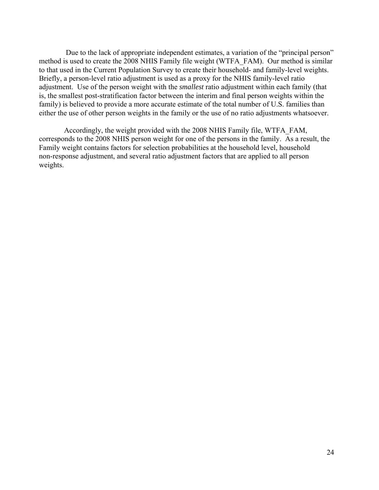Due to the lack of appropriate independent estimates, a variation of the "principal person" method is used to create the 2008 NHIS Family file weight (WTFA\_FAM). Our method is similar to that used in the Current Population Survey to create their household- and family-level weights. Briefly, a person-level ratio adjustment is used as a proxy for the NHIS family-level ratio adjustment. Use of the person weight with the *smallest* ratio adjustment within each family (that is, the smallest post-stratification factor between the interim and final person weights within the family) is believed to provide a more accurate estimate of the total number of U.S. families than either the use of other person weights in the family or the use of no ratio adjustments whatsoever.

 Accordingly, the weight provided with the 2008 NHIS Family file, WTFA\_FAM, corresponds to the 2008 NHIS person weight for one of the persons in the family. As a result, the Family weight contains factors for selection probabilities at the household level, household non-response adjustment, and several ratio adjustment factors that are applied to all person weights.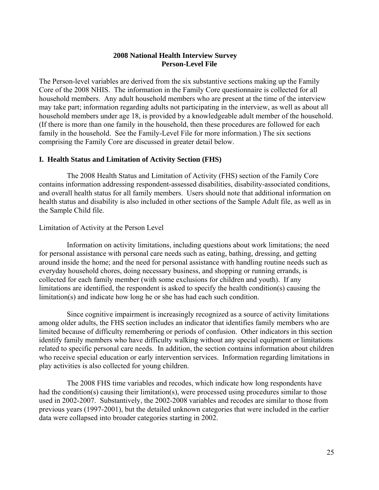#### **2008 National Health Interview Survey Person-Level File**

The Person-level variables are derived from the six substantive sections making up the Family Core of the 2008 NHIS. The information in the Family Core questionnaire is collected for all household members. Any adult household members who are present at the time of the interview may take part; information regarding adults not participating in the interview, as well as about all household members under age 18, is provided by a knowledgeable adult member of the household. (If there is more than one family in the household, then these procedures are followed for each family in the household. See the Family-Level File for more information.) The six sections comprising the Family Core are discussed in greater detail below.

#### **I. Health Status and Limitation of Activity Section (FHS)**

The 2008 Health Status and Limitation of Activity (FHS) section of the Family Core contains information addressing respondent-assessed disabilities, disability-associated conditions, and overall health status for all family members. Users should note that additional information on health status and disability is also included in other sections of the Sample Adult file, as well as in the Sample Child file.

#### Limitation of Activity at the Person Level

Information on activity limitations, including questions about work limitations; the need for personal assistance with personal care needs such as eating, bathing, dressing, and getting around inside the home; and the need for personal assistance with handling routine needs such as everyday household chores, doing necessary business, and shopping or running errands, is collected for each family member (with some exclusions for children and youth). If any limitations are identified, the respondent is asked to specify the health condition(s) causing the limitation(s) and indicate how long he or she has had each such condition.

Since cognitive impairment is increasingly recognized as a source of activity limitations among older adults, the FHS section includes an indicator that identifies family members who are limited because of difficulty remembering or periods of confusion. Other indicators in this section identify family members who have difficulty walking without any special equipment or limitations related to specific personal care needs. In addition, the section contains information about children who receive special education or early intervention services. Information regarding limitations in play activities is also collected for young children.

The 2008 FHS time variables and recodes, which indicate how long respondents have had the condition(s) causing their limitation(s), were processed using procedures similar to those used in 2002-2007. Substantively, the 2002-2008 variables and recodes are similar to those from previous years (1997-2001), but the detailed unknown categories that were included in the earlier data were collapsed into broader categories starting in 2002.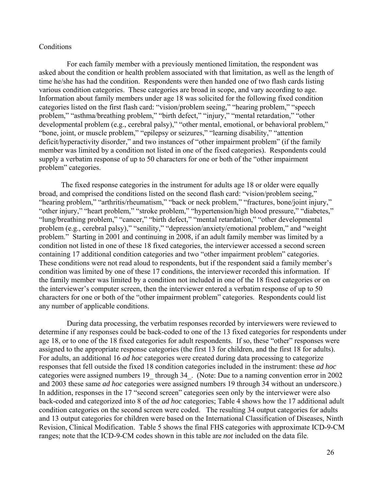#### **Conditions**

For each family member with a previously mentioned limitation, the respondent was asked about the condition or health problem associated with that limitation, as well as the length of time he/she has had the condition. Respondents were then handed one of two flash cards listing various condition categories. These categories are broad in scope, and vary according to age. Information about family members under age 18 was solicited for the following fixed condition categories listed on the first flash card: "vision/problem seeing," "hearing problem," "speech problem," "asthma/breathing problem," "birth defect," "injury," "mental retardation," "other developmental problem (e.g., cerebral palsy)," "other mental, emotional, or behavioral problem," "bone, joint, or muscle problem," "epilepsy or seizures," "learning disability," "attention deficit/hyperactivity disorder," and two instances of "other impairment problem" (if the family member was limited by a condition not listed in one of the fixed categories). Respondents could supply a verbatim response of up to 50 characters for one or both of the "other impairment problem" categories.

The fixed response categories in the instrument for adults age 18 or older were equally broad, and comprised the conditions listed on the second flash card: "vision/problem seeing," "hearing problem," "arthritis/rheumatism," "back or neck problem," "fractures, bone/joint injury," "other injury," "heart problem," "stroke problem," "hypertension/high blood pressure," "diabetes," "lung/breathing problem," "cancer," "birth defect," "mental retardation," "other developmental problem (e.g., cerebral palsy)," "senility," "depression/anxiety/emotional problem," and "weight problem." Starting in 2001 and continuing in 2008, if an adult family member was limited by a condition not listed in one of these 18 fixed categories, the interviewer accessed a second screen containing 17 additional condition categories and two "other impairment problem" categories. These conditions were not read aloud to respondents, but if the respondent said a family member's condition was limited by one of these 17 conditions, the interviewer recorded this information. If the family member was limited by a condition not included in one of the 18 fixed categories or on the interviewer's computer screen, then the interviewer entered a verbatim response of up to 50 characters for one or both of the "other impairment problem" categories. Respondents could list any number of applicable conditions.

During data processing, the verbatim responses recorded by interviewers were reviewed to determine if any responses could be back-coded to one of the 13 fixed categories for respondents under age 18, or to one of the 18 fixed categories for adult respondents. If so, these "other" responses were assigned to the appropriate response categories (the first 13 for children, and the first 18 for adults). For adults, an additional 16 *ad hoc* categories were created during data processing to categorize responses that fell outside the fixed 18 condition categories included in the instrument: these *ad hoc*  categories were assigned numbers 19\_ through 34\_. (Note: Due to a naming convention error in 2002 and 2003 these same *ad hoc* categories were assigned numbers 19 through 34 without an underscore.) In addition, responses in the 17 "second screen" categories seen only by the interviewer were also back-coded and categorized into 8 of the *ad hoc* categories; Table 4 shows how the 17 additional adult condition categories on the second screen were coded. The resulting 34 output categories for adults and 13 output categories for children were based on the International Classification of Diseases, Ninth Revision, Clinical Modification. Table 5 shows the final FHS categories with approximate ICD-9-CM ranges; note that the ICD-9-CM codes shown in this table are *not* included on the data file.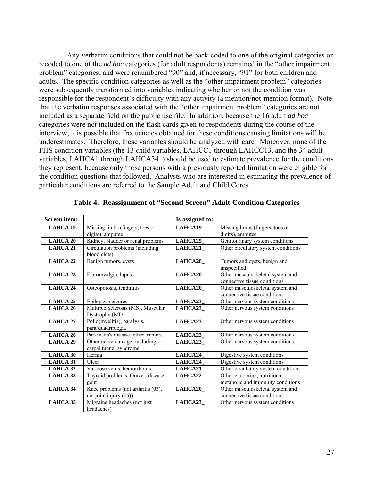Any verbatim conditions that could not be back-coded to one of the original categories or recoded to one of the *ad hoc* categories (for adult respondents) remained in the "other impairment problem" categories, and were renumbered "90" and, if necessary, "91" for both children and adults. The specific condition categories as well as the "other impairment problem" categories were subsequently transformed into variables indicating whether or not the condition was responsible for the respondent's difficulty with any activity (a mention/not-mention format). Note that the verbatim responses associated with the "other impairment problem" categories are not included as a separate field on the public use file. In addition, because the 16 adult *ad hoc*  categories were not included on the flash cards given to respondents during the course of the interview, it is possible that frequencies obtained for these conditions causing limitations will be underestimates. Therefore, these variables should be analyzed with care. Moreover, none of the FHS condition variables (the 13 child variables, LAHCC1 through LAHCC13, and the 34 adult variables, LAHCA1 through LAHCA34 ) should be used to estimate prevalence for the conditions they represent, because only those persons with a previously reported limitation were eligible for the condition questions that followed. Analysts who are interested in estimating the prevalence of particular conditions are referred to the Sample Adult and Child Cores.

| Screen item:    |                                                                 | Is assigned to: |                                                                    |
|-----------------|-----------------------------------------------------------------|-----------------|--------------------------------------------------------------------|
| <b>LAHCA 19</b> | Missing limbs (fingers, toes or<br>digits), amputee             | LAHCA19         | Missing limbs (fingers, toes or<br>digits), amputee                |
| <b>LAHCA 20</b> | Kidney, bladder or renal problems                               | LAHCA25         | Genitourinary system conditions                                    |
| LAHCA 21        | Circulation problems (including<br>blood clots)                 | LAHCA21         | Other circulatory system conditions                                |
| LAHCA 22        | Benign tumors, cysts                                            | LAHCA28_        | Tumors and cysts, benign and<br>unspecified                        |
| LAHCA 23        | Fibromyalgia, lupus                                             | <b>LAHCA20</b>  | Other musculoskeletal system and<br>connective tissue conditions   |
| LAHCA 24        | Osteoporosis, tendinitis                                        | <b>LAHCA20</b>  | Other musculoskeletal system and<br>connective tissue conditions   |
| LAHCA 25        | Epilepsy, seizures                                              | LAHCA23         | Other nervous system conditions                                    |
| LAHCA 26        | Multiple Sclerosis (MS), Muscular<br>Dystrophy (MD)             | <b>LAHCA23</b>  | Other nervous system conditions                                    |
| LAHCA 27        | Polio(myelitis), paralysis,<br>para/quadriplegia                | LAHCA23         | Other nervous system conditions                                    |
| <b>LAHCA 28</b> | Parkinson's disease, other tremors                              | LAHCA23         | Other nervous system conditions                                    |
| LAHCA 29        | Other nerve damage, including<br>carpal tunnel syndrome         | LAHCA23         | Other nervous system conditions                                    |
| LAHCA 30        | Hernia                                                          | LAHCA24         | Digestive system conditions                                        |
| <b>LAHCA 31</b> | Ulcer                                                           | LAHCA24         | Digestive system conditions                                        |
| LAHCA 32        | Varicose veins, hemorrhoids                                     | LAHCA21         | Other circulatory system conditions                                |
| LAHCA 33        | Thyroid problems, Grave's disease,<br>gout                      | <b>LAHCA22</b>  | Other endocrine, nutritional,<br>metabolic and immunity conditions |
| LAHCA 34        | Knee problems (not arthritis (03),<br>not joint injury $(05)$ ) | LAHCA20_        | Other musculoskeletal system and<br>connective tissue conditions   |
| LAHCA 35        | Migraine headaches (not just<br>headaches)                      | <b>LAHCA23</b>  | Other nervous system conditions                                    |

|  | Table 4. Reassignment of "Second Screen" Adult Condition Categories |  |  |  |  |  |
|--|---------------------------------------------------------------------|--|--|--|--|--|
|--|---------------------------------------------------------------------|--|--|--|--|--|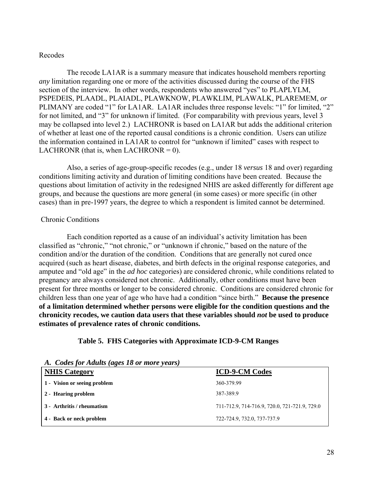#### Recodes

The recode LA1AR is a summary measure that indicates household members reporting *any* limitation regarding one or more of the activities discussed during the course of the FHS section of the interview. In other words, respondents who answered "yes" to PLAPLYLM, PSPEDEIS, PLAADL, PLAIADL, PLAWKNOW, PLAWKLIM, PLAWALK, PLAREMEM, *or*  PLIMANY are coded "1" for LA1AR. LA1AR includes three response levels: "1" for limited, "2" for not limited, and "3" for unknown if limited. (For comparability with previous years, level 3 may be collapsed into level 2.) LACHRONR is based on LA1AR but adds the additional criterion of whether at least one of the reported causal conditions is a chronic condition. Users can utilize the information contained in LA1AR to control for "unknown if limited" cases with respect to LACHRONR (that is, when LACHRONR =  $0$ ).

conditions limiting activity and duration of limiting conditions have been created. Because the Also, a series of age-group-specific recodes (e.g., under 18 *versus* 18 and over) regarding questions about limitation of activity in the redesigned NHIS are asked differently for different age groups, and because the questions are more general (in some cases) or more specific (in other cases) than in pre-1997 years, the degree to which a respondent is limited cannot be determined.

#### Chronic Conditions

estimates of prevalence rates of chronic conditions. Each condition reported as a cause of an individual's activity limitation has been classified as "chronic," "not chronic," or "unknown if chronic," based on the nature of the condition and/or the duration of the condition. Conditions that are generally not cured once acquired (such as heart disease, diabetes, and birth defects in the original response categories, and amputee and "old age" in the *ad hoc* categories) are considered chronic, while conditions related to pregnancy are always considered not chronic. Additionally, other conditions must have been present for three months or longer to be considered chronic. Conditions are considered chronic for children less than one year of age who have had a condition "since birth." **Because the presence of a limitation determined whether persons were eligible for the condition questions and the chronicity recodes, we caution data users that these variables should** *not* **be used to produce** 

#### **Table 5. FHS Categories with Approximate ICD-9-CM Ranges**

| A. Codes for Adults (ages 18 or more years) |                                               |
|---------------------------------------------|-----------------------------------------------|
| <b>NHIS Category</b>                        | <b>ICD-9-CM Codes</b>                         |
| 1 - Vision or seeing problem                | 360-379.99                                    |
| 2 - Hearing problem                         | 387-389.9                                     |
| 3 - Arthritis / rheumatism                  | 711-712.9, 714-716.9, 720.0, 721-721.9, 729.0 |
| 4 - Back or neck problem                    | 722-724.9, 732.0, 737-737.9                   |

*A. Codes for Adults (ages 18 or more years)*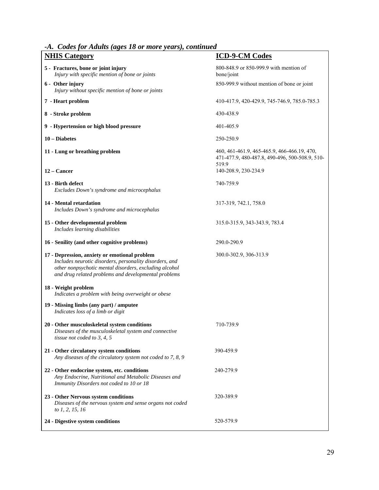*-A. Codes for Adults (ages 18 or more years), continued* 

| $\sim$<br><b>NHIS Category</b>                                                                                                                                                                                             | <b>ICD-9-CM Codes</b>                                                                                                          |
|----------------------------------------------------------------------------------------------------------------------------------------------------------------------------------------------------------------------------|--------------------------------------------------------------------------------------------------------------------------------|
| 5 - Fractures, bone or joint injury<br>Injury with specific mention of bone or joints                                                                                                                                      | 800-848.9 or 850-999.9 with mention of<br>bone/joint                                                                           |
| 6 - Other injury<br>Injury without specific mention of bone or joints                                                                                                                                                      | 850-999.9 without mention of bone or joint                                                                                     |
| 7 - Heart problem                                                                                                                                                                                                          | 410-417.9, 420-429.9, 745-746.9, 785.0-785.3                                                                                   |
| 8 - Stroke problem                                                                                                                                                                                                         | 430-438.9                                                                                                                      |
| 9 - Hypertension or high blood pressure                                                                                                                                                                                    | 401-405.9                                                                                                                      |
| 10 - Diabetes                                                                                                                                                                                                              | 250-250.9                                                                                                                      |
| 11 - Lung or breathing problem<br>12 – Cancer                                                                                                                                                                              | 460, 461-461.9, 465-465.9, 466-466.19, 470,<br>471-477.9, 480-487.8, 490-496, 500-508.9, 510-<br>519.9<br>140-208.9, 230-234.9 |
| 13 - Birth defect                                                                                                                                                                                                          | 740-759.9                                                                                                                      |
| Excludes Down's syndrome and microcephalus                                                                                                                                                                                 |                                                                                                                                |
| 14 - Mental retardation<br>Includes Down's syndrome and microcephalus                                                                                                                                                      | 317-319, 742.1, 758.0                                                                                                          |
| 15 - Other developmental problem<br>Includes learning disabilities                                                                                                                                                         | 315.0-315.9, 343-343.9, 783.4                                                                                                  |
| 16 - Senility (and other cognitive problems)                                                                                                                                                                               | 290.0-290.9                                                                                                                    |
| 17 - Depression, anxiety or emotional problem<br>Includes neurotic disorders, personality disorders, and<br>other nonpsychotic mental disorders, excluding alcohol<br>and drug related problems and developmental problems | 300.0-302.9, 306-313.9                                                                                                         |
| 18 - Weight problem<br>Indicates a problem with being overweight or obese                                                                                                                                                  |                                                                                                                                |
| 19 - Missing limbs (any part) / amputee<br>Indicates loss of a limb or digit                                                                                                                                               |                                                                                                                                |
| 20 - Other musculoskeletal system conditions<br>Diseases of the musculoskeletal system and connective<br>tissue not coded to $3, 4, 5$                                                                                     | 710-739.9                                                                                                                      |
| 21 - Other circulatory system conditions<br>Any diseases of the circulatory system not coded to 7, 8, 9                                                                                                                    | 390-459.9                                                                                                                      |
| 22 - Other endocrine system, etc. conditions<br>Any Endocrine, Nutritional and Metabolic Diseases and<br>Immunity Disorders not coded to 10 or 18                                                                          | 240-279.9                                                                                                                      |
| 23 - Other Nervous system conditions<br>Diseases of the nervous system and sense organs not coded<br>to 1, 2, 15, 16                                                                                                       | 320-389.9                                                                                                                      |
| 24 - Digestive system conditions                                                                                                                                                                                           | 520-579.9                                                                                                                      |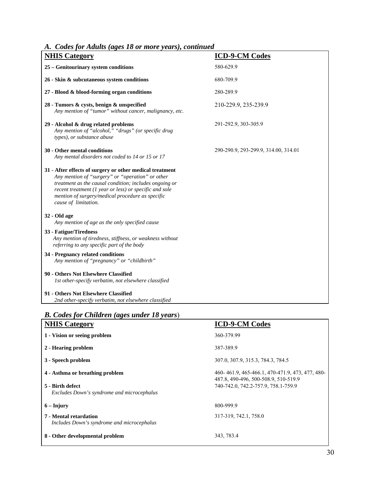#### *A. Codes for Adults (ages 18 or more years), continued*

| $\mu$ , Coucs for Trans (ages to 01 more                                                                                                                                                                                                                                                                     |                                      |
|--------------------------------------------------------------------------------------------------------------------------------------------------------------------------------------------------------------------------------------------------------------------------------------------------------------|--------------------------------------|
| <b>NHIS Category</b>                                                                                                                                                                                                                                                                                         | <b>ICD-9-CM Codes</b>                |
| 25 - Genitourinary system conditions                                                                                                                                                                                                                                                                         | 580-629.9                            |
| 26 - Skin & subcutaneous system conditions                                                                                                                                                                                                                                                                   | 680-709.9                            |
| 27 - Blood & blood-forming organ conditions                                                                                                                                                                                                                                                                  | 280-289.9                            |
| 28 - Tumors & cysts, benign & unspecified<br>Any mention of "tumor" without cancer, malignancy, etc.                                                                                                                                                                                                         | 210-229.9, 235-239.9                 |
| 29 - Alcohol & drug related problems<br>Any mention of "alcohol," "drugs" (or specific drug<br>types), or substance abuse                                                                                                                                                                                    | 291-292.9, 303-305.9                 |
| 30 - Other mental conditions<br>Any mental disorders not coded to 14 or 15 or 17                                                                                                                                                                                                                             | 290-290.9, 293-299.9, 314.00, 314.01 |
| 31 - After effects of surgery or other medical treatment<br>Any mention of "surgery" or "operation" or other<br>treatment as the causal condition; includes ongoing or<br>recent treatment (1 year or less) or specific and sole<br>mention of surgery/medical procedure as specific<br>cause of limitation. |                                      |
| 32 - Old age<br>Any mention of age as the only specified cause                                                                                                                                                                                                                                               |                                      |
| 33 - Fatigue/Tiredness<br>Any mention of tiredness, stiffness, or weakness without<br>referring to any specific part of the body                                                                                                                                                                             |                                      |
| 34 - Pregnancy related conditions<br>Any mention of "pregnancy" or "childbirth"                                                                                                                                                                                                                              |                                      |
| 90 - Others Not Elsewhere Classified<br>1st other-specify verbatim, not elsewhere classified                                                                                                                                                                                                                 |                                      |
| 91 - Others Not Elsewhere Classified<br>2nd other-specify verbatim, not elsewhere classified                                                                                                                                                                                                                 |                                      |

## *B. Codes for Children (ages under 18 years*)

| <b>NHIS Category</b>                                                 | <b>ICD-9-CM Codes</b>                                                                   |
|----------------------------------------------------------------------|-----------------------------------------------------------------------------------------|
| 1 - Vision or seeing problem                                         | 360-379.99                                                                              |
| 2 - Hearing problem                                                  | 387-389.9                                                                               |
| 3 - Speech problem                                                   | 307.0, 307.9, 315.3, 784.3, 784.5                                                       |
| 4 - Asthma or breathing problem                                      | 460-461.9, 465-466.1, 470-471.9, 473, 477, 480-<br>487.8, 490-496, 500-508.9, 510-519.9 |
| 5 - Birth defect<br>Excludes Down's syndrome and microcephalus       | 740-742.0, 742.2-757.9, 758.1-759.9                                                     |
| $6 -$ Injury                                                         | 800-999.9                                                                               |
| 7 - Mental retardation<br>Includes Down's syndrome and microcephalus | 317-319, 742.1, 758.0                                                                   |
| 8 - Other developmental problem                                      | 343, 783.4                                                                              |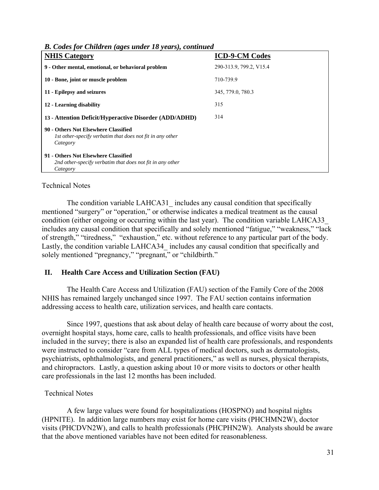| <b>NHIS Category</b>                                                                                          | <b>ICD-9-CM Codes</b>   |
|---------------------------------------------------------------------------------------------------------------|-------------------------|
| 9 - Other mental, emotional, or behavioral problem                                                            | 290-313.9, 799.2, V15.4 |
| 10 - Bone, joint or muscle problem                                                                            | 710-739.9               |
| 11 - Epilepsy and seizures                                                                                    | 345, 779.0, 780.3       |
| 12 - Learning disability                                                                                      | 315                     |
| 13 - Attention Deficit/Hyperactive Disorder (ADD/ADHD)                                                        | 314                     |
| 90 - Others Not Elsewhere Classified<br>Ist other-specify verbatim that does not fit in any other<br>Category |                         |
| 91 - Others Not Elsewhere Classified<br>2nd other-specify verbatim that does not fit in any other<br>Category |                         |

*B. Codes for Children (ages under 18 years), continued* 

#### Technical Notes

The condition variable LAHCA31 includes any causal condition that specifically mentioned "surgery" or "operation," or otherwise indicates a medical treatment as the causal condition (either ongoing or occurring within the last year). The condition variable LAHCA33\_ includes any causal condition that specifically and solely mentioned "fatigue," "weakness," "lack of strength," "tiredness," "exhaustion," etc. without reference to any particular part of the body. Lastly, the condition variable LAHCA34 includes any causal condition that specifically and solely mentioned "pregnancy," "pregnant," or "childbirth."

#### **II. Health Care Access and Utilization Section (FAU)**

The Health Care Access and Utilization (FAU) section of the Family Core of the 2008 NHIS has remained largely unchanged since 1997. The FAU section contains information addressing access to health care, utilization services, and health care contacts.

Since 1997, questions that ask about delay of health care because of worry about the cost, overnight hospital stays, home care, calls to health professionals, and office visits have been included in the survey; there is also an expanded list of health care professionals, and respondents were instructed to consider "care from ALL types of medical doctors, such as dermatologists, psychiatrists, ophthalmologists, and general practitioners," as well as nurses, physical therapists, and chiropractors. Lastly, a question asking about 10 or more visits to doctors or other health care professionals in the last 12 months has been included.

#### Technical Notes

A few large values were found for hospitalizations (HOSPNO) and hospital nights (HPNITE). In addition large numbers may exist for home care visits (PHCHMN2W), doctor visits (PHCDVN2W), and calls to health professionals (PHCPHN2W). Analysts should be aware that the above mentioned variables have not been edited for reasonableness.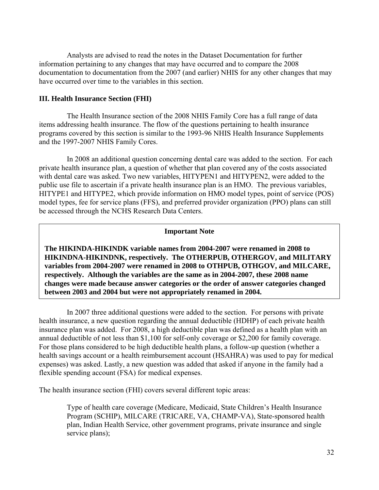Analysts are advised to read the notes in the Dataset Documentation for further information pertaining to any changes that may have occurred and to compare the 2008 documentation to documentation from the 2007 (and earlier) NHIS for any other changes that may have occurred over time to the variables in this section.

#### **III. Health Insurance Section (FHI)**

The Health Insurance section of the 2008 NHIS Family Core has a full range of data items addressing health insurance. The flow of the questions pertaining to health insurance programs covered by this section is similar to the 1993-96 NHIS Health Insurance Supplements and the 1997-2007 NHIS Family Cores.

In 2008 an additional question concerning dental care was added to the section. For each private health insurance plan, a question of whether that plan covered any of the costs associated with dental care was asked. Two new variables, HITYPEN1 and HITYPEN2, were added to the public use file to ascertain if a private health insurance plan is an HMO. The previous variables, HITYPE1 and HITYPE2, which provide information on HMO model types, point of service (POS) model types, fee for service plans (FFS), and preferred provider organization (PPO) plans can still be accessed through the NCHS Research Data Centers.

#### **Important Note**

**The HIKINDA-HIKINDK variable names from 2004-2007 were renamed in 2008 to HIKINDNA-HIKINDNK, respectively. The OTHERPUB, OTHERGOV, and MILITARY variables from 2004-2007 were renamed in 2008 to OTHPUB, OTHGOV, and MILCARE, respectively. Although the variables are the same as in 2004-2007, these 2008 name changes were made because answer categories or the order of answer categories changed between 2003 and 2004 but were not appropriately renamed in 2004.** 

In 2007 three additional questions were added to the section. For persons with private health insurance, a new question regarding the annual deductible (HDHP) of each private health insurance plan was added. For 2008, a high deductible plan was defined as a health plan with an annual deductible of not less than \$1,100 for self-only coverage or \$2,200 for family coverage. For those plans considered to be high deductible health plans, a follow-up question (whether a health savings account or a health reimbursement account (HSAHRA) was used to pay for medical expenses) was asked. Lastly, a new question was added that asked if anyone in the family had a flexible spending account (FSA) for medical expenses.

The health insurance section (FHI) covers several different topic areas:

Type of health care coverage (Medicare, Medicaid, State Children's Health Insurance Program (SCHIP), MILCARE (TRICARE, VA, CHAMP-VA), State-sponsored health plan, Indian Health Service, other government programs, private insurance and single service plans);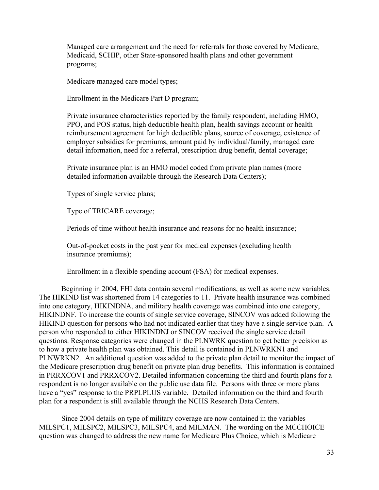Managed care arrangement and the need for referrals for those covered by Medicare, Medicaid, SCHIP, other State-sponsored health plans and other government programs;

Medicare managed care model types;

Enrollment in the Medicare Part D program;

Private insurance characteristics reported by the family respondent, including HMO, PPO, and POS status, high deductible health plan, health savings account or health reimbursement agreement for high deductible plans, source of coverage, existence of employer subsidies for premiums, amount paid by individual/family, managed care detail information, need for a referral, prescription drug benefit, dental coverage;

Private insurance plan is an HMO model coded from private plan names (more detailed information available through the Research Data Centers);

Types of single service plans;

Type of TRICARE coverage;

Periods of time without health insurance and reasons for no health insurance;

Out-of-pocket costs in the past year for medical expenses (excluding health insurance premiums);

Enrollment in a flexible spending account (FSA) for medical expenses.

Beginning in 2004, FHI data contain several modifications, as well as some new variables. The HIKIND list was shortened from 14 categories to 11. Private health insurance was combined into one category, HIKINDNA, and military health coverage was combined into one category, HIKINDNF. To increase the counts of single service coverage, SINCOV was added following the HIKIND question for persons who had not indicated earlier that they have a single service plan. A person who responded to either HIKINDNJ or SINCOV received the single service detail questions. Response categories were changed in the PLNWRK question to get better precision as to how a private health plan was obtained. This detail is contained in PLNWRKN1 and PLNWRKN2. An additional question was added to the private plan detail to monitor the impact of the Medicare prescription drug benefit on private plan drug benefits. This information is contained in PRRXCOV1 and PRRXCOV2. Detailed information concerning the third and fourth plans for a respondent is no longer available on the public use data file. Persons with three or more plans have a "yes" response to the PRPLPLUS variable. Detailed information on the third and fourth plan for a respondent is still available through the NCHS Research Data Centers.

Since 2004 details on type of military coverage are now contained in the variables MILSPC1, MILSPC2, MILSPC3, MILSPC4, and MILMAN. The wording on the MCCHOICE question was changed to address the new name for Medicare Plus Choice, which is Medicare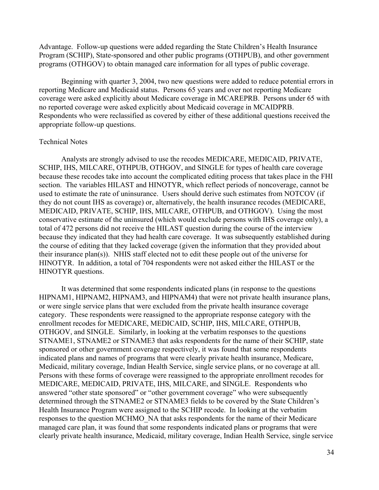Advantage. Follow-up questions were added regarding the State Children's Health Insurance Program (SCHIP), State-sponsored and other public programs (OTHPUB), and other government programs (OTHGOV) to obtain managed care information for all types of public coverage.

Beginning with quarter 3, 2004, two new questions were added to reduce potential errors in reporting Medicare and Medicaid status. Persons 65 years and over not reporting Medicare coverage were asked explicitly about Medicare coverage in MCAREPRB. Persons under 65 with no reported coverage were asked explicitly about Medicaid coverage in MCAIDPRB. Respondents who were reclassified as covered by either of these additional questions received the appropriate follow-up questions.

#### Technical Notes

Analysts are strongly advised to use the recodes MEDICARE, MEDICAID, PRIVATE, SCHIP, IHS, MILCARE, OTHPUB, OTHGOV, and SINGLE for types of health care coverage because these recodes take into account the complicated editing process that takes place in the FHI section. The variables HILAST and HINOTYR, which reflect periods of noncoverage, cannot be used to estimate the rate of uninsurance. Users should derive such estimates from NOTCOV (if they do not count IHS as coverage) or, alternatively, the health insurance recodes (MEDICARE, MEDICAID, PRIVATE, SCHIP, IHS, MILCARE, OTHPUB, and OTHGOV). Using the most conservative estimate of the uninsured (which would exclude persons with IHS coverage only), a total of 472 persons did not receive the HILAST question during the course of the interview because they indicated that they had health care coverage. It was subsequently established during the course of editing that they lacked coverage (given the information that they provided about their insurance plan(s)). NHIS staff elected not to edit these people out of the universe for HINOTYR. In addition, a total of 704 respondents were not asked either the HILAST or the HINOTYR questions.

It was determined that some respondents indicated plans (in response to the questions HIPNAM1, HIPNAM2, HIPNAM3, and HIPNAM4) that were not private health insurance plans, or were single service plans that were excluded from the private health insurance coverage category. These respondents were reassigned to the appropriate response category with the enrollment recodes for MEDICARE, MEDICAID, SCHIP, IHS, MILCARE, OTHPUB, OTHGOV, and SINGLE. Similarly, in looking at the verbatim responses to the questions STNAME1, STNAME2 or STNAME3 that asks respondents for the name of their SCHIP, state sponsored or other government coverage respectively, it was found that some respondents indicated plans and names of programs that were clearly private health insurance, Medicare, Medicaid, military coverage, Indian Health Service, single service plans, or no coverage at all. Persons with these forms of coverage were reassigned to the appropriate enrollment recodes for MEDICARE, MEDICAID, PRIVATE, IHS, MILCARE, and SINGLE. Respondents who answered "other state sponsored" or "other government coverage" who were subsequently determined through the STNAME2 or STNAME3 fields to be covered by the State Children's Health Insurance Program were assigned to the SCHIP recode. In looking at the verbatim responses to the question MCHMO\_NA that asks respondents for the name of their Medicare managed care plan, it was found that some respondents indicated plans or programs that were clearly private health insurance, Medicaid, military coverage, Indian Health Service, single service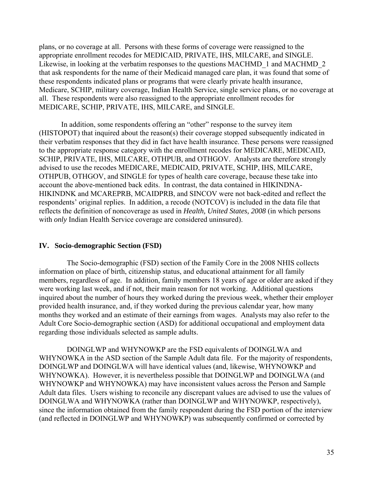plans, or no coverage at all. Persons with these forms of coverage were reassigned to the appropriate enrollment recodes for MEDICAID, PRIVATE, IHS, MILCARE, and SINGLE. Likewise, in looking at the verbatim responses to the questions MACHMD 1 and MACHMD 2 that ask respondents for the name of their Medicaid managed care plan, it was found that some of these respondents indicated plans or programs that were clearly private health insurance, Medicare, SCHIP, military coverage, Indian Health Service, single service plans, or no coverage at all. These respondents were also reassigned to the appropriate enrollment recodes for MEDICARE, SCHIP, PRIVATE, IHS, MILCARE, and SINGLE.

In addition, some respondents offering an "other" response to the survey item (HISTOPOT) that inquired about the reason(s) their coverage stopped subsequently indicated in their verbatim responses that they did in fact have health insurance. These persons were reassigned to the appropriate response category with the enrollment recodes for MEDICARE, MEDICAID, SCHIP, PRIVATE, IHS, MILCARE, OTHPUB, and OTHGOV. Analysts are therefore strongly advised to use the recodes MEDICARE, MEDICAID, PRIVATE, SCHIP, IHS, MILCARE, OTHPUB, OTHGOV, and SINGLE for types of health care coverage, because these take into account the above-mentioned back edits. In contrast, the data contained in HIKINDNA-HIKINDNK and MCAREPRB, MCAIDPRB, and SINCOV were not back-edited and reflect the respondents' original replies. In addition, a recode (NOTCOV) is included in the data file that reflects the definition of noncoverage as used in *Health, United States, 2008* (in which persons with *only* Indian Health Service coverage are considered uninsured).

#### **IV. Socio-demographic Section (FSD)**

The Socio-demographic (FSD) section of the Family Core in the 2008 NHIS collects information on place of birth, citizenship status, and educational attainment for all family members, regardless of age. In addition, family members 18 years of age or older are asked if they were working last week, and if not, their main reason for not working. Additional questions inquired about the number of hours they worked during the previous week, whether their employer provided health insurance, and, if they worked during the previous calendar year, how many months they worked and an estimate of their earnings from wages. Analysts may also refer to the Adult Core Socio-demographic section (ASD) for additional occupational and employment data regarding those individuals selected as sample adults.

DOINGLWP and WHYNOWKP are the FSD equivalents of DOINGLWA and WHYNOWKA in the ASD section of the Sample Adult data file. For the majority of respondents, DOINGLWP and DOINGLWA will have identical values (and, likewise, WHYNOWKP and WHYNOWKA). However, it is nevertheless possible that DOINGLWP and DOINGLWA (and WHYNOWKP and WHYNOWKA) may have inconsistent values across the Person and Sample Adult data files. Users wishing to reconcile any discrepant values are advised to use the values of DOINGLWA and WHYNOWKA (rather than DOINGLWP and WHYNOWKP, respectively), since the information obtained from the family respondent during the FSD portion of the interview (and reflected in DOINGLWP and WHYNOWKP) was subsequently confirmed or corrected by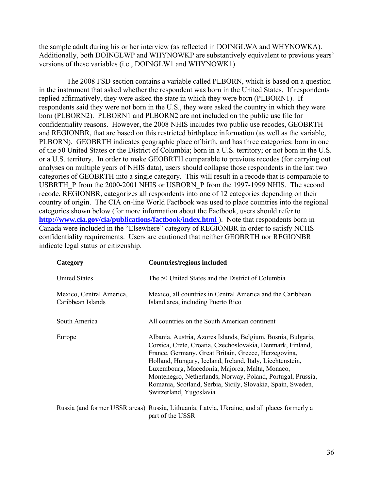the sample adult during his or her interview (as reflected in DOINGLWA and WHYNOWKA). Additionally, both DOINGLWP and WHYNOWKP are substantively equivalent to previous years' versions of these variables (i.e., DOINGLW1 and WHYNOWK1).

The 2008 FSD section contains a variable called PLBORN, which is based on a question in the instrument that asked whether the respondent was born in the United States. If respondents replied affirmatively, they were asked the state in which they were born (PLBORN1). If respondents said they were not born in the U.S., they were asked the country in which they were born (PLBORN2). PLBORN1 and PLBORN2 are not included on the public use file for confidentiality reasons. However, the 2008 NHIS includes two public use recodes, GEOBRTH and REGIONBR, that are based on this restricted birthplace information (as well as the variable, PLBORN). GEOBRTH indicates geographic place of birth, and has three categories: born in one of the 50 United States or the District of Columbia; born in a U.S. territory; or not born in the U.S. or a U.S. territory. In order to make GEOBRTH comparable to previous recodes (for carrying out analyses on multiple years of NHIS data), users should collapse those respondents in the last two categories of GEOBRTH into a single category. This will result in a recode that is comparable to USBRTH\_P from the 2000-2001 NHIS or USBORN\_P from the 1997-1999 NHIS. The second recode, REGIONBR, categorizes all respondents into one of 12 categories depending on their country of origin. The CIA on-line World Factbook was used to place countries into the regional categories shown below (for more information about the Factbook, users should refer to **http://www.cia.gov/cia/publications/factbook/index.html**). Note that respondents born in Canada were included in the "Elsewhere" category of REGIONBR in order to satisfy NCHS confidentiality requirements. Users are cautioned that neither GEOBRTH nor REGIONBR indicate legal status or citizenship.

| Category                                      | <b>Countries/regions included</b>                                                                                                                                                                                                                                                                                                                                                                                                                          |
|-----------------------------------------------|------------------------------------------------------------------------------------------------------------------------------------------------------------------------------------------------------------------------------------------------------------------------------------------------------------------------------------------------------------------------------------------------------------------------------------------------------------|
| <b>United States</b>                          | The 50 United States and the District of Columbia                                                                                                                                                                                                                                                                                                                                                                                                          |
| Mexico, Central America,<br>Caribbean Islands | Mexico, all countries in Central America and the Caribbean<br>Island area, including Puerto Rico                                                                                                                                                                                                                                                                                                                                                           |
| South America                                 | All countries on the South American continent                                                                                                                                                                                                                                                                                                                                                                                                              |
| Europe                                        | Albania, Austria, Azores Islands, Belgium, Bosnia, Bulgaria,<br>Corsica, Crete, Croatia, Czechoslovakia, Denmark, Finland,<br>France, Germany, Great Britain, Greece, Herzegovina,<br>Holland, Hungary, Iceland, Ireland, Italy, Liechtenstein,<br>Luxembourg, Macedonia, Majorca, Malta, Monaco,<br>Montenegro, Netherlands, Norway, Poland, Portugal, Prussia,<br>Romania, Scotland, Serbia, Sicily, Slovakia, Spain, Sweden,<br>Switzerland, Yugoslavia |
|                                               | Russia (and former USSR areas) Russia, Lithuania, Latvia, Ukraine, and all places formerly a<br>part of the USSR                                                                                                                                                                                                                                                                                                                                           |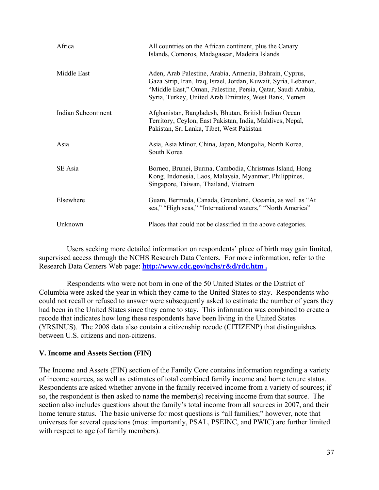| Africa              | All countries on the African continent, plus the Canary<br>Islands, Comoros, Madagascar, Madeira Islands                                                                                                                                            |
|---------------------|-----------------------------------------------------------------------------------------------------------------------------------------------------------------------------------------------------------------------------------------------------|
| Middle East         | Aden, Arab Palestine, Arabia, Armenia, Bahrain, Cyprus,<br>Gaza Strip, Iran, Iraq, Israel, Jordan, Kuwait, Syria, Lebanon,<br>"Middle East," Oman, Palestine, Persia, Qatar, Saudi Arabia,<br>Syria, Turkey, United Arab Emirates, West Bank, Yemen |
| Indian Subcontinent | Afghanistan, Bangladesh, Bhutan, British Indian Ocean<br>Territory, Ceylon, East Pakistan, India, Maldives, Nepal,<br>Pakistan, Sri Lanka, Tibet, West Pakistan                                                                                     |
| Asia                | Asia, Asia Minor, China, Japan, Mongolia, North Korea,<br>South Korea                                                                                                                                                                               |
| SE Asia             | Borneo, Brunei, Burma, Cambodia, Christmas Island, Hong<br>Kong, Indonesia, Laos, Malaysia, Myanmar, Philippines,<br>Singapore, Taiwan, Thailand, Vietnam                                                                                           |
| Elsewhere           | Guam, Bermuda, Canada, Greenland, Oceania, as well as "At<br>sea," "High seas," "International waters," "North America"                                                                                                                             |
| Unknown             | Places that could not be classified in the above categories.                                                                                                                                                                                        |

Users seeking more detailed information on respondents' place of birth may gain limited, supervised access through the NCHS Research Data Centers. For more information, refer to the Research Data Centers Web page: **[http://www.cdc.gov/nchs/r&d/rdc.htm .](http://www.cdc.gov/nchs/r&d/rdc.htm)** 

Respondents who were not born in one of the 50 United States or the District of Columbia were asked the year in which they came to the United States to stay. Respondents who could not recall or refused to answer were subsequently asked to estimate the number of years they had been in the United States since they came to stay. This information was combined to create a recode that indicates how long these respondents have been living in the United States (YRSINUS). The 2008 data also contain a citizenship recode (CITIZENP) that distinguishes between U.S. citizens and non-citizens.

# **V. Income and Assets Section (FIN)**

The Income and Assets (FIN) section of the Family Core contains information regarding a variety of income sources, as well as estimates of total combined family income and home tenure status. Respondents are asked whether anyone in the family received income from a variety of sources; if so, the respondent is then asked to name the member(s) receiving income from that source. The section also includes questions about the family's total income from all sources in 2007, and their home tenure status. The basic universe for most questions is "all families;" however, note that universes for several questions (most importantly, PSAL, PSEINC, and PWIC) are further limited with respect to age (of family members).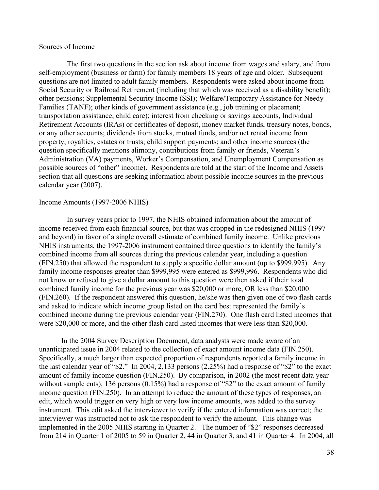## Sources of Income

The first two questions in the section ask about income from wages and salary, and from self-employment (business or farm) for family members 18 years of age and older. Subsequent questions are not limited to adult family members. Respondents were asked about income from Social Security or Railroad Retirement (including that which was received as a disability benefit); other pensions; Supplemental Security Income (SSI); Welfare/Temporary Assistance for Needy Families (TANF); other kinds of government assistance (e.g., job training or placement; transportation assistance; child care); interest from checking or savings accounts, Individual Retirement Accounts (IRAs) or certificates of deposit, money market funds, treasury notes, bonds, or any other accounts; dividends from stocks, mutual funds, and/or net rental income from property, royalties, estates or trusts; child support payments; and other income sources (the question specifically mentions alimony, contributions from family or friends, Veteran's Administration (VA) payments, Worker's Compensation, and Unemployment Compensation as possible sources of "other" income). Respondents are told at the start of the Income and Assets section that all questions are seeking information about possible income sources in the previous calendar year (2007).

#### Income Amounts (1997-2006 NHIS)

In survey years prior to 1997, the NHIS obtained information about the amount of income received from each financial source, but that was dropped in the redesigned NHIS (1997 and beyond) in favor of a single overall estimate of combined family income. Unlike previous NHIS instruments, the 1997-2006 instrument contained three questions to identify the family's combined income from all sources during the previous calendar year, including a question (FIN.250) that allowed the respondent to supply a specific dollar amount (up to \$999,995). Any family income responses greater than \$999,995 were entered as \$999,996. Respondents who did not know or refused to give a dollar amount to this question were then asked if their total combined family income for the previous year was \$20,000 or more, OR less than \$20,000 (FIN.260). If the respondent answered this question, he/she was then given one of two flash cards and asked to indicate which income group listed on the card best represented the family's combined income during the previous calendar year (FIN.270). One flash card listed incomes that were \$20,000 or more, and the other flash card listed incomes that were less than \$20,000.

In the 2004 Survey Description Document, data analysts were made aware of an unanticipated issue in 2004 related to the collection of exact amount income data (FIN.250). Specifically, a much larger than expected proportion of respondents reported a family income in the last calendar year of "\$2." In 2004, 2,133 persons (2.25%) had a response of "\$2" to the exact amount of family income question (FIN.250). By comparison, in 2002 (the most recent data year without sample cuts), 136 persons (0.15%) had a response of "\$2" to the exact amount of family income question (FIN.250). In an attempt to reduce the amount of these types of responses, an edit, which would trigger on very high or very low income amounts, was added to the survey instrument. This edit asked the interviewer to verify if the entered information was correct; the interviewer was instructed not to ask the respondent to verify the amount. This change was implemented in the 2005 NHIS starting in Quarter 2. The number of "\$2" responses decreased from 214 in Quarter 1 of 2005 to 59 in Quarter 2, 44 in Quarter 3, and 41 in Quarter 4. In 2004, all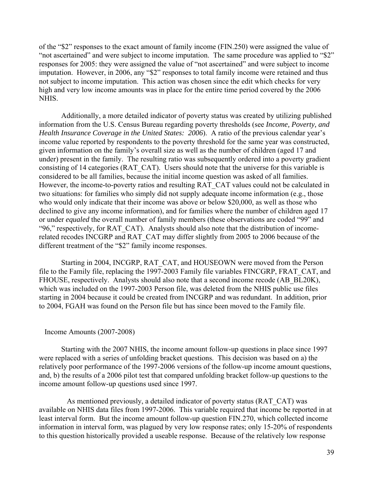of the "\$2" responses to the exact amount of family income (FIN.250) were assigned the value of "not ascertained" and were subject to income imputation. The same procedure was applied to "\$2" responses for 2005: they were assigned the value of "not ascertained" and were subject to income imputation. However, in 2006, any "\$2" responses to total family income were retained and thus not subject to income imputation. This action was chosen since the edit which checks for very high and very low income amounts was in place for the entire time period covered by the 2006 NHIS.

Additionally, a more detailed indicator of poverty status was created by utilizing published information from the U.S. Census Bureau regarding poverty thresholds (see *Income, Poverty, and Health Insurance Coverage in the United States: 2006*). A ratio of the previous calendar year's income value reported by respondents to the poverty threshold for the same year was constructed, given information on the family's overall size as well as the number of children (aged 17 and under) present in the family. The resulting ratio was subsequently ordered into a poverty gradient consisting of 14 categories (RAT\_CAT). Users should note that the universe for this variable is considered to be all families, because the initial income question was asked of all families. However, the income-to-poverty ratios and resulting RAT\_CAT values could not be calculated in two situations: for families who simply did not supply adequate income information (e.g., those who would only indicate that their income was above or below \$20,000, as well as those who declined to give any income information), and for families where the number of children aged 17 or under *equaled* the overall number of family members (these observations are coded "99" and "96," respectively, for RAT\_CAT). Analysts should also note that the distribution of incomerelated recodes INCGRP and RAT\_CAT may differ slightly from 2005 to 2006 because of the different treatment of the "\$2" family income responses.

Starting in 2004, INCGRP, RAT\_CAT, and HOUSEOWN were moved from the Person file to the Family file, replacing the 1997-2003 Family file variables FINCGRP, FRAT\_CAT, and FHOUSE, respectively. Analysts should also note that a second income recode (AB\_BL20K), which was included on the 1997-2003 Person file, was deleted from the NHIS public use files starting in 2004 because it could be created from INCGRP and was redundant. In addition, prior to 2004, FGAH was found on the Person file but has since been moved to the Family file.

## Income Amounts (2007-2008)

Starting with the 2007 NHIS, the income amount follow-up questions in place since 1997 were replaced with a series of unfolding bracket questions. This decision was based on a) the relatively poor performance of the 1997-2006 versions of the follow-up income amount questions, and, b) the results of a 2006 pilot test that compared unfolding bracket follow-up questions to the income amount follow-up questions used since 1997.

As mentioned previously, a detailed indicator of poverty status (RAT\_CAT) was available on NHIS data files from 1997-2006. This variable required that income be reported in at least interval form. But the income amount follow-up question FIN.270, which collected income information in interval form, was plagued by very low response rates; only 15-20% of respondents to this question historically provided a useable response. Because of the relatively low response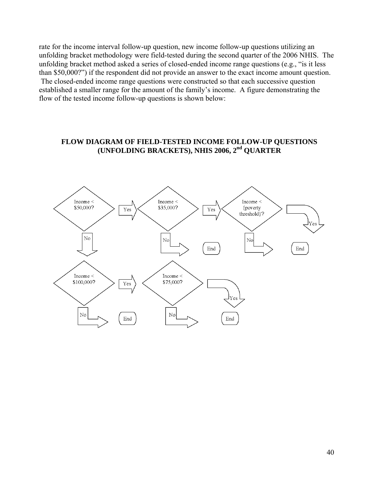rate for the income interval follow-up question, new income follow-up questions utilizing an unfolding bracket methodology were field-tested during the second quarter of the 2006 NHIS. The unfolding bracket method asked a series of closed-ended income range questions (e.g., "is it less than \$50,000?") if the respondent did not provide an answer to the exact income amount question. The closed-ended income range questions were constructed so that each successive question established a smaller range for the amount of the family's income. A figure demonstrating the flow of the tested income follow-up questions is shown below:

# **FLOW DIAGRAM OF FIELD-TESTED INCOME FOLLOW-UP QUESTIONS (UNFOLDING BRACKETS), NHIS 2006, 2nd QUARTER**

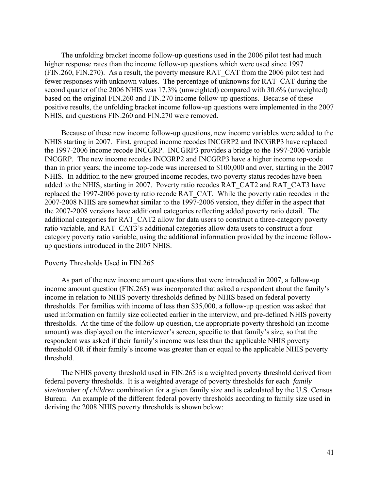The unfolding bracket income follow-up questions used in the 2006 pilot test had much higher response rates than the income follow-up questions which were used since 1997 (FIN.260, FIN.270). As a result, the poverty measure RAT\_CAT from the 2006 pilot test had fewer responses with unknown values. The percentage of unknowns for RAT\_CAT during the second quarter of the 2006 NHIS was 17.3% (unweighted) compared with 30.6% (unweighted) based on the original FIN.260 and FIN.270 income follow-up questions. Because of these positive results, the unfolding bracket income follow-up questions were implemented in the 2007 NHIS, and questions FIN.260 and FIN.270 were removed.

Because of these new income follow-up questions, new income variables were added to the NHIS starting in 2007. First, grouped income recodes INCGRP2 and INCGRP3 have replaced the 1997-2006 income recode INCGRP. INCGRP3 provides a bridge to the 1997-2006 variable INCGRP. The new income recodes INCGRP2 and INCGRP3 have a higher income top-code than in prior years; the income top-code was increased to \$100,000 and over, starting in the 2007 NHIS. In addition to the new grouped income recodes, two poverty status recodes have been added to the NHIS, starting in 2007. Poverty ratio recodes RAT\_CAT2 and RAT\_CAT3 have replaced the 1997-2006 poverty ratio recode RAT\_CAT. While the poverty ratio recodes in the 2007-2008 NHIS are somewhat similar to the 1997-2006 version, they differ in the aspect that the 2007-2008 versions have additional categories reflecting added poverty ratio detail. The additional categories for RAT\_CAT2 allow for data users to construct a three-category poverty ratio variable, and RAT\_CAT3's additional categories allow data users to construct a fourcategory poverty ratio variable, using the additional information provided by the income followup questions introduced in the 2007 NHIS.

#### Poverty Thresholds Used in FIN.265

As part of the new income amount questions that were introduced in 2007, a follow-up income amount question (FIN.265) was incorporated that asked a respondent about the family's income in relation to NHIS poverty thresholds defined by NHIS based on federal poverty thresholds. For families with income of less than \$35,000, a follow-up question was asked that used information on family size collected earlier in the interview, and pre-defined NHIS poverty thresholds. At the time of the follow-up question, the appropriate poverty threshold (an income amount) was displayed on the interviewer's screen, specific to that family's size, so that the respondent was asked if their family's income was less than the applicable NHIS poverty threshold OR if their family's income was greater than or equal to the applicable NHIS poverty threshold.

The NHIS poverty threshold used in FIN.265 is a weighted poverty threshold derived from federal poverty thresholds. It is a weighted average of poverty thresholds for each *family size/number of children* combination for a given family size and is calculated by the U.S. Census Bureau. An example of the different federal poverty thresholds according to family size used in deriving the 2008 NHIS poverty thresholds is shown below: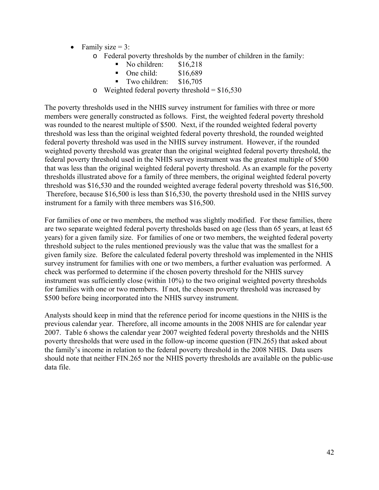- Family size  $= 3$ :
	- o Federal poverty thresholds by the number of children in the family:
		- No children:  $$16,218$
		- $\blacksquare$  One child:  $$16,689$
		- Two children: \$16,705
	- o Weighted federal poverty threshold =  $$16,530$

The poverty thresholds used in the NHIS survey instrument for families with three or more members were generally constructed as follows. First, the weighted federal poverty threshold was rounded to the nearest multiple of \$500. Next, if the rounded weighted federal poverty threshold was less than the original weighted federal poverty threshold, the rounded weighted federal poverty threshold was used in the NHIS survey instrument. However, if the rounded weighted poverty threshold was greater than the original weighted federal poverty threshold, the federal poverty threshold used in the NHIS survey instrument was the greatest multiple of \$500 that was less than the original weighted federal poverty threshold. As an example for the poverty thresholds illustrated above for a family of three members, the original weighted federal poverty threshold was \$16,530 and the rounded weighted average federal poverty threshold was \$16,500. Therefore, because \$16,500 is less than \$16,530, the poverty threshold used in the NHIS survey instrument for a family with three members was \$16,500.

For families of one or two members, the method was slightly modified. For these families, there are two separate weighted federal poverty thresholds based on age (less than 65 years, at least 65 years) for a given family size. For families of one or two members, the weighted federal poverty threshold subject to the rules mentioned previously was the value that was the smallest for a given family size. Before the calculated federal poverty threshold was implemented in the NHIS survey instrument for families with one or two members, a further evaluation was performed. A check was performed to determine if the chosen poverty threshold for the NHIS survey instrument was sufficiently close (within 10%) to the two original weighted poverty thresholds for families with one or two members. If not, the chosen poverty threshold was increased by \$500 before being incorporated into the NHIS survey instrument.

Analysts should keep in mind that the reference period for income questions in the NHIS is the previous calendar year. Therefore, all income amounts in the 2008 NHIS are for calendar year 2007. Table 6 shows the calendar year 2007 weighted federal poverty thresholds and the NHIS poverty thresholds that were used in the follow-up income question (FIN.265) that asked about the family's income in relation to the federal poverty threshold in the 2008 NHIS. Data users should note that neither FIN.265 nor the NHIS poverty thresholds are available on the public-use data file.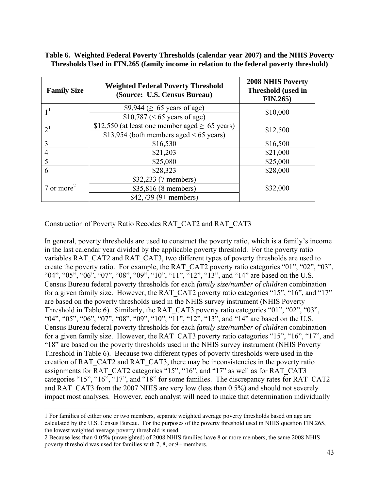# **Table 6. Weighted Federal Poverty Thresholds (calendar year 2007) and the NHIS Poverty Thresholds Used in FIN.265 (family income in relation to the federal poverty threshold)**

| <b>Family Size</b>    | <b>Weighted Federal Poverty Threshold</b><br>(Source: U.S. Census Bureau) | <b>2008 NHIS Poverty</b><br>Threshold (used in<br>FIN.265) |  |  |
|-----------------------|---------------------------------------------------------------------------|------------------------------------------------------------|--|--|
|                       | \$9,944 ( $\geq 65$ years of age)                                         | \$10,000                                                   |  |  |
|                       | $$10,787 \,(& 65 \,\text{years of age})$                                  |                                                            |  |  |
| 2 <sup>1</sup>        | \$12,550 (at least one member aged $\geq$ 65 years)                       | \$12,500                                                   |  |  |
|                       | \$13,954 (both members aged $< 65$ years)                                 |                                                            |  |  |
| 3                     | \$16,530                                                                  | \$16,500                                                   |  |  |
| $\overline{4}$        | \$21,203                                                                  | \$21,000                                                   |  |  |
| 5                     | \$25,080                                                                  | \$25,000                                                   |  |  |
| 6                     | \$28,323                                                                  | \$28,000                                                   |  |  |
|                       | \$32,233 (7 members)                                                      |                                                            |  |  |
| $7 \text{ or more}^2$ | \$35,816 (8 members)                                                      | \$32,000                                                   |  |  |
|                       | $$42,739$ (9+ members)                                                    |                                                            |  |  |

Construction of Poverty Ratio Recodes RAT\_CAT2 and RAT\_CAT3

 $\overline{a}$ 

In general, poverty thresholds are used to construct the poverty ratio, which is a family's income in the last calendar year divided by the applicable poverty threshold. For the poverty ratio variables RAT\_CAT2 and RAT\_CAT3, two different types of poverty thresholds are used to create the poverty ratio. For example, the RAT\_CAT2 poverty ratio categories "01", "02", "03", "04", "05", "06", "07", "08", "09", "10", "11", "12", "13", and "14" are based on the U.S. Census Bureau federal poverty thresholds for each *family size/number of children* combination for a given family size. However, the RAT\_CAT2 poverty ratio categories "15", "16", and "17" are based on the poverty thresholds used in the NHIS survey instrument (NHIS Poverty Threshold in Table 6). Similarly, the RAT\_CAT3 poverty ratio categories "01", "02", "03", "04", "05", "06", "07", "08", "09", "10", "11", "12", "13", and "14" are based on the U.S. Census Bureau federal poverty thresholds for each *family size/number of children* combination for a given family size. However, the RAT\_CAT3 poverty ratio categories "15", "16", "17", and "18" are based on the poverty thresholds used in the NHIS survey instrument (NHIS Poverty Threshold in Table 6). Because two different types of poverty thresholds were used in the creation of RAT\_CAT2 and RAT\_CAT3, there may be inconsistencies in the poverty ratio assignments for RAT\_CAT2 categories "15", "16", and "17" as well as for RAT\_CAT3 categories "15", "16", "17", and "18" for some families. The discrepancy rates for RAT\_CAT2 and RAT\_CAT3 from the 2007 NHIS are very low (less than 0.5%) and should not severely impact most analyses. However, each analyst will need to make that determination individually

<sup>1</sup> For families of either one or two members, separate weighted average poverty thresholds based on age are calculated by the U.S. Census Bureau. For the purposes of the poverty threshold used in NHIS question FIN.265, the lowest weighted average poverty threshold is used.

<sup>2</sup> Because less than 0.05% (unweighted) of 2008 NHIS families have 8 or more members, the same 2008 NHIS poverty threshold was used for families with 7, 8, or 9+ members.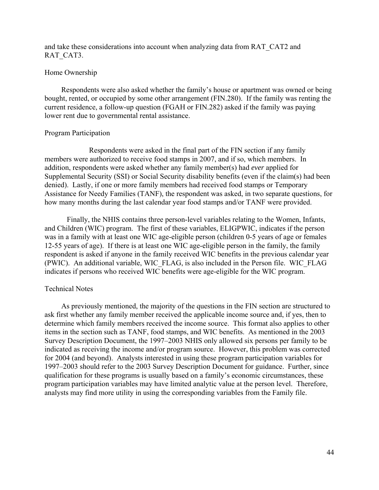and take these considerations into account when analyzing data from RAT\_CAT2 and RAT\_CAT3.

## Home Ownership

Respondents were also asked whether the family's house or apartment was owned or being bought, rented, or occupied by some other arrangement (FIN.280). If the family was renting the current residence, a follow-up question (FGAH or FIN.282) asked if the family was paying lower rent due to governmental rental assistance.

## Program Participation

Respondents were asked in the final part of the FIN section if any family members were authorized to receive food stamps in 2007, and if so, which members. In addition, respondents were asked whether any family member(s) had *ever* applied for Supplemental Security (SSI) or Social Security disability benefits (even if the claim(s) had been denied). Lastly, if one or more family members had received food stamps or Temporary Assistance for Needy Families (TANF), the respondent was asked, in two separate questions, for how many months during the last calendar year food stamps and/or TANF were provided.

Finally, the NHIS contains three person-level variables relating to the Women, Infants, and Children (WIC) program. The first of these variables, ELIGPWIC, indicates if the person was in a family with at least one WIC age-eligible person (children 0-5 years of age or females 12-55 years of age). If there is at least one WIC age-eligible person in the family, the family respondent is asked if anyone in the family received WIC benefits in the previous calendar year (PWIC). An additional variable, WIC\_FLAG, is also included in the Person file. WIC\_FLAG indicates if persons who received WIC benefits were age-eligible for the WIC program.

## Technical Notes

As previously mentioned, the majority of the questions in the FIN section are structured to ask first whether any family member received the applicable income source and, if yes, then to determine which family members received the income source. This format also applies to other items in the section such as TANF, food stamps, and WIC benefits. As mentioned in the 2003 Survey Description Document, the 1997–2003 NHIS only allowed six persons per family to be indicated as receiving the income and/or program source. However, this problem was corrected for 2004 (and beyond). Analysts interested in using these program participation variables for 1997–2003 should refer to the 2003 Survey Description Document for guidance. Further, since qualification for these programs is usually based on a family's economic circumstances, these program participation variables may have limited analytic value at the person level. Therefore, analysts may find more utility in using the corresponding variables from the Family file.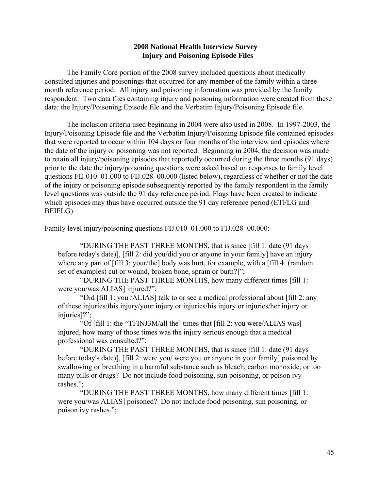# **2008 National Health Interview Survey Injury and Poisoning Episode Files**

The Family Core portion of the 2008 survey included questions about medically consulted injuries and poisonings that occurred for any member of the family within a threemonth reference period. All injury and poisoning information was provided by the family respondent. Two data files containing injury and poisoning information were created from these data: the Injury/Poisoning Episode file and the Verbatim Injury/Poisoning Episode file.

The inclusion criteria used beginning in 2004 were also used in 2008. In 1997-2003, the Injury/Poisoning Episode file and the Verbatim Injury/Poisoning Episode file contained episodes that were reported to occur within 104 days or four months of the interview and episodes where the date of the injury or poisoning was not reported. Beginning in 2004, the decision was made to retain all injury/poisoning episodes that reportedly occurred during the three months (91 days) prior to the date the injury/poisoning questions were asked based on responses to family level questions FIJ.010 01.000 to FIJ.028 00.000 (listed below), regardless of whether or not the date of the injury or poisoning episode subsequently reported by the family respondent in the family level questions was outside the 91 day reference period. Flags have been created to indicate which episodes may thus have occurred outside the 91 day reference period (ETFLG and BEIFLG).

Family level injury/poisoning questions FIJ.010 01.000 to FIJ.028 00.000:

"DURING THE PAST THREE MONTHS, that is since [fill 1: date (91 days before today's date)], [fill 2: did you/did you or anyone in your family] have an injury where any part of [fill 3: your/the] body was hurt, for example, with a [fill 4: (random set of examples) cut or wound, broken bone, sprain or burn?]";

"DURING THE PAST THREE MONTHS, how many different times [fill 1: were you/was ALIAS] injured?";

"Did [fill 1: you /ALIAS] talk to or see a medical professional about [fill 2: any of these injuries/this injury/your injury or injuries/his injury or injuries/her injury or injuries]?";

"Of [fill 1: the ^TFINJ3M/all the] times that [fill 2: you were/ALIAS was] injured, how many of those times was the injury serious enough that a medical professional was consulted?";

"DURING THE PAST THREE MONTHS, that is since [fill 1: date (91 days before today's date)], [fill 2: were you/ were you or anyone in your family] poisoned by swallowing or breathing in a harmful substance such as bleach, carbon monoxide, or too many pills or drugs? Do not include food poisoning, sun poisoning, or poison ivy rashes.";

"DURING THE PAST THREE MONTHS, how many different times [fill 1: were you/was ALIAS] poisoned? Do not include food poisoning, sun poisoning, or poison ivy rashes.";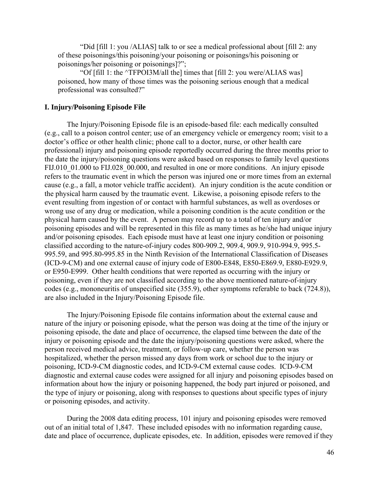"Did [fill 1: you /ALIAS] talk to or see a medical professional about [fill 2: any of these poisonings/this poisoning/your poisoning or poisonings/his poisoning or poisonings/her poisoning or poisonings]?";

"Of [fill 1: the ^TFPOI3M/all the] times that [fill 2: you were/ALIAS was] poisoned, how many of those times was the poisoning serious enough that a medical professional was consulted?"

## **I. Injury/Poisoning Episode File**

The Injury/Poisoning Episode file is an episode-based file: each medically consulted (e.g., call to a poison control center; use of an emergency vehicle or emergency room; visit to a doctor's office or other health clinic; phone call to a doctor, nurse, or other health care professional) injury and poisoning episode reportedly occurred during the three months prior to the date the injury/poisoning questions were asked based on responses to family level questions FIJ.010 01.000 to FIJ.028 00.000, and resulted in one or more conditions. An injury episode refers to the traumatic event in which the person was injured one or more times from an external cause (e.g., a fall, a motor vehicle traffic accident). An injury condition is the acute condition or the physical harm caused by the traumatic event. Likewise, a poisoning episode refers to the event resulting from ingestion of or contact with harmful substances, as well as overdoses or wrong use of any drug or medication, while a poisoning condition is the acute condition or the physical harm caused by the event. A person may record up to a total of ten injury and/or poisoning episodes and will be represented in this file as many times as he/she had unique injury and/or poisoning episodes. Each episode must have at least one injury condition or poisoning classified according to the nature-of-injury codes 800-909.2, 909.4, 909.9, 910-994.9, 995.5 995.59, and 995.80-995.85 in the Ninth Revision of the International Classification of Diseases (ICD-9-CM) and one external cause of injury code of E800-E848, E850-E869.9, E880-E929.9, or E950-E999. Other health conditions that were reported as occurring with the injury or poisoning, even if they are not classified according to the above mentioned nature-of-injury codes (e.g., mononeuritis of unspecified site (355.9), other symptoms referable to back (724.8)), are also included in the Injury/Poisoning Episode file.

The Injury/Poisoning Episode file contains information about the external cause and nature of the injury or poisoning episode, what the person was doing at the time of the injury or poisoning episode, the date and place of occurrence, the elapsed time between the date of the injury or poisoning episode and the date the injury/poisoning questions were asked, where the person received medical advice, treatment, or follow-up care, whether the person was hospitalized, whether the person missed any days from work or school due to the injury or poisoning, ICD-9-CM diagnostic codes, and ICD-9-CM external cause codes. ICD-9-CM diagnostic and external cause codes were assigned for all injury and poisoning episodes based on information about how the injury or poisoning happened, the body part injured or poisoned, and the type of injury or poisoning, along with responses to questions about specific types of injury or poisoning episodes, and activity.

During the 2008 data editing process, 101 injury and poisoning episodes were removed out of an initial total of 1,847. These included episodes with no information regarding cause, date and place of occurrence, duplicate episodes, etc. In addition, episodes were removed if they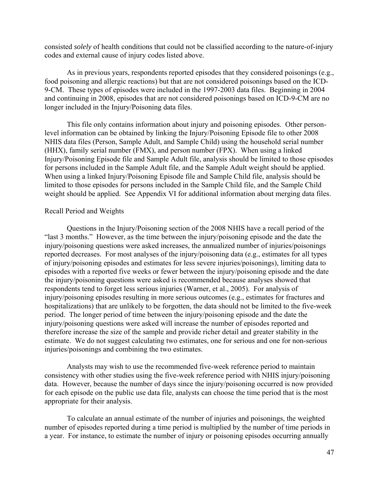consisted *solely* of health conditions that could not be classified according to the nature-of-injury codes and external cause of injury codes listed above.

As in previous years, respondents reported episodes that they considered poisonings (e.g., food poisoning and allergic reactions) but that are not considered poisonings based on the ICD-9-CM. These types of episodes were included in the 1997-2003 data files. Beginning in 2004 and continuing in 2008, episodes that are not considered poisonings based on ICD-9-CM are no longer included in the Injury/Poisoning data files.

This file only contains information about injury and poisoning episodes. Other personlevel information can be obtained by linking the Injury/Poisoning Episode file to other 2008 NHIS data files (Person, Sample Adult, and Sample Child) using the household serial number (HHX), family serial number (FMX), and person number (FPX). When using a linked Injury/Poisoning Episode file and Sample Adult file, analysis should be limited to those episodes for persons included in the Sample Adult file, and the Sample Adult weight should be applied. When using a linked Injury/Poisoning Episode file and Sample Child file, analysis should be limited to those episodes for persons included in the Sample Child file, and the Sample Child weight should be applied. See Appendix VI for additional information about merging data files.

#### Recall Period and Weights

Questions in the Injury/Poisoning section of the 2008 NHIS have a recall period of the "last 3 months." However, as the time between the injury/poisoning episode and the date the injury/poisoning questions were asked increases, the annualized number of injuries/poisonings reported decreases. For most analyses of the injury/poisoning data (e.g., estimates for all types of injury/poisoning episodes and estimates for less severe injuries/poisonings), limiting data to episodes with a reported five weeks or fewer between the injury/poisoning episode and the date the injury/poisoning questions were asked is recommended because analyses showed that respondents tend to forget less serious injuries (Warner, et al., 2005). For analysis of injury/poisoning episodes resulting in more serious outcomes (e.g., estimates for fractures and hospitalizations) that are unlikely to be forgotten, the data should not be limited to the five-week period. The longer period of time between the injury/poisoning episode and the date the injury/poisoning questions were asked will increase the number of episodes reported and therefore increase the size of the sample and provide richer detail and greater stability in the estimate. We do not suggest calculating two estimates, one for serious and one for non-serious injuries/poisonings and combining the two estimates.

Analysts may wish to use the recommended five-week reference period to maintain consistency with other studies using the five-week reference period with NHIS injury/poisoning data. However, because the number of days since the injury/poisoning occurred is now provided for each episode on the public use data file, analysts can choose the time period that is the most appropriate for their analysis.

To calculate an annual estimate of the number of injuries and poisonings, the weighted number of episodes reported during a time period is multiplied by the number of time periods in a year. For instance, to estimate the number of injury or poisoning episodes occurring annually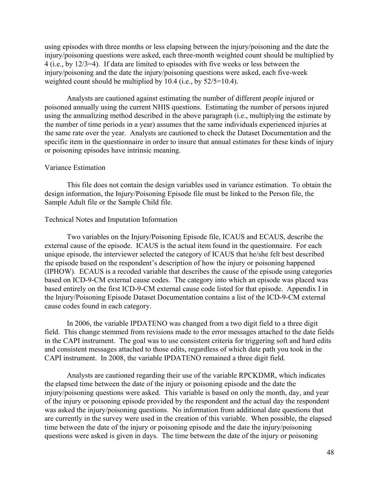using episodes with three months or less elapsing between the injury/poisoning and the date the injury/poisoning questions were asked, each three-month weighted count should be multiplied by 4 (i.e., by 12/3=4). If data are limited to episodes with five weeks or less between the injury/poisoning and the date the injury/poisoning questions were asked, each five-week weighted count should be multiplied by 10.4 (i.e., by 52/5=10.4).

Analysts are cautioned against estimating the number of different *people* injured or poisoned annually using the current NHIS questions. Estimating the number of persons injured using the annualizing method described in the above paragraph (i.e., multiplying the estimate by the number of time periods in a year) assumes that the same individuals experienced injuries at the same rate over the year. Analysts are cautioned to check the Dataset Documentation and the specific item in the questionnaire in order to insure that annual estimates for these kinds of injury or poisoning episodes have intrinsic meaning.

## Variance Estimation

This file does not contain the design variables used in variance estimation. To obtain the design information, the Injury/Poisoning Episode file must be linked to the Person file, the Sample Adult file or the Sample Child file.

## Technical Notes and Imputation Information

Two variables on the Injury/Poisoning Episode file, ICAUS and ECAUS, describe the external cause of the episode. ICAUS is the actual item found in the questionnaire. For each unique episode, the interviewer selected the category of ICAUS that he/she felt best described the episode based on the respondent's description of how the injury or poisoning happened (IPHOW). ECAUS is a recoded variable that describes the cause of the episode using categories based on ICD-9-CM external cause codes. The category into which an episode was placed was based entirely on the first ICD-9-CM external cause code listed for that episode. Appendix I in the Injury/Poisoning Episode Dataset Documentation contains a list of the ICD-9-CM external cause codes found in each category.

In 2006, the variable IPDATENO was changed from a two digit field to a three digit field. This change stemmed from revisions made to the error messages attached to the date fields in the CAPI instrument. The goal was to use consistent criteria for triggering soft and hard edits and consistent messages attached to those edits, regardless of which date path you took in the CAPI instrument. In 2008, the variable IPDATENO remained a three digit field.

Analysts are cautioned regarding their use of the variable RPCKDMR, which indicates the elapsed time between the date of the injury or poisoning episode and the date the injury/poisoning questions were asked. This variable is based on only the month, day, and year of the injury or poisoning episode provided by the respondent and the actual day the respondent was asked the injury/poisoning questions. No information from additional date questions that are currently in the survey were used in the creation of this variable. When possible, the elapsed time between the date of the injury or poisoning episode and the date the injury/poisoning questions were asked is given in days. The time between the date of the injury or poisoning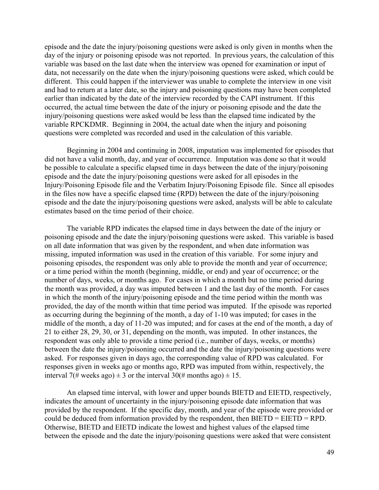episode and the date the injury/poisoning questions were asked is only given in months when the day of the injury or poisoning episode was not reported. In previous years, the calculation of this variable was based on the last date when the interview was opened for examination or input of data, not necessarily on the date when the injury/poisoning questions were asked, which could be different. This could happen if the interviewer was unable to complete the interview in one visit and had to return at a later date, so the injury and poisoning questions may have been completed earlier than indicated by the date of the interview recorded by the CAPI instrument. If this occurred, the actual time between the date of the injury or poisoning episode and the date the injury/poisoning questions were asked would be less than the elapsed time indicated by the variable RPCKDMR. Beginning in 2004, the actual date when the injury and poisoning questions were completed was recorded and used in the calculation of this variable.

Beginning in 2004 and continuing in 2008, imputation was implemented for episodes that did not have a valid month, day, and year of occurrence. Imputation was done so that it would be possible to calculate a specific elapsed time in days between the date of the injury/poisoning episode and the date the injury/poisoning questions were asked for all episodes in the Injury/Poisoning Episode file and the Verbatim Injury/Poisoning Episode file. Since all episodes in the files now have a specific elapsed time (RPD) between the date of the injury/poisoning episode and the date the injury/poisoning questions were asked, analysts will be able to calculate estimates based on the time period of their choice.

The variable RPD indicates the elapsed time in days between the date of the injury or poisoning episode and the date the injury/poisoning questions were asked. This variable is based on all date information that was given by the respondent, and when date information was missing, imputed information was used in the creation of this variable. For some injury and poisoning episodes, the respondent was only able to provide the month and year of occurrence; or a time period within the month (beginning, middle, or end) and year of occurrence; or the number of days, weeks, or months ago. For cases in which a month but no time period during the month was provided, a day was imputed between 1 and the last day of the month. For cases in which the month of the injury/poisoning episode and the time period within the month was provided, the day of the month within that time period was imputed. If the episode was reported as occurring during the beginning of the month, a day of 1-10 was imputed; for cases in the middle of the month, a day of 11-20 was imputed; and for cases at the end of the month, a day of 21 to either 28, 29, 30, or 31, depending on the month, was imputed. In other instances, the respondent was only able to provide a time period (i.e., number of days, weeks, or months) between the date the injury/poisoning occurred and the date the injury/poisoning questions were asked. For responses given in days ago, the corresponding value of RPD was calculated. For responses given in weeks ago or months ago, RPD was imputed from within, respectively, the interval 7(# weeks ago)  $\pm$  3 or the interval 30(# months ago)  $\pm$  15.

An elapsed time interval, with lower and upper bounds BIETD and EIETD, respectively, indicates the amount of uncertainty in the injury/poisoning episode date information that was provided by the respondent. If the specific day, month, and year of the episode were provided or could be deduced from information provided by the respondent, then BIETD = EIETD = RPD. Otherwise, BIETD and EIETD indicate the lowest and highest values of the elapsed time between the episode and the date the injury/poisoning questions were asked that were consistent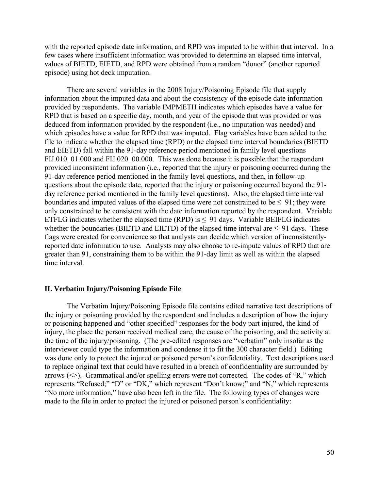with the reported episode date information, and RPD was imputed to be within that interval. In a few cases where insufficient information was provided to determine an elapsed time interval, values of BIETD, EIETD, and RPD were obtained from a random "donor" (another reported episode) using hot deck imputation.

There are several variables in the 2008 Injury/Poisoning Episode file that supply information about the imputed data and about the consistency of the episode date information provided by respondents. The variable IMPMETH indicates which episodes have a value for RPD that is based on a specific day, month, and year of the episode that was provided or was deduced from information provided by the respondent (i.e., no imputation was needed) and which episodes have a value for RPD that was imputed. Flag variables have been added to the file to indicate whether the elapsed time (RPD) or the elapsed time interval boundaries (BIETD and EIETD) fall within the 91-day reference period mentioned in family level questions FIJ.010 01.000 and FIJ.020 00.000. This was done because it is possible that the respondent provided inconsistent information (i.e., reported that the injury or poisoning occurred during the 91-day reference period mentioned in the family level questions, and then, in follow-up questions about the episode date, reported that the injury or poisoning occurred beyond the 91 day reference period mentioned in the family level questions). Also, the elapsed time interval boundaries and imputed values of the elapsed time were not constrained to be  $\leq 91$ ; they were only constrained to be consistent with the date information reported by the respondent. Variable ETFLG indicates whether the elapsed time (RPD) is  $\leq$  91 days. Variable BEIFLG indicates whether the boundaries (BIETD and EIETD) of the elapsed time interval are  $\leq$  91 days. These flags were created for convenience so that analysts can decide which version of inconsistentlyreported date information to use. Analysts may also choose to re-impute values of RPD that are greater than 91, constraining them to be within the 91-day limit as well as within the elapsed time interval.

#### **II. Verbatim Injury/Poisoning Episode File**

The Verbatim Injury/Poisoning Episode file contains edited narrative text descriptions of the injury or poisoning provided by the respondent and includes a description of how the injury or poisoning happened and "other specified" responses for the body part injured, the kind of injury, the place the person received medical care, the cause of the poisoning, and the activity at the time of the injury/poisoning. (The pre-edited responses are "verbatim" only insofar as the interviewer could type the information and condense it to fit the 300 character field.) Editing was done only to protect the injured or poisoned person's confidentiality. Text descriptions used to replace original text that could have resulted in a breach of confidentiality are surrounded by arrows  $(\leq)$ . Grammatical and/or spelling errors were not corrected. The codes of "R," which represents "Refused;" "D" or "DK," which represent "Don't know;" and "N," which represents "No more information," have also been left in the file. The following types of changes were made to the file in order to protect the injured or poisoned person's confidentiality: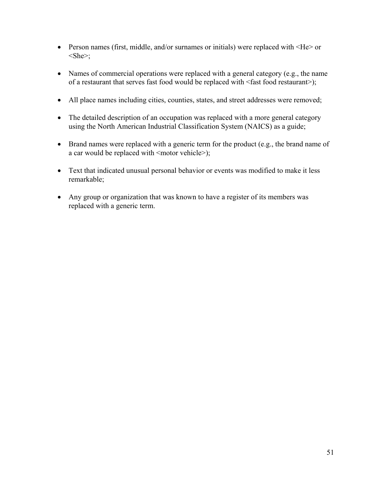- Person names (first, middle, and/or surnames or initials) were replaced with  $\leq$ He $\geq$  or  $\langle$ She $\rangle$ ;
- Names of commercial operations were replaced with a general category (e.g., the name of a restaurant that serves fast food would be replaced with <fast food restaurant>);
- All place names including cities, counties, states, and street addresses were removed;
- The detailed description of an occupation was replaced with a more general category using the North American Industrial Classification System (NAICS) as a guide;
- Brand names were replaced with a generic term for the product (e.g., the brand name of a car would be replaced with <motor vehicle>);
- Text that indicated unusual personal behavior or events was modified to make it less remarkable;
- Any group or organization that was known to have a register of its members was replaced with a generic term.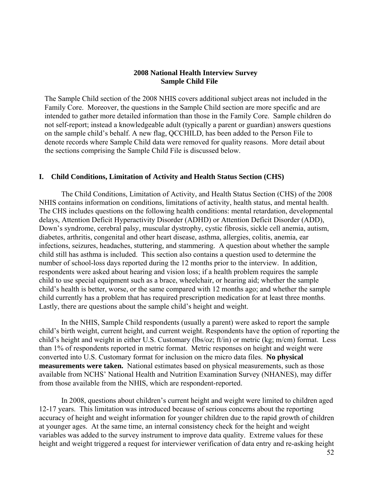# **2008 National Health Interview Survey Sample Child File**

The Sample Child section of the 2008 NHIS covers additional subject areas not included in the Family Core. Moreover, the questions in the Sample Child section are more specific and are intended to gather more detailed information than those in the Family Core. Sample children do not self-report; instead a knowledgeable adult (typically a parent or guardian) answers questions on the sample child's behalf. A new flag, QCCHILD, has been added to the Person File to denote records where Sample Child data were removed for quality reasons. More detail about the sections comprising the Sample Child File is discussed below.

## **I. Child Conditions, Limitation of Activity and Health Status Section (CHS)**

The Child Conditions, Limitation of Activity, and Health Status Section (CHS) of the 2008 NHIS contains information on conditions, limitations of activity, health status, and mental health. The CHS includes questions on the following health conditions: mental retardation, developmental delays, Attention Deficit Hyperactivity Disorder (ADHD) or Attention Deficit Disorder (ADD), Down's syndrome, cerebral palsy, muscular dystrophy, cystic fibrosis, sickle cell anemia, autism, diabetes, arthritis, congenital and other heart disease, asthma, allergies, colitis, anemia, ear infections, seizures, headaches, stuttering, and stammering. A question about whether the sample child still has asthma is included. This section also contains a question used to determine the number of school-loss days reported during the 12 months prior to the interview. In addition, respondents were asked about hearing and vision loss; if a health problem requires the sample child to use special equipment such as a brace, wheelchair, or hearing aid; whether the sample child's health is better, worse, or the same compared with 12 months ago; and whether the sample child currently has a problem that has required prescription medication for at least three months. Lastly, there are questions about the sample child's height and weight.

In the NHIS, Sample Child respondents (usually a parent) were asked to report the sample child's birth weight, current height, and current weight. Respondents have the option of reporting the child's height and weight in either U.S. Customary (lbs/oz; ft/in) or metric (kg; m/cm) format. Less than 1% of respondents reported in metric format. Metric responses on height and weight were converted into U.S. Customary format for inclusion on the micro data files. **No physical measurements were taken.** National estimates based on physical measurements, such as those available from NCHS' National Health and Nutrition Examination Survey (NHANES), may differ from those available from the NHIS, which are respondent-reported.

In 2008, questions about children's current height and weight were limited to children aged 12-17 years. This limitation was introduced because of serious concerns about the reporting accuracy of height and weight information for younger children due to the rapid growth of children at younger ages. At the same time, an internal consistency check for the height and weight variables was added to the survey instrument to improve data quality. Extreme values for these height and weight triggered a request for interviewer verification of data entry and re-asking height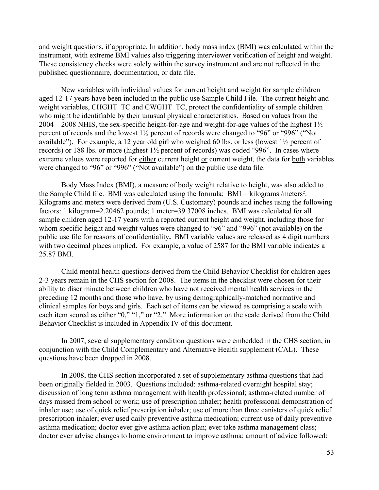and weight questions, if appropriate. In addition, body mass index (BMI) was calculated within the instrument, with extreme BMI values also triggering interviewer verification of height and weight. These consistency checks were solely within the survey instrument and are not reflected in the published questionnaire, documentation, or data file.

New variables with individual values for current height and weight for sample children aged 12-17 years have been included in the public use Sample Child File. The current height and weight variables, CHGHT\_TC and CWGHT\_TC, protect the confidentiality of sample children who might be identifiable by their unusual physical characteristics. Based on values from the  $2004 - 2008$  NHIS, the sex-specific height-for-age and weight-for-age values of the highest  $1\frac{1}{2}$ percent of records and the lowest 1½ percent of records were changed to "96" or "996" ("Not available"). For example, a 12 year old girl who weighed 60 lbs. or less (lowest 1½ percent of records) or 188 lbs. or more (highest 1½ percent of records) was coded "996". In cases where extreme values were reported for either current height or current weight, the data for both variables were changed to "96" or "996" ("Not available") on the public use data file.

25.87 BMI. Body Mass Index (BMI), a measure of body weight relative to height, was also added to the Sample Child file. BMI was calculated using the formula: BMI = kilograms /meters². Kilograms and meters were derived from (U.S. Customary) pounds and inches using the following factors: 1 kilogram=2.20462 pounds; 1 meter=39.37008 inches. BMI was calculated for all sample children aged 12-17 years with a reported current height and weight, including those for whom specific height and weight values were changed to "96" and "996" (not available) on the public use file for reasons of confidentiality**.** BMI variable values are released as 4 digit numbers with two decimal places implied. For example, a value of 2587 for the BMI variable indicates a

Child mental health questions derived from the Child Behavior Checklist for children ages 2-3 years remain in the CHS section for 2008. The items in the checklist were chosen for their ability to discriminate between children who have not received mental health services in the preceding 12 months and those who have, by using demographically-matched normative and clinical samples for boys and girls. Each set of items can be viewed as comprising a scale with each item scored as either "0," "1," or "2." More information on the scale derived from the Child Behavior Checklist is included in Appendix IV of this document.

In 2007, several supplementary condition questions were embedded in the CHS section, in conjunction with the Child Complementary and Alternative Health supplement (CAL). These questions have been dropped in 2008.

In 2008, the CHS section incorporated a set of supplementary asthma questions that had been originally fielded in 2003. Questions included: asthma-related overnight hospital stay; discussion of long term asthma management with health professional; asthma-related number of days missed from school or work; use of prescription inhaler; health professional demonstration of inhaler use; use of quick relief prescription inhaler; use of more than three canisters of quick relief prescription inhaler; ever used daily preventive asthma medication; current use of daily preventive asthma medication; doctor ever give asthma action plan; ever take asthma management class; doctor ever advise changes to home environment to improve asthma; amount of advice followed;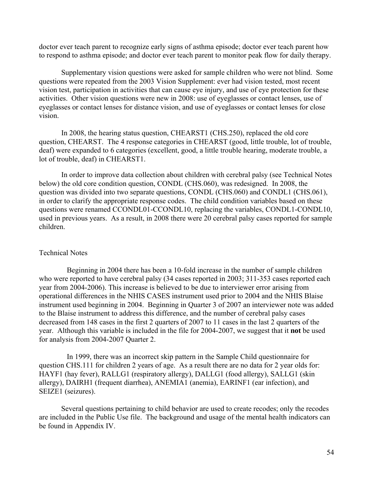doctor ever teach parent to recognize early signs of asthma episode; doctor ever teach parent how to respond to asthma episode; and doctor ever teach parent to monitor peak flow for daily therapy.

Supplementary vision questions were asked for sample children who were not blind. Some questions were repeated from the 2003 Vision Supplement: ever had vision tested, most recent vision test, participation in activities that can cause eye injury, and use of eye protection for these activities. Other vision questions were new in 2008: use of eyeglasses or contact lenses, use of eyeglasses or contact lenses for distance vision, and use of eyeglasses or contact lenses for close vision.

In 2008, the hearing status question, CHEARST1 (CHS.250), replaced the old core question, CHEARST. The 4 response categories in CHEARST (good, little trouble, lot of trouble, deaf) were expanded to 6 categories (excellent, good, a little trouble hearing, moderate trouble, a lot of trouble, deaf) in CHEARST1.

In order to improve data collection about children with cerebral palsy (see Technical Notes below) the old core condition question, CONDL (CHS.060), was redesigned. In 2008, the question was divided into two separate questions, CONDL (CHS.060) and CONDL1 (CHS.061), in order to clarify the appropriate response codes. The child condition variables based on these questions were renamed CCONDL01-CCONDL10, replacing the variables, CONDL1-CONDL10, used in previous years. As a result, in 2008 there were 20 cerebral palsy cases reported for sample children.

## Technical Notes

Beginning in 2004 there has been a 10-fold increase in the number of sample children who were reported to have cerebral palsy (34 cases reported in 2003; 311-353 cases reported each year from 2004-2006). This increase is believed to be due to interviewer error arising from operational differences in the NHIS CASES instrument used prior to 2004 and the NHIS Blaise instrument used beginning in 2004. Beginning in Quarter 3 of 2007 an interviewer note was added to the Blaise instrument to address this difference, and the number of cerebral palsy cases decreased from 148 cases in the first 2 quarters of 2007 to 11 cases in the last 2 quarters of the year. Although this variable is included in the file for 2004-2007, we suggest that it **not** be used for analysis from 2004-2007 Quarter 2.

In 1999, there was an incorrect skip pattern in the Sample Child questionnaire for question CHS.111 for children 2 years of age. As a result there are no data for 2 year olds for: HAYF1 (hay fever), RALLG1 (respiratory allergy), DALLG1 (food allergy), SALLG1 (skin allergy), DAIRH1 (frequent diarrhea), ANEMIA1 (anemia), EARINF1 (ear infection), and SEIZE1 (seizures).

Several questions pertaining to child behavior are used to create recodes; only the recodes are included in the Public Use file. The background and usage of the mental health indicators can be found in Appendix IV.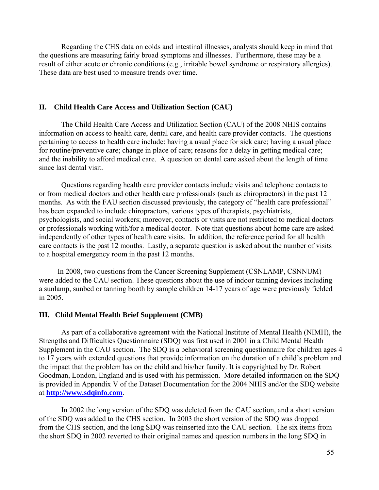Regarding the CHS data on colds and intestinal illnesses, analysts should keep in mind that the questions are measuring fairly broad symptoms and illnesses. Furthermore, these may be a result of either acute or chronic conditions (e.g., irritable bowel syndrome or respiratory allergies). These data are best used to measure trends over time.

#### **II. Child Health Care Access and Utilization Section (CAU)**

The Child Health Care Access and Utilization Section (CAU) of the 2008 NHIS contains information on access to health care, dental care, and health care provider contacts. The questions pertaining to access to health care include: having a usual place for sick care; having a usual place for routine/preventive care; change in place of care; reasons for a delay in getting medical care; and the inability to afford medical care. A question on dental care asked about the length of time since last dental visit.

Questions regarding health care provider contacts include visits and telephone contacts to or from medical doctors and other health care professionals (such as chiropractors) in the past 12 months. As with the FAU section discussed previously, the category of "health care professional" has been expanded to include chiropractors, various types of therapists, psychiatrists, psychologists, and social workers; moreover, contacts or visits are not restricted to medical doctors or professionals working with/for a medical doctor. Note that questions about home care are asked independently of other types of health care visits. In addition, the reference period for all health care contacts is the past 12 months. Lastly, a separate question is asked about the number of visits to a hospital emergency room in the past 12 months.

 In 2008, two questions from the Cancer Screening Supplement (CSNLAMP, CSNNUM) were added to the CAU section. These questions about the use of indoor tanning devices including a sunlamp, sunbed or tanning booth by sample children 14-17 years of age were previously fielded in 2005.

## **III. Child Mental Health Brief Supplement (CMB)**

As part of a collaborative agreement with the National Institute of Mental Health (NIMH), the Strengths and Difficulties Questionnaire (SDQ) was first used in 2001 in a Child Mental Health Supplement in the CAU section. The SDQ is a behavioral screening questionnaire for children ages 4 to 17 years with extended questions that provide information on the duration of a child's problem and the impact that the problem has on the child and his/her family. It is copyrighted by Dr. Robert Goodman, London, England and is used with his permission. More detailed information on the SDQ is provided in Appendix V of the Dataset Documentation for the 2004 NHIS and/or the SDQ website at **<http://www.sdqinfo.com>**.

In 2002 the long version of the SDQ was deleted from the CAU section, and a short version of the SDQ was added to the CHS section. In 2003 the short version of the SDQ was dropped from the CHS section, and the long SDQ was reinserted into the CAU section. The six items from the short SDQ in 2002 reverted to their original names and question numbers in the long SDQ in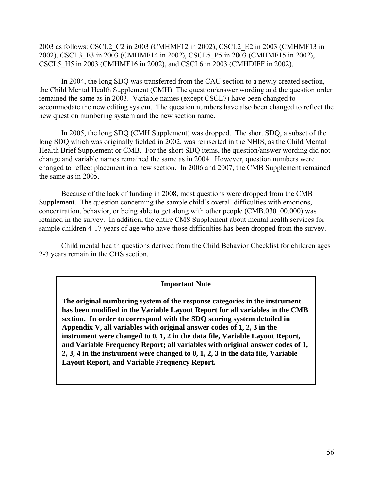2003 as follows: CSCL2\_C2 in 2003 (CMHMF12 in 2002), CSCL2\_E2 in 2003 (CMHMF13 in 2002), CSCL3\_E3 in 2003 (CMHMF14 in 2002), CSCL5\_P5 in 2003 (CMHMF15 in 2002), CSCL5\_H5 in 2003 (CMHMF16 in 2002), and CSCL6 in 2003 (CMHDIFF in 2002).

In 2004, the long SDQ was transferred from the CAU section to a newly created section, the Child Mental Health Supplement (CMH). The question/answer wording and the question order remained the same as in 2003. Variable names (except CSCL7) have been changed to accommodate the new editing system. The question numbers have also been changed to reflect the new question numbering system and the new section name.

In 2005, the long SDQ (CMH Supplement) was dropped. The short SDQ, a subset of the long SDQ which was originally fielded in 2002, was reinserted in the NHIS, as the Child Mental Health Brief Supplement or CMB. For the short SDQ items, the question/answer wording did not change and variable names remained the same as in 2004. However, question numbers were changed to reflect placement in a new section. In 2006 and 2007, the CMB Supplement remained the same as in 2005.

Because of the lack of funding in 2008, most questions were dropped from the CMB Supplement. The question concerning the sample child's overall difficulties with emotions, concentration, behavior, or being able to get along with other people (CMB.030\_00.000) was retained in the survey. In addition, the entire CMS Supplement about mental health services for sample children 4-17 years of age who have those difficulties has been dropped from the survey.

Child mental health questions derived from the Child Behavior Checklist for children ages 2-3 years remain in the CHS section.

## **Important Note**

**The original numbering system of the response categories in the instrument has been modified in the Variable Layout Report for all variables in the CMB section. In order to correspond with the SDQ scoring system detailed in Appendix V, all variables with original answer codes of 1, 2, 3 in the instrument were changed to 0, 1, 2 in the data file, Variable Layout Report, and Variable Frequency Report; all variables with original answer codes of 1, 2, 3, 4 in the instrument were changed to 0, 1, 2, 3 in the data file, Variable Layout Report, and Variable Frequency Report.**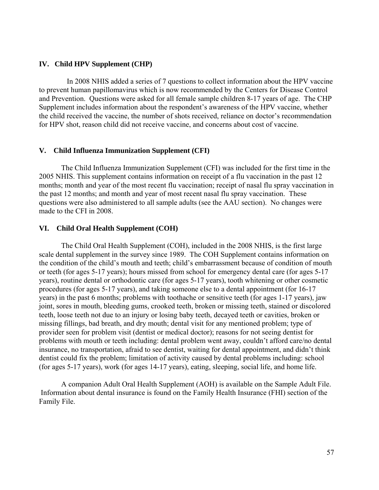## **IV. Child HPV Supplement (CHP)**

In 2008 NHIS added a series of 7 questions to collect information about the HPV vaccine to prevent human papillomavirus which is now recommended by the Centers for Disease Control and Prevention. Questions were asked for all female sample children 8-17 years of age. The CHP Supplement includes information about the respondent's awareness of the HPV vaccine, whether the child received the vaccine, the number of shots received, reliance on doctor's recommendation for HPV shot, reason child did not receive vaccine, and concerns about cost of vaccine.

## **V. Child Influenza Immunization Supplement (CFI)**

The Child Influenza Immunization Supplement (CFI) was included for the first time in the 2005 NHIS. This supplement contains information on receipt of a flu vaccination in the past 12 months; month and year of the most recent flu vaccination; receipt of nasal flu spray vaccination in the past 12 months; and month and year of most recent nasal flu spray vaccination. These questions were also administered to all sample adults (see the AAU section). No changes were made to the CFI in 2008.

## **VI. Child Oral Health Supplement (COH)**

The Child Oral Health Supplement (COH), included in the 2008 NHIS, is the first large scale dental supplement in the survey since 1989. The COH Supplement contains information on the condition of the child's mouth and teeth; child's embarrassment because of condition of mouth or teeth (for ages 5-17 years); hours missed from school for emergency dental care (for ages 5-17 years), routine dental or orthodontic care (for ages 5-17 years), tooth whitening or other cosmetic procedures (for ages 5-17 years), and taking someone else to a dental appointment (for 16-17 years) in the past 6 months; problems with toothache or sensitive teeth (for ages 1-17 years), jaw joint, sores in mouth, bleeding gums, crooked teeth, broken or missing teeth, stained or discolored teeth, loose teeth not due to an injury or losing baby teeth, decayed teeth or cavities, broken or missing fillings, bad breath, and dry mouth; dental visit for any mentioned problem; type of provider seen for problem visit (dentist or medical doctor); reasons for not seeing dentist for problems with mouth or teeth including: dental problem went away, couldn't afford care/no dental insurance, no transportation, afraid to see dentist, waiting for dental appointment, and didn't think dentist could fix the problem; limitation of activity caused by dental problems including: school (for ages 5-17 years), work (for ages 14-17 years), eating, sleeping, social life, and home life.

A companion Adult Oral Health Supplement (AOH) is available on the Sample Adult File. Information about dental insurance is found on the Family Health Insurance (FHI) section of the Family File.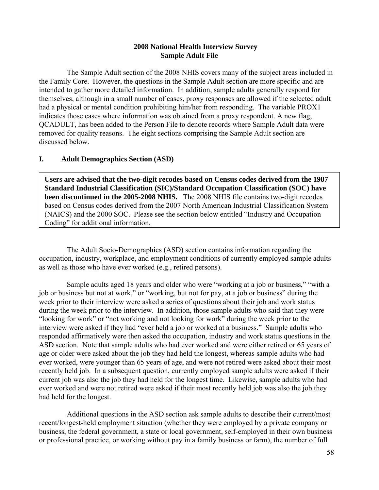# **2008 National Health Interview Survey Sample Adult File**

The Sample Adult section of the 2008 NHIS covers many of the subject areas included in the Family Core. However, the questions in the Sample Adult section are more specific and are intended to gather more detailed information. In addition, sample adults generally respond for themselves, although in a small number of cases, proxy responses are allowed if the selected adult had a physical or mental condition prohibiting him/her from responding. The variable PROX1 indicates those cases where information was obtained from a proxy respondent. A new flag, QCADULT, has been added to the Person File to denote records where Sample Adult data were removed for quality reasons. The eight sections comprising the Sample Adult section are discussed below.

# **I. Adult Demographics Section (ASD)**

**Users are advised that the two-digit recodes based on Census codes derived from the 1987 Standard Industrial Classification (SIC)/Standard Occupation Classification (SOC) have been discontinued in the 2005-2008 NHIS.** The 2008 NHIS file contains two-digit recodes based on Census codes derived from the 2007 North American Industrial Classification System (NAICS) and the 2000 SOC. Please see the section below entitled "Industry and Occupation Coding" for additional information.

The Adult Socio-Demographics (ASD) section contains information regarding the occupation, industry, workplace, and employment conditions of currently employed sample adults as well as those who have ever worked (e.g., retired persons).

Sample adults aged 18 years and older who were "working at a job or business," "with a job or business but not at work," or "working, but not for pay, at a job or business" during the week prior to their interview were asked a series of questions about their job and work status during the week prior to the interview. In addition, those sample adults who said that they were "looking for work" or "not working and not looking for work" during the week prior to the interview were asked if they had "ever held a job or worked at a business." Sample adults who responded affirmatively were then asked the occupation, industry and work status questions in the ASD section. Note that sample adults who had ever worked and were either retired or 65 years of age or older were asked about the job they had held the longest, whereas sample adults who had ever worked, were younger than 65 years of age, and were not retired were asked about their most recently held job. In a subsequent question, currently employed sample adults were asked if their current job was also the job they had held for the longest time. Likewise, sample adults who had ever worked and were not retired were asked if their most recently held job was also the job they had held for the longest.

Additional questions in the ASD section ask sample adults to describe their current/most recent/longest-held employment situation (whether they were employed by a private company or business, the federal government, a state or local government, self-employed in their own business or professional practice, or working without pay in a family business or farm), the number of full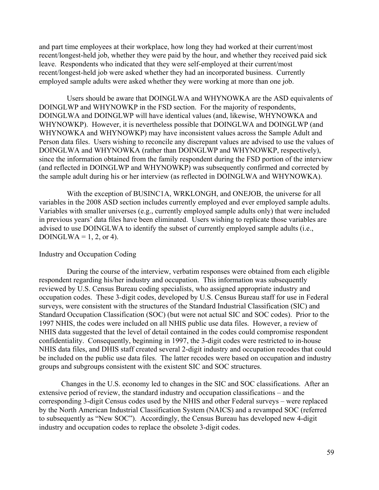and part time employees at their workplace, how long they had worked at their current/most recent/longest-held job, whether they were paid by the hour, and whether they received paid sick leave. Respondents who indicated that they were self-employed at their current/most recent/longest-held job were asked whether they had an incorporated business. Currently employed sample adults were asked whether they were working at more than one job.

Users should be aware that DOINGLWA and WHYNOWKA are the ASD equivalents of DOINGLWP and WHYNOWKP in the FSD section. For the majority of respondents, DOINGLWA and DOINGLWP will have identical values (and, likewise, WHYNOWKA and WHYNOWKP). However, it is nevertheless possible that DOINGLWA and DOINGLWP (and WHYNOWKA and WHYNOWKP) may have inconsistent values across the Sample Adult and Person data files. Users wishing to reconcile any discrepant values are advised to use the values of DOINGLWA and WHYNOWKA (rather than DOINGLWP and WHYNOWKP, respectively), since the information obtained from the family respondent during the FSD portion of the interview (and reflected in DOINGLWP and WHYNOWKP) was subsequently confirmed and corrected by the sample adult during his or her interview (as reflected in DOINGLWA and WHYNOWKA).

With the exception of BUSINC1A, WRKLONGH, and ONEJOB, the universe for all variables in the 2008 ASD section includes currently employed and ever employed sample adults. Variables with smaller universes (e.g., currently employed sample adults only) that were included in previous years' data files have been eliminated. Users wishing to replicate those variables are advised to use DOINGLWA to identify the subset of currently employed sample adults (i.e., DOINGLWA =  $1, 2,$  or 4).

## Industry and Occupation Coding

During the course of the interview, verbatim responses were obtained from each eligible respondent regarding his/her industry and occupation. This information was subsequently reviewed by U.S. Census Bureau coding specialists, who assigned appropriate industry and occupation codes. These 3-digit codes, developed by U.S. Census Bureau staff for use in Federal surveys, were consistent with the structures of the Standard Industrial Classification (SIC) and Standard Occupation Classification (SOC) (but were not actual SIC and SOC codes). Prior to the 1997 NHIS, the codes were included on all NHIS public use data files. However, a review of NHIS data suggested that the level of detail contained in the codes could compromise respondent confidentiality. Consequently, beginning in 1997, the 3-digit codes were restricted to in-house NHIS data files, and DHIS staff created several 2-digit industry and occupation recodes that could be included on the public use data files. The latter recodes were based on occupation and industry groups and subgroups consistent with the existent SIC and SOC structures.

Changes in the U.S. economy led to changes in the SIC and SOC classifications. After an extensive period of review, the standard industry and occupation classifications – and the corresponding 3-digit Census codes used by the NHIS and other Federal surveys – were replaced by the North American Industrial Classification System (NAICS) and a revamped SOC (referred to subsequently as "New SOC"). Accordingly, the Census Bureau has developed new 4-digit industry and occupation codes to replace the obsolete 3-digit codes.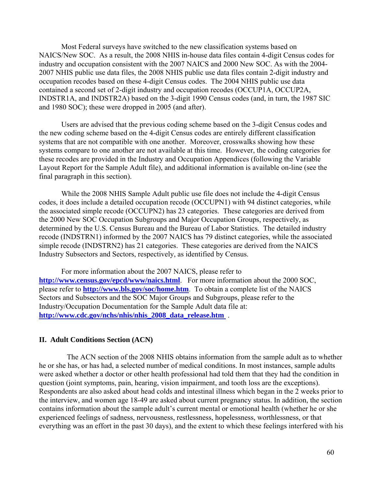Most Federal surveys have switched to the new classification systems based on NAICS/New SOC. As a result, the 2008 NHIS in-house data files contain 4-digit Census codes for industry and occupation consistent with the 2007 NAICS and 2000 New SOC. As with the 2004 2007 NHIS public use data files, the 2008 NHIS public use data files contain 2-digit industry and occupation recodes based on these 4-digit Census codes. The 2004 NHIS public use data contained a second set of 2-digit industry and occupation recodes (OCCUP1A, OCCUP2A, INDSTR1A, and INDSTR2A) based on the 3-digit 1990 Census codes (and, in turn, the 1987 SIC and 1980 SOC); these were dropped in 2005 (and after).

Users are advised that the previous coding scheme based on the 3-digit Census codes and the new coding scheme based on the 4-digit Census codes are entirely different classification systems that are not compatible with one another. Moreover, crosswalks showing how these systems compare to one another are not available at this time. However, the coding categories for these recodes are provided in the Industry and Occupation Appendices (following the Variable Layout Report for the Sample Adult file), and additional information is available on-line (see the final paragraph in this section).

While the 2008 NHIS Sample Adult public use file does not include the 4-digit Census codes, it does include a detailed occupation recode (OCCUPN1) with 94 distinct categories, while the associated simple recode (OCCUPN2) has 23 categories. These categories are derived from the 2000 New SOC Occupation Subgroups and Major Occupation Groups, respectively, as determined by the U.S. Census Bureau and the Bureau of Labor Statistics. The detailed industry recode (INDSTRN1) informed by the 2007 NAICS has 79 distinct categories, while the associated simple recode (INDSTRN2) has 21 categories. These categories are derived from the NAICS Industry Subsectors and Sectors, respectively, as identified by Census.

For more information about the 2007 NAICS, please refer to **<http://www.census.gov/epcd/www/naics.html>**. For more information about the 2000 SOC, please refer to **<http://www.bls.gov/soc/home.htm>**. To obtain a complete list of the NAICS Sectors and Subsectors and the SOC Major Groups and Subgroups, please refer to the Industry/Occupation Documentation for the Sample Adult data file at: **[http://www.cdc.gov/nchs/nhis/nhis\\_2008\\_data\\_release.htm](http://www.cdc.gov/nchs/nhis/nhis_2008_data_release.htm)** .

## **II. Adult Conditions Section (ACN)**

The ACN section of the 2008 NHIS obtains information from the sample adult as to whether he or she has, or has had, a selected number of medical conditions. In most instances, sample adults were asked whether a doctor or other health professional had told them that they had the condition in question (joint symptoms, pain, hearing, vision impairment, and tooth loss are the exceptions). Respondents are also asked about head colds and intestinal illness which began in the 2 weeks prior to the interview, and women age 18-49 are asked about current pregnancy status. In addition, the section contains information about the sample adult's current mental or emotional health (whether he or she experienced feelings of sadness, nervousness, restlessness, hopelessness, worthlessness, or that everything was an effort in the past 30 days), and the extent to which these feelings interfered with his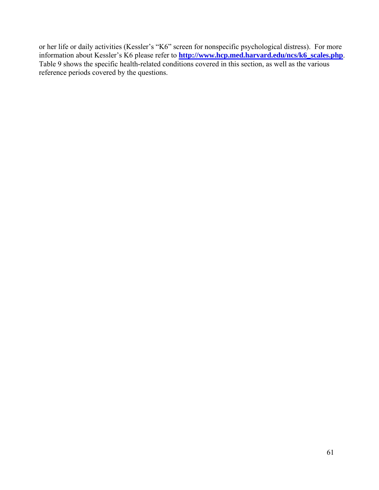or her life or daily activities (Kessler's "K6" screen for nonspecific psychological distress). For more information about Kessler's K6 please refer to **[http://www.hcp.med.harvard.edu/ncs/k6\\_scales.php](http://www.hcp.med.harvard.edu/ncs/k6_scales.php)**. Table 9 shows the specific health-related conditions covered in this section, as well as the various reference periods covered by the questions.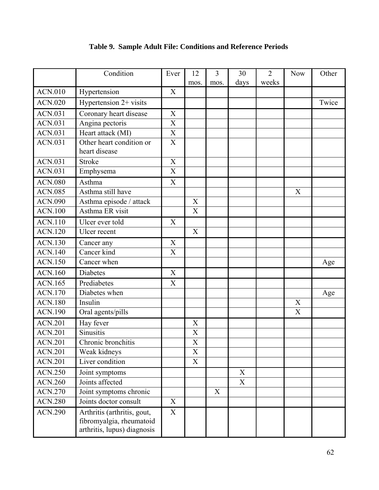|                | Condition                                                                              | Ever                      | 12                        | 3    | 30                        | $\overline{2}$ | <b>Now</b>                | Other |
|----------------|----------------------------------------------------------------------------------------|---------------------------|---------------------------|------|---------------------------|----------------|---------------------------|-------|
|                |                                                                                        |                           | mos.                      | mos. | days                      | weeks          |                           |       |
| <b>ACN.010</b> | Hypertension                                                                           | X                         |                           |      |                           |                |                           |       |
| <b>ACN.020</b> | Hypertension $2+$ visits                                                               |                           |                           |      |                           |                |                           | Twice |
| ACN.031        | Coronary heart disease                                                                 | $\mathbf X$               |                           |      |                           |                |                           |       |
| <b>ACN.031</b> | Angina pectoris                                                                        | X                         |                           |      |                           |                |                           |       |
| <b>ACN.031</b> | Heart attack (MI)                                                                      | $\boldsymbol{\mathrm{X}}$ |                           |      |                           |                |                           |       |
| <b>ACN.031</b> | Other heart condition or<br>heart disease                                              | $\boldsymbol{\mathrm{X}}$ |                           |      |                           |                |                           |       |
| <b>ACN.031</b> | Stroke                                                                                 | $\mathbf X$               |                           |      |                           |                |                           |       |
| <b>ACN.031</b> | Emphysema                                                                              | $\mathbf X$               |                           |      |                           |                |                           |       |
| <b>ACN.080</b> | Asthma                                                                                 | $\boldsymbol{\mathrm{X}}$ |                           |      |                           |                |                           |       |
| <b>ACN.085</b> | Asthma still have                                                                      |                           |                           |      |                           |                | $\boldsymbol{\mathrm{X}}$ |       |
| <b>ACN.090</b> | Asthma episode / attack                                                                |                           | X                         |      |                           |                |                           |       |
| <b>ACN.100</b> | Asthma ER visit                                                                        |                           | X                         |      |                           |                |                           |       |
| <b>ACN.110</b> | Ulcer ever told                                                                        | X                         |                           |      |                           |                |                           |       |
| <b>ACN.120</b> | Ulcer recent                                                                           |                           | X                         |      |                           |                |                           |       |
| <b>ACN.130</b> | Cancer any                                                                             | X                         |                           |      |                           |                |                           |       |
| <b>ACN.140</b> | Cancer kind                                                                            | X                         |                           |      |                           |                |                           |       |
| <b>ACN.150</b> | Cancer when                                                                            |                           |                           |      |                           |                |                           | Age   |
| <b>ACN.160</b> | <b>Diabetes</b>                                                                        | X                         |                           |      |                           |                |                           |       |
| <b>ACN.165</b> | Prediabetes                                                                            | $\boldsymbol{X}$          |                           |      |                           |                |                           |       |
| <b>ACN.170</b> | Diabetes when                                                                          |                           |                           |      |                           |                |                           | Age   |
| <b>ACN.180</b> | Insulin                                                                                |                           |                           |      |                           |                | X                         |       |
| <b>ACN.190</b> | Oral agents/pills                                                                      |                           |                           |      |                           |                | $\boldsymbol{\mathrm{X}}$ |       |
| <b>ACN.201</b> | Hay fever                                                                              |                           | $\boldsymbol{\mathrm{X}}$ |      |                           |                |                           |       |
| <b>ACN.201</b> | <b>Sinusitis</b>                                                                       |                           | $\mathbf X$               |      |                           |                |                           |       |
| <b>ACN.201</b> | Chronic bronchitis                                                                     |                           | X                         |      |                           |                |                           |       |
| <b>ACN.201</b> | Weak kidneys                                                                           |                           | $\boldsymbol{\mathrm{X}}$ |      |                           |                |                           |       |
| <b>ACN.201</b> | Liver condition                                                                        |                           | X                         |      |                           |                |                           |       |
| <b>ACN.250</b> | Joint symptoms                                                                         |                           |                           |      | $\boldsymbol{\mathrm{X}}$ |                |                           |       |
| <b>ACN.260</b> | Joints affected                                                                        |                           |                           |      | X                         |                |                           |       |
| <b>ACN.270</b> | Joint symptoms chronic                                                                 |                           |                           | X    |                           |                |                           |       |
| <b>ACN.280</b> | Joints doctor consult                                                                  | X                         |                           |      |                           |                |                           |       |
| <b>ACN.290</b> | Arthritis (arthritis, gout,<br>fibromyalgia, rheumatoid<br>arthritis, lupus) diagnosis | X                         |                           |      |                           |                |                           |       |

# **Table 9. Sample Adult File: Conditions and Reference Periods**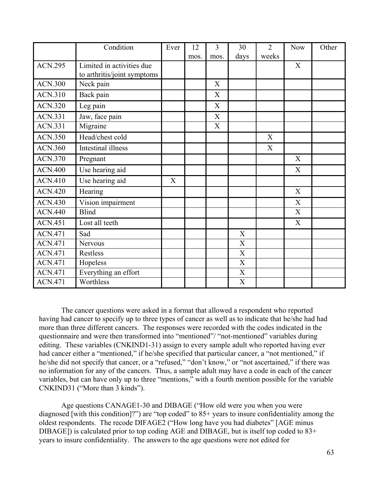|                | Condition                                                | Ever | 12   | 3           | 30                        | $\overline{2}$ | <b>Now</b>                | Other |
|----------------|----------------------------------------------------------|------|------|-------------|---------------------------|----------------|---------------------------|-------|
|                |                                                          |      | mos. | mos.        | days                      | weeks          |                           |       |
| <b>ACN.295</b> | Limited in activities due<br>to arthritis/joint symptoms |      |      |             |                           |                | X                         |       |
| <b>ACN.300</b> | Neck pain                                                |      |      | X           |                           |                |                           |       |
| <b>ACN.310</b> | Back pain                                                |      |      | X           |                           |                |                           |       |
| <b>ACN.320</b> | Leg pain                                                 |      |      | $\mathbf X$ |                           |                |                           |       |
| <b>ACN.331</b> | Jaw, face pain                                           |      |      | X           |                           |                |                           |       |
| <b>ACN.331</b> | Migraine                                                 |      |      | X           |                           |                |                           |       |
| <b>ACN.350</b> | Head/chest cold                                          |      |      |             |                           | X              |                           |       |
| <b>ACN.360</b> | Intestinal illness                                       |      |      |             |                           | X              |                           |       |
| <b>ACN.370</b> | Pregnant                                                 |      |      |             |                           |                | X                         |       |
| <b>ACN.400</b> | Use hearing aid                                          |      |      |             |                           |                | $\boldsymbol{\mathrm{X}}$ |       |
| <b>ACN.410</b> | Use hearing aid                                          | X    |      |             |                           |                |                           |       |
| <b>ACN.420</b> | Hearing                                                  |      |      |             |                           |                | $\mathbf X$               |       |
| <b>ACN.430</b> | Vision impairment                                        |      |      |             |                           |                | X                         |       |
| <b>ACN.440</b> | <b>Blind</b>                                             |      |      |             |                           |                | $\mathbf X$               |       |
| <b>ACN.451</b> | Lost all teeth                                           |      |      |             |                           |                | X                         |       |
| <b>ACN.471</b> | Sad                                                      |      |      |             | X                         |                |                           |       |
| <b>ACN.471</b> | Nervous                                                  |      |      |             | X                         |                |                           |       |
| <b>ACN.471</b> | <b>Restless</b>                                          |      |      |             | $\boldsymbol{\mathrm{X}}$ |                |                           |       |
| <b>ACN.471</b> | Hopeless                                                 |      |      |             | X                         |                |                           |       |
| <b>ACN.471</b> | Everything an effort                                     |      |      |             | $\mathbf X$               |                |                           |       |
| <b>ACN.471</b> | Worthless                                                |      |      |             | X                         |                |                           |       |

The cancer questions were asked in a format that allowed a respondent who reported having had cancer to specify up to three types of cancer as well as to indicate that he/she had had more than three different cancers. The responses were recorded with the codes indicated in the questionnaire and were then transformed into "mentioned"/ "not-mentioned" variables during editing. These variables (CNKIND1-31) assign to every sample adult who reported having ever had cancer either a "mentioned," if he/she specified that particular cancer, a "not mentioned," if he/she did not specify that cancer, or a "refused," "don't know," or "not ascertained," if there was no information for any of the cancers. Thus, a sample adult may have a code in each of the cancer variables, but can have only up to three "mentions," with a fourth mention possible for the variable CNKIND31 ("More than 3 kinds").

Age questions CANAGE1-30 and DIBAGE ("How old were you when you were diagnosed [with this condition]?") are "top coded" to 85+ years to insure confidentiality among the oldest respondents. The recode DIFAGE2 ("How long have you had diabetes" [AGE minus DIBAGE]) is calculated prior to top coding AGE and DIBAGE, but is itself top coded to 83+ years to insure confidentiality. The answers to the age questions were not edited for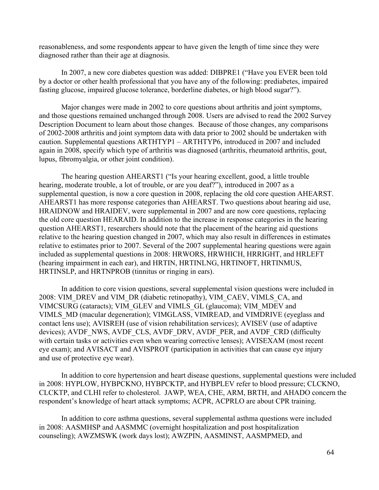reasonableness, and some respondents appear to have given the length of time since they were diagnosed rather than their age at diagnosis.

In 2007, a new core diabetes question was added: DIBPRE1 ("Have you EVER been told by a doctor or other health professional that you have any of the following: prediabetes, impaired fasting glucose, impaired glucose tolerance, borderline diabetes, or high blood sugar?").

Major changes were made in 2002 to core questions about arthritis and joint symptoms, and those questions remained unchanged through 2008. Users are advised to read the 2002 Survey Description Document to learn about those changes. Because of those changes, any comparisons of 2002-2008 arthritis and joint symptom data with data prior to 2002 should be undertaken with caution. Supplemental questions ARTHTYP1 – ARTHTYP6, introduced in 2007 and included again in 2008, specify which type of arthritis was diagnosed (arthritis, rheumatoid arthritis, gout, lupus, fibromyalgia, or other joint condition).

The hearing question AHEARST1 ("Is your hearing excellent, good, a little trouble hearing, moderate trouble, a lot of trouble, or are you deaf?"), introduced in 2007 as a supplemental question, is now a core question in 2008, replacing the old core question AHEARST. AHEARST1 has more response categories than AHEARST. Two questions about hearing aid use, HRAIDNOW and HRAIDEV, were supplemental in 2007 and are now core questions, replacing the old core question HEARAID. In addition to the increase in response categories in the hearing question AHEARST1, researchers should note that the placement of the hearing aid questions relative to the hearing question changed in 2007, which may also result in differences in estimates relative to estimates prior to 2007. Several of the 2007 supplemental hearing questions were again included as supplemental questions in 2008: HRWORS, HRWHICH, HRRIGHT, and HRLEFT (hearing impairment in each ear), and HRTIN, HRTINLNG, HRTINOFT, HRTINMUS, HRTINSLP, and HRTNPROB (tinnitus or ringing in ears).

In addition to core vision questions, several supplemental vision questions were included in 2008: VIM\_DREV and VIM\_DR (diabetic retinopathy), VIM\_CAEV, VIMLS\_CA, and VIMCSURG (cataracts); VIM\_GLEV and VIMLS\_GL (glaucoma); VIM\_MDEV and VIMLS\_MD (macular degeneration); VIMGLASS, VIMREAD, and VIMDRIVE (eyeglass and contact lens use); AVISREH (use of vision rehabilitation services); AVISEV (use of adaptive devices); AVDF\_NWS, AVDF\_CLS, AVDF\_DRV, AVDF\_PER, and AVDF\_CRD (difficulty with certain tasks or activities even when wearing corrective lenses); AVISEXAM (most recent eye exam); and AVISACT and AVISPROT (participation in activities that can cause eye injury and use of protective eye wear).

In addition to core hypertension and heart disease questions, supplemental questions were included in 2008: HYPLOW, HYBPCKNO, HYBPCKTP, and HYBPLEV refer to blood pressure; CLCKNO, CLCKTP, and CLHI refer to cholesterol. JAWP, WEA, CHE, ARM, BRTH, and AHADO concern the respondent's knowledge of heart attack symptoms; ACPR, ACPRLO are about CPR training.

In addition to core asthma questions, several supplemental asthma questions were included in 2008: AASMHSP and AASMMC (overnight hospitalization and post hospitalization counseling); AWZMSWK (work days lost); AWZPIN, AASMINST, AASMPMED, and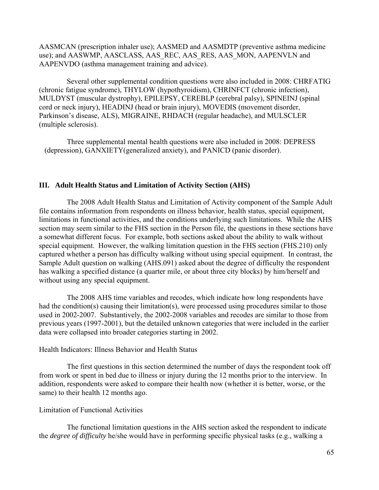AASMCAN (prescription inhaler use); AASMED and AASMDTP (preventive asthma medicine use); and AASWMP, AASCLASS, AAS\_REC, AAS\_RES, AAS\_MON, AAPENVLN and AAPENVDO (asthma management training and advice).

Several other supplemental condition questions were also included in 2008: CHRFATIG (chronic fatigue syndrome), THYLOW (hypothyroidism), CHRINFCT (chronic infection), MULDYST (muscular dystrophy), EPILEPSY, CEREBLP (cerebral palsy), SPINEINJ (spinal cord or neck injury), HEADINJ (head or brain injury), MOVEDIS (movement disorder, Parkinson's disease, ALS), MIGRAINE, RHDACH (regular headache), and MULSCLER (multiple sclerosis).

Three supplemental mental health questions were also included in 2008: DEPRESS (depression), GANXIETY(generalized anxiety), and PANICD (panic disorder).

# **III. Adult Health Status and Limitation of Activity Section (AHS)**

The 2008 Adult Health Status and Limitation of Activity component of the Sample Adult file contains information from respondents on illness behavior, health status, special equipment, limitations in functional activities, and the conditions underlying such limitations. While the AHS section may seem similar to the FHS section in the Person file, the questions in these sections have a somewhat different focus. For example, both sections asked about the ability to walk without special equipment. However, the walking limitation question in the FHS section (FHS.210) only captured whether a person has difficulty walking without using special equipment. In contrast, the Sample Adult question on walking (AHS.091) asked about the degree of difficulty the respondent has walking a specified distance (a quarter mile, or about three city blocks) by him/herself and without using any special equipment.

The 2008 AHS time variables and recodes, which indicate how long respondents have had the condition(s) causing their limitation(s), were processed using procedures similar to those used in 2002-2007. Substantively, the 2002-2008 variables and recodes are similar to those from previous years (1997-2001), but the detailed unknown categories that were included in the earlier data were collapsed into broader categories starting in 2002.

Health Indicators: Illness Behavior and Health Status

The first questions in this section determined the number of days the respondent took off from work or spent in bed due to illness or injury during the 12 months prior to the interview. In addition, respondents were asked to compare their health now (whether it is better, worse, or the same) to their health 12 months ago.

# Limitation of Functional Activities

The functional limitation questions in the AHS section asked the respondent to indicate the *degree of difficulty* he/she would have in performing specific physical tasks (e.g., walking a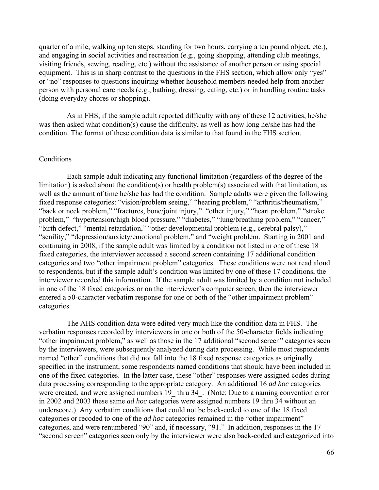quarter of a mile, walking up ten steps, standing for two hours, carrying a ten pound object, etc.), and engaging in social activities and recreation (e.g., going shopping, attending club meetings, visiting friends, sewing, reading, etc.) without the assistance of another person or using special equipment. This is in sharp contrast to the questions in the FHS section, which allow only "yes" or "no" responses to questions inquiring whether household members needed help from another person with personal care needs (e.g., bathing, dressing, eating, etc.) or in handling routine tasks (doing everyday chores or shopping).

As in FHS, if the sample adult reported difficulty with any of these 12 activities, he/she was then asked what condition(s) cause the difficulty, as well as how long he/she has had the condition. The format of these condition data is similar to that found in the FHS section.

## **Conditions**

Each sample adult indicating any functional limitation (regardless of the degree of the limitation) is asked about the condition(s) or health problem(s) associated with that limitation, as well as the amount of time he/she has had the condition. Sample adults were given the following fixed response categories: "vision/problem seeing," "hearing problem," "arthritis/rheumatism," "back or neck problem," "fractures, bone/joint injury," "other injury," "heart problem," "stroke problem," "hypertension/high blood pressure," "diabetes," "lung/breathing problem," "cancer," "birth defect," "mental retardation," "other developmental problem (e.g., cerebral palsy)," "senility," "depression/anxiety/emotional problem," and "weight problem. Starting in 2001 and continuing in 2008, if the sample adult was limited by a condition not listed in one of these 18 fixed categories, the interviewer accessed a second screen containing 17 additional condition categories and two "other impairment problem" categories. These conditions were not read aloud to respondents, but if the sample adult's condition was limited by one of these 17 conditions, the interviewer recorded this information. If the sample adult was limited by a condition not included in one of the 18 fixed categories or on the interviewer's computer screen, then the interviewer entered a 50-character verbatim response for one or both of the "other impairment problem" categories.

The AHS condition data were edited very much like the condition data in FHS. The verbatim responses recorded by interviewers in one or both of the 50-character fields indicating "other impairment problem," as well as those in the 17 additional "second screen" categories seen by the interviewers, were subsequently analyzed during data processing. While most respondents named "other" conditions that did not fall into the 18 fixed response categories as originally specified in the instrument, some respondents named conditions that should have been included in one of the fixed categories. In the latter case, these "other" responses were assigned codes during data processing corresponding to the appropriate category. An additional 16 *ad hoc* categories were created, and were assigned numbers 19 thru 34. (Note: Due to a naming convention error in 2002 and 2003 these same *ad hoc* categories were assigned numbers 19 thru 34 without an underscore.) Any verbatim conditions that could not be back-coded to one of the 18 fixed categories or recoded to one of the *ad hoc* categories remained in the "other impairment" categories, and were renumbered "90" and, if necessary, "91." In addition, responses in the 17 "second screen" categories seen only by the interviewer were also back-coded and categorized into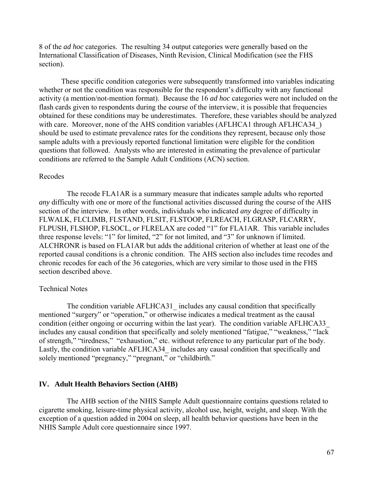8 of the *ad hoc* categories. The resulting 34 output categories were generally based on the International Classification of Diseases, Ninth Revision, Clinical Modification (see the FHS section).

These specific condition categories were subsequently transformed into variables indicating whether or not the condition was responsible for the respondent's difficulty with any functional activity (a mention/not-mention format). Because the 16 *ad hoc* categories were not included on the flash cards given to respondents during the course of the interview, it is possible that frequencies obtained for these conditions may be underestimates. Therefore, these variables should be analyzed with care. Moreover, none of the AHS condition variables (AFLHCA1 through AFLHCA34) should be used to estimate prevalence rates for the conditions they represent, because only those sample adults with a previously reported functional limitation were eligible for the condition questions that followed. Analysts who are interested in estimating the prevalence of particular conditions are referred to the Sample Adult Conditions (ACN) section.

#### Recodes

The recode FLA1AR is a summary measure that indicates sample adults who reported *any* difficulty with one or more of the functional activities discussed during the course of the AHS section of the interview. In other words, individuals who indicated *any* degree of difficulty in FLWALK, FLCLIMB, FLSTAND, FLSIT, FLSTOOP, FLREACH, FLGRASP, FLCARRY, FLPUSH, FLSHOP, FLSOCL, *or* FLRELAX are coded "1" for FLA1AR. This variable includes three response levels: "1" for limited, "2" for not limited, and "3" for unknown if limited. ALCHRONR is based on FLA1AR but adds the additional criterion of whether at least one of the reported causal conditions is a chronic condition. The AHS section also includes time recodes and chronic recodes for each of the 36 categories, which are very similar to those used in the FHS section described above.

## Technical Notes

The condition variable AFLHCA31 includes any causal condition that specifically mentioned "surgery" or "operation," or otherwise indicates a medical treatment as the causal condition (either ongoing or occurring within the last year). The condition variable AFLHCA33\_ includes any causal condition that specifically and solely mentioned "fatigue," "weakness," "lack of strength," "tiredness," "exhaustion," etc. without reference to any particular part of the body. Lastly, the condition variable AFLHCA34 includes any causal condition that specifically and solely mentioned "pregnancy," "pregnant," or "childbirth."

## **IV. Adult Health Behaviors Section (AHB)**

The AHB section of the NHIS Sample Adult questionnaire contains questions related to cigarette smoking, leisure-time physical activity, alcohol use, height, weight, and sleep. With the exception of a question added in 2004 on sleep, all health behavior questions have been in the NHIS Sample Adult core questionnaire since 1997.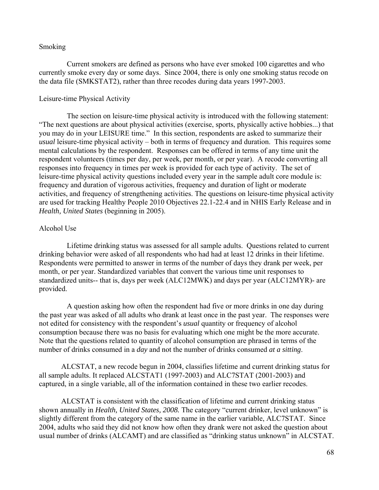## Smoking

Current smokers are defined as persons who have ever smoked 100 cigarettes and who currently smoke every day or some days. Since 2004, there is only one smoking status recode on the data file (SMKSTAT2), rather than three recodes during data years 1997-2003.

## Leisure-time Physical Activity

The section on leisure-time physical activity is introduced with the following statement: "The next questions are about physical activities (exercise, sports, physically active hobbies...) that you may do in your LEISURE time." In this section, respondents are asked to summarize their *usual* leisure-time physical activity – both in terms of frequency and duration. This requires some mental calculations by the respondent. Responses can be offered in terms of any time unit the respondent volunteers (times per day, per week, per month, or per year). A recode converting all responses into frequency in times per week is provided for each type of activity. The set of leisure-time physical activity questions included every year in the sample adult core module is: frequency and duration of vigorous activities, frequency and duration of light or moderate activities, and frequency of strengthening activities. The questions on leisure-time physical activity are used for tracking Healthy People 2010 Objectives 22.1-22.4 and in NHIS Early Release and in *Health, United States* (beginning in 2005).

# Alcohol Use

Lifetime drinking status was assessed for all sample adults. Questions related to current drinking behavior were asked of all respondents who had had at least 12 drinks in their lifetime. Respondents were permitted to answer in terms of the number of days they drank per week, per month, or per year. Standardized variables that convert the various time unit responses to standardized units-- that is, days per week (ALC12MWK) and days per year (ALC12MYR)- are provided.

A question asking how often the respondent had five or more drinks in one day during the past year was asked of all adults who drank at least once in the past year. The responses were not edited for consistency with the respondent's *usual* quantity or frequency of alcohol consumption because there was no basis for evaluating which one might be the more accurate. Note that the questions related to quantity of alcohol consumption are phrased in terms of the number of drinks consumed in a *day* and not the number of drinks consumed *at a sitting*.

ALCSTAT, a new recode begun in 2004, classifies lifetime and current drinking status for all sample adults. It replaced ALCSTAT1 (1997-2003) and ALC7STAT (2001-2003) and captured, in a single variable, all of the information contained in these two earlier recodes.

ALCSTAT is consistent with the classification of lifetime and current drinking status shown annually in *Health, United States, 2008.* The category "current drinker, level unknown" is slightly different from the category of the same name in the earlier variable, ALC7STAT. Since 2004, adults who said they did not know how often they drank were not asked the question about usual number of drinks (ALCAMT) and are classified as "drinking status unknown" in ALCSTAT.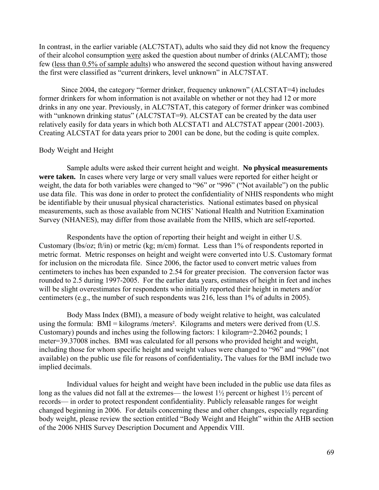In contrast, in the earlier variable (ALC7STAT), adults who said they did not know the frequency of their alcohol consumption were asked the question about number of drinks (ALCAMT); those few (less than 0.5% of sample adults) who answered the second question without having answered the first were classified as "current drinkers, level unknown" in ALC7STAT.

Since 2004, the category "former drinker, frequency unknown" (ALCSTAT=4) includes former drinkers for whom information is not available on whether or not they had 12 or more drinks in any one year. Previously, in ALC7STAT, this category of former drinker was combined with "unknown drinking status" (ALC7STAT=9). ALCSTAT can be created by the data user relatively easily for data years in which both ALCSTAT1 and ALC7STAT appear (2001-2003). Creating ALCSTAT for data years prior to 2001 can be done, but the coding is quite complex.

## Body Weight and Height

Sample adults were asked their current height and weight. **No physical measurements were taken.** In cases where very large or very small values were reported for either height or weight, the data for both variables were changed to "96" or "996" ("Not available") on the public use data file. This was done in order to protect the confidentiality of NHIS respondents who might be identifiable by their unusual physical characteristics. National estimates based on physical measurements, such as those available from NCHS' National Health and Nutrition Examination Survey (NHANES), may differ from those available from the NHIS, which are self-reported.

Respondents have the option of reporting their height and weight in either U.S. Customary (lbs/oz; ft/in) or metric (kg; m/cm) format. Less than 1% of respondents reported in metric format. Metric responses on height and weight were converted into U.S. Customary format for inclusion on the microdata file. Since 2006, the factor used to convert metric values from centimeters to inches has been expanded to 2.54 for greater precision. The conversion factor was rounded to 2.5 during 1997-2005. For the earlier data years, estimates of height in feet and inches will be slight overestimates for respondents who initially reported their height in meters and/or centimeters (e.g., the number of such respondents was 216, less than 1% of adults in 2005).

Body Mass Index (BMI), a measure of body weight relative to height, was calculated using the formula: BMI = kilograms /meters<sup>2</sup>. Kilograms and meters were derived from (U.S. Customary) pounds and inches using the following factors: 1 kilogram=2.20462 pounds; 1 meter=39.37008 inches. BMI was calculated for all persons who provided height and weight, including those for whom specific height and weight values were changed to "96" and "996" (not available) on the public use file for reasons of confidentiality**.** The values for the BMI include two implied decimals.

Individual values for height and weight have been included in the public use data files as long as the values did not fall at the extremes— the lowest  $1\frac{1}{2}$  percent or highest  $1\frac{1}{2}$  percent of records— in order to protect respondent confidentiality. Publicly releasable ranges for weight changed beginning in 2006. For details concerning these and other changes, especially regarding body weight, please review the section entitled "Body Weight and Height" within the AHB section of the 2006 NHIS Survey Description Document and Appendix VIII.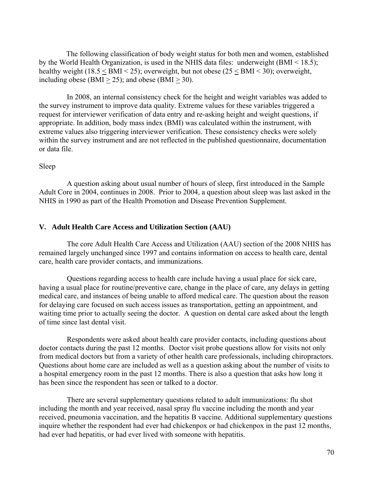The following classification of body weight status for both men and women, established by the World Health Organization, is used in the NHIS data files: underweight (BMI < 18.5); healthy weight (18.5 < BMI < 25); overweight, but not obese (25 < BMI < 30); overweight, including obese (BMI  $>$  25); and obese (BMI  $>$  30).

In 2008, an internal consistency check for the height and weight variables was added to the survey instrument to improve data quality. Extreme values for these variables triggered a request for interviewer verification of data entry and re-asking height and weight questions, if appropriate. In addition, body mass index (BMI) was calculated within the instrument, with extreme values also triggering interviewer verification. These consistency checks were solely within the survey instrument and are not reflected in the published questionnaire, documentation or data file.

## Sleep

A question asking about usual number of hours of sleep, first introduced in the Sample Adult Core in 2004, continues in 2008. Prior to 2004, a question about sleep was last asked in the NHIS in 1990 as part of the Health Promotion and Disease Prevention Supplement.

# **V. Adult Health Care Access and Utilization Section (AAU)**

The core Adult Health Care Access and Utilization (AAU) section of the 2008 NHIS has remained largely unchanged since 1997 and contains information on access to health care, dental care, health care provider contacts, and immunizations.

Questions regarding access to health care include having a usual place for sick care, having a usual place for routine/preventive care, change in the place of care, any delays in getting medical care, and instances of being unable to afford medical care. The question about the reason for delaying care focused on such access issues as transportation, getting an appointment, and waiting time prior to actually seeing the doctor. A question on dental care asked about the length of time since last dental visit.

Respondents were asked about health care provider contacts, including questions about doctor contacts during the past 12 months. Doctor visit probe questions allow for visits not only from medical doctors but from a variety of other health care professionals, including chiropractors. Questions about home care are included as well as a question asking about the number of visits to a hospital emergency room in the past 12 months. There is also a question that asks how long it has been since the respondent has seen or talked to a doctor.

There are several supplementary questions related to adult immunizations: flu shot including the month and year received, nasal spray flu vaccine including the month and year received, pneumonia vaccination, and the hepatitis B vaccine. Additional supplementary questions inquire whether the respondent had ever had chickenpox or had chickenpox in the past 12 months, had ever had hepatitis, or had ever lived with someone with hepatitis.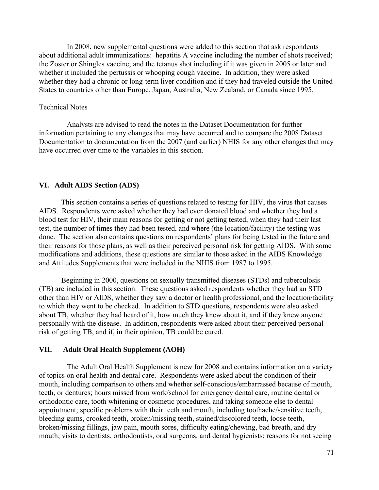In 2008, new supplemental questions were added to this section that ask respondents about additional adult immunizations: hepatitis A vaccine including the number of shots received; the Zoster or Shingles vaccine; and the tetanus shot including if it was given in 2005 or later and whether it included the pertussis or whooping cough vaccine. In addition, they were asked whether they had a chronic or long-term liver condition and if they had traveled outside the United States to countries other than Europe, Japan, Australia, New Zealand, or Canada since 1995.

## Technical Notes

Analysts are advised to read the notes in the Dataset Documentation for further information pertaining to any changes that may have occurred and to compare the 2008 Dataset Documentation to documentation from the 2007 (and earlier) NHIS for any other changes that may have occurred over time to the variables in this section.

## **VI. Adult AIDS Section (ADS)**

This section contains a series of questions related to testing for HIV, the virus that causes AIDS. Respondents were asked whether they had ever donated blood and whether they had a blood test for HIV, their main reasons for getting or not getting tested, when they had their last test, the number of times they had been tested, and where (the location/facility) the testing was done. The section also contains questions on respondents' plans for being tested in the future and their reasons for those plans, as well as their perceived personal risk for getting AIDS. With some modifications and additions, these questions are similar to those asked in the AIDS Knowledge and Attitudes Supplements that were included in the NHIS from 1987 to 1995.

Beginning in 2000, questions on sexually transmitted diseases (STDs) and tuberculosis (TB) are included in this section. These questions asked respondents whether they had an STD other than HIV or AIDS, whether they saw a doctor or health professional, and the location/facility to which they went to be checked. In addition to STD questions, respondents were also asked about TB, whether they had heard of it, how much they knew about it, and if they knew anyone personally with the disease. In addition, respondents were asked about their perceived personal risk of getting TB, and if, in their opinion, TB could be cured.

#### **VII. Adult Oral Health Supplement (AOH)**

The Adult Oral Health Supplement is new for 2008 and contains information on a variety of topics on oral health and dental care. Respondents were asked about the condition of their mouth, including comparison to others and whether self-conscious/embarrassed because of mouth, teeth, or dentures; hours missed from work/school for emergency dental care, routine dental or orthodontic care, tooth whitening or cosmetic procedures, and taking someone else to dental appointment; specific problems with their teeth and mouth, including toothache/sensitive teeth, bleeding gums, crooked teeth, broken/missing teeth, stained/discolored teeth, loose teeth, broken/missing fillings, jaw pain, mouth sores, difficulty eating/chewing, bad breath, and dry mouth; visits to dentists, orthodontists, oral surgeons, and dental hygienists; reasons for not seeing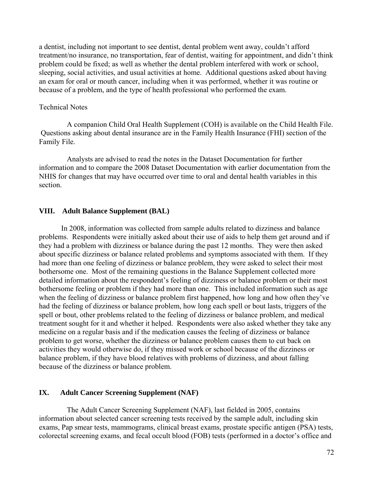a dentist, including not important to see dentist, dental problem went away, couldn't afford treatment/no insurance, no transportation, fear of dentist, waiting for appointment, and didn't think problem could be fixed; as well as whether the dental problem interfered with work or school, sleeping, social activities, and usual activities at home. Additional questions asked about having an exam for oral or mouth cancer, including when it was performed, whether it was routine or because of a problem, and the type of health professional who performed the exam.

## Technical Notes

A companion Child Oral Health Supplement (COH) is available on the Child Health File. Questions asking about dental insurance are in the Family Health Insurance (FHI) section of the Family File.

Analysts are advised to read the notes in the Dataset Documentation for further information and to compare the 2008 Dataset Documentation with earlier documentation from the NHIS for changes that may have occurred over time to oral and dental health variables in this section.

## **VIII. Adult Balance Supplement (BAL)**

In 2008, information was collected from sample adults related to dizziness and balance problems. Respondents were initially asked about their use of aids to help them get around and if they had a problem with dizziness or balance during the past 12 months. They were then asked about specific dizziness or balance related problems and symptoms associated with them. If they had more than one feeling of dizziness or balance problem, they were asked to select their most bothersome one. Most of the remaining questions in the Balance Supplement collected more detailed information about the respondent's feeling of dizziness or balance problem or their most bothersome feeling or problem if they had more than one. This included information such as age when the feeling of dizziness or balance problem first happened, how long and how often they've had the feeling of dizziness or balance problem, how long each spell or bout lasts, triggers of the spell or bout, other problems related to the feeling of dizziness or balance problem, and medical treatment sought for it and whether it helped. Respondents were also asked whether they take any medicine on a regular basis and if the medication causes the feeling of dizziness or balance problem to get worse, whether the dizziness or balance problem causes them to cut back on activities they would otherwise do, if they missed work or school because of the dizziness or balance problem, if they have blood relatives with problems of dizziness, and about falling because of the dizziness or balance problem.

# **IX. Adult Cancer Screening Supplement (NAF)**

The Adult Cancer Screening Supplement (NAF), last fielded in 2005, contains information about selected cancer screening tests received by the sample adult, including skin exams, Pap smear tests, mammograms, clinical breast exams, prostate specific antigen (PSA) tests, colorectal screening exams, and fecal occult blood (FOB) tests (performed in a doctor's office and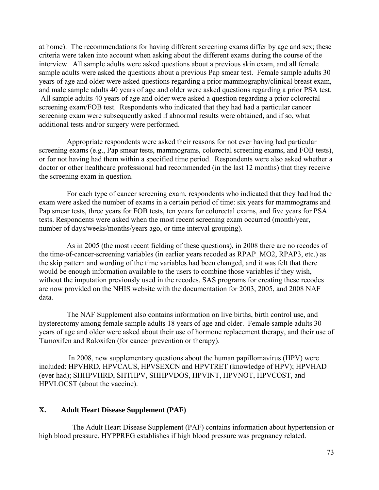at home). The recommendations for having different screening exams differ by age and sex; these criteria were taken into account when asking about the different exams during the course of the interview. All sample adults were asked questions about a previous skin exam, and all female sample adults were asked the questions about a previous Pap smear test. Female sample adults 30 years of age and older were asked questions regarding a prior mammography/clinical breast exam, and male sample adults 40 years of age and older were asked questions regarding a prior PSA test. All sample adults 40 years of age and older were asked a question regarding a prior colorectal screening exam/FOB test. Respondents who indicated that they had had a particular cancer screening exam were subsequently asked if abnormal results were obtained, and if so, what additional tests and/or surgery were performed.

Appropriate respondents were asked their reasons for not ever having had particular screening exams (e.g., Pap smear tests, mammograms, colorectal screening exams, and FOB tests), or for not having had them within a specified time period. Respondents were also asked whether a doctor or other healthcare professional had recommended (in the last 12 months) that they receive the screening exam in question.

For each type of cancer screening exam, respondents who indicated that they had had the exam were asked the number of exams in a certain period of time: six years for mammograms and Pap smear tests, three years for FOB tests, ten years for colorectal exams, and five years for PSA tests. Respondents were asked when the most recent screening exam occurred (month/year, number of days/weeks/months/years ago, or time interval grouping).

As in 2005 (the most recent fielding of these questions), in 2008 there are no recodes of the time-of-cancer-screening variables (in earlier years recoded as RPAP\_MO2, RPAP3, etc.) as the skip pattern and wording of the time variables had been changed, and it was felt that there would be enough information available to the users to combine those variables if they wish, without the imputation previously used in the recodes. SAS programs for creating these recodes are now provided on the NHIS website with the documentation for 2003, 2005, and 2008 NAF data.

The NAF Supplement also contains information on live births, birth control use, and hysterectomy among female sample adults 18 years of age and older. Female sample adults 30 years of age and older were asked about their use of hormone replacement therapy, and their use of Tamoxifen and Raloxifen (for cancer prevention or therapy).

 In 2008, new supplementary questions about the human papillomavirus (HPV) were included: HPVHRD, HPVCAUS, HPVSEXCN and HPVTRET (knowledge of HPV); HPVHAD (ever had); SHHPVHRD, SHTHPV, SHHPVDOS, HPVINT, HPVNOT, HPVCOST, and HPVLOCST (about the vaccine).

# **X. Adult Heart Disease Supplement (PAF)**

 The Adult Heart Disease Supplement (PAF) contains information about hypertension or high blood pressure. HYPPREG establishes if high blood pressure was pregnancy related.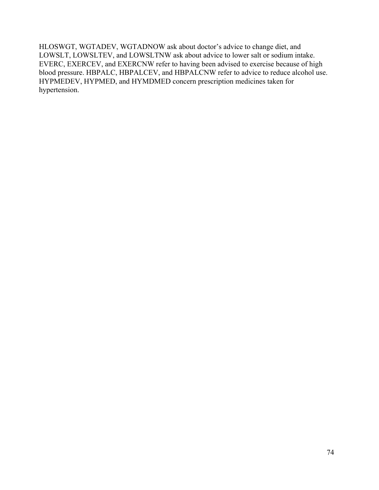HLOSWGT, WGTADEV, WGTADNOW ask about doctor's advice to change diet, and LOWSLT, LOWSLTEV, and LOWSLTNW ask about advice to lower salt or sodium intake. EVERC, EXERCEV, and EXERCNW refer to having been advised to exercise because of high blood pressure. HBPALC, HBPALCEV, and HBPALCNW refer to advice to reduce alcohol use. HYPMEDEV, HYPMED, and HYMDMED concern prescription medicines taken for hypertension.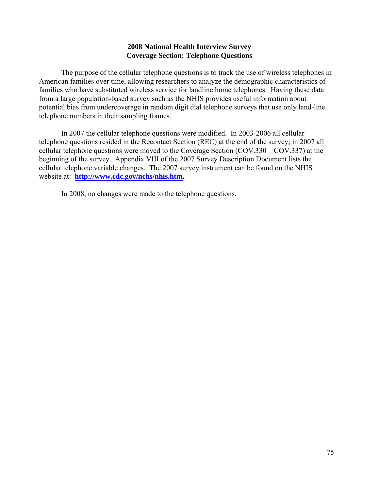# **2008 National Health Interview Survey Coverage Section: Telephone Questions**

The purpose of the cellular telephone questions is to track the use of wireless telephones in American families over time, allowing researchers to analyze the demographic characteristics of families who have substituted wireless service for landline home telephones. Having these data from a large population-based survey such as the NHIS provides useful information about potential bias from undercoverage in random digit dial telephone surveys that use only land-line telephone numbers in their sampling frames.

In 2007 the cellular telephone questions were modified. In 2003-2006 all cellular telephone questions resided in the Recontact Section (REC) at the end of the survey; in 2007 all cellular telephone questions were moved to the Coverage Section (COV.330 – COV.337) at the beginning of the survey. Appendix VIII of the 2007 Survey Description Document lists the cellular telephone variable changes. The 2007 survey instrument can be found on the NHIS website at: **[http://www.cdc.gov/nchs/nhis.htm.](http://www.cdc.gov/nchs/nhis.htm)** 

In 2008, no changes were made to the telephone questions.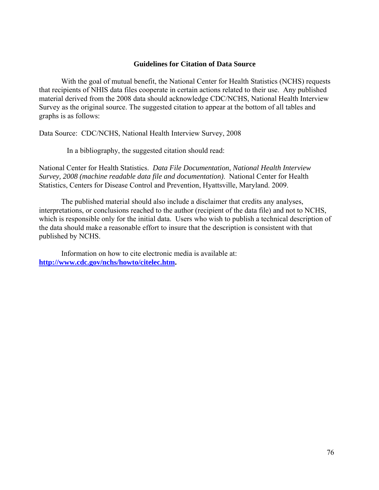## **Guidelines for Citation of Data Source**

With the goal of mutual benefit, the National Center for Health Statistics (NCHS) requests that recipients of NHIS data files cooperate in certain actions related to their use. Any published material derived from the 2008 data should acknowledge CDC/NCHS, National Health Interview Survey as the original source. The suggested citation to appear at the bottom of all tables and graphs is as follows:

Data Source: CDC/NCHS, National Health Interview Survey, 2008

In a bibliography, the suggested citation should read:

National Center for Health Statistics. *Data File Documentation, National Health Interview Survey, 2008 (machine readable data file and documentation)*. National Center for Health Statistics, Centers for Disease Control and Prevention, Hyattsville, Maryland. 2009.

The published material should also include a disclaimer that credits any analyses, interpretations, or conclusions reached to the author (recipient of the data file) and not to NCHS, which is responsible only for the initial data. Users who wish to publish a technical description of the data should make a reasonable effort to insure that the description is consistent with that published by NCHS.

Information on how to cite electronic media is available at: **[http://www.cdc.gov/nchs/howto/citelec.htm.](http://www.cdc.gov/nchs/howto/citelec.htm)**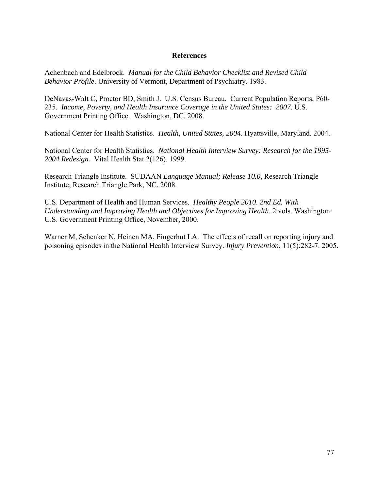# **References**

Achenbach and Edelbrock. *Manual for the Child Behavior Checklist and Revised Child Behavior Profile*. University of Vermont, Department of Psychiatry. 1983.

DeNavas-Walt C, Proctor BD, Smith J. U.S. Census Bureau. Current Population Reports, P60 235. *Income, Poverty, and Health Insurance Coverage in the United States: 2007*. U.S. Government Printing Office. Washington, DC. 2008.

National Center for Health Statistics. *Health, United States, 2004*. Hyattsville, Maryland. 2004.

National Center for Health Statistics. *National Health Interview Survey: Research for the 1995- 2004 Redesign.* Vital Health Stat 2(126). 1999.

Research Triangle Institute. SUDAAN *Language Manual; Release 10.0*, Research Triangle Institute, Research Triangle Park, NC. 2008.

U.S. Department of Health and Human Services. *Healthy People 2010*. *2nd Ed. With Understanding and Improving Health and Objectives for Improving Health*. 2 vols. Washington: U.S. Government Printing Office, November, 2000.

Warner M, Schenker N, Heinen MA, Fingerhut LA. The effects of recall on reporting injury and poisoning episodes in the National Health Interview Survey. *Injury Prevention*, 11(5):282-7. 2005.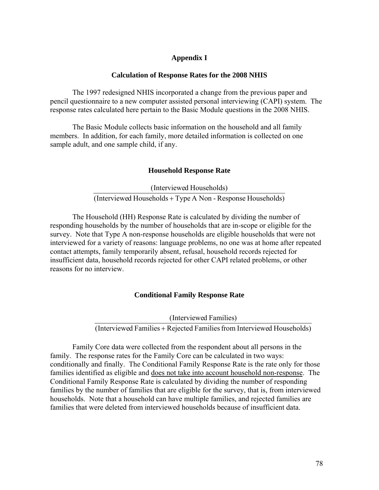# **Appendix I**

#### **Calculation of Response Rates for the 2008 NHIS**

The 1997 redesigned NHIS incorporated a change from the previous paper and pencil questionnaire to a new computer assisted personal interviewing (CAPI) system. The response rates calculated here pertain to the Basic Module questions in the 2008 NHIS.

The Basic Module collects basic information on the household and all family members. In addition, for each family, more detailed information is collected on one sample adult, and one sample child, if any.

#### **Household Response Rate**

 (Interviewed Households + Type A Non - Response Households) (Interviewed Households)

The Household (HH) Response Rate is calculated by dividing the number of responding households by the number of households that are in-scope or eligible for the survey. Note that Type A non-response households are eligible households that were not interviewed for a variety of reasons: language problems, no one was at home after repeated contact attempts, family temporarily absent, refusal, household records rejected for insufficient data, household records rejected for other CAPI related problems, or other reasons for no interview.

#### **Conditional Family Response Rate**

 (Interviewed Families + Rejected Families from Interviewed Households) (Interviewed Families)

Family Core data were collected from the respondent about all persons in the family. The response rates for the Family Core can be calculated in two ways: conditionally and finally. The Conditional Family Response Rate is the rate only for those families identified as eligible and does not take into account household non-response. The Conditional Family Response Rate is calculated by dividing the number of responding families by the number of families that are eligible for the survey, that is, from interviewed households. Note that a household can have multiple families, and rejected families are families that were deleted from interviewed households because of insufficient data.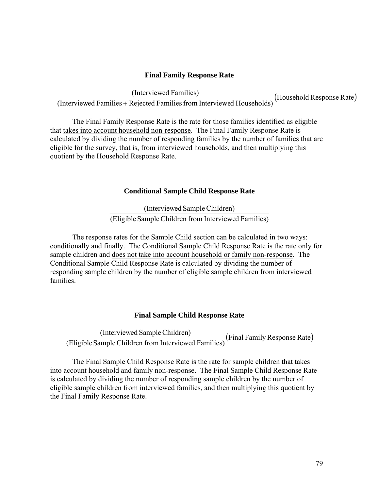# **Final Family Response Rate**

(Interviewed Families) (Household Response Rate) (Interviewed Families <sup>+</sup> Rejected Families from Interviewed Households)

The Final Family Response Rate is the rate for those families identified as eligible that takes into account household non-response. The Final Family Response Rate is calculated by dividing the number of responding families by the number of families that are eligible for the survey, that is, from interviewed households, and then multiplying this quotient by the Household Response Rate.

# **Conditional Sample Child Response Rate**

 (Eligible Sample Children from Interviewed Families) (Interviewed Sample Children)

The response rates for the Sample Child section can be calculated in two ways: conditionally and finally. The Conditional Sample Child Response Rate is the rate only for sample children and does not take into account household or family non-response. The Conditional Sample Child Response Rate is calculated by dividing the number of responding sample children by the number of eligible sample children from interviewed families.

# **Final Sample Child Response Rate**

 $\ddot{\phantom{0}}$ (Interviewed Sample Children) (Final Family Response Rate) (Eligible Sample Children from Interviewed Families)

The Final Sample Child Response Rate is the rate for sample children that takes into account household and family non-response. The Final Sample Child Response Rate is calculated by dividing the number of responding sample children by the number of eligible sample children from interviewed families, and then multiplying this quotient by the Final Family Response Rate.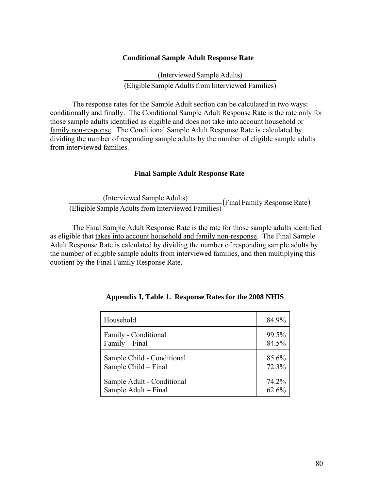## **Conditional Sample Adult Response Rate**

 (Eligible Sample Adults from Interviewed Families) (Interviewed Sample Adults)

The response rates for the Sample Adult section can be calculated in two ways: conditionally and finally. The Conditional Sample Adult Response Rate is the rate only for those sample adults identified as eligible and does not take into account household or family non-response. The Conditional Sample Adult Response Rate is calculated by dividing the number of responding sample adults by the number of eligible sample adults from interviewed families.

## **Final Sample Adult Response Rate**

(Interviewed Sample Adults)<br>(Eligible Sample Adults from Interviewed Families) (Final Family Response Rate)

The Final Sample Adult Response Rate is the rate for those sample adults identified as eligible that takes into account household and family non-response. The Final Sample Adult Response Rate is calculated by dividing the number of responding sample adults by the number of eligible sample adults from interviewed families, and then multiplying this quotient by the Final Family Response Rate.

| Household                  | 84.9% |
|----------------------------|-------|
| Family - Conditional       | 99.5% |
| Family - Final             | 84.5% |
| Sample Child - Conditional | 85.6% |
| Sample Child – Final       | 72.3% |
| Sample Adult - Conditional | 74.2% |
| Sample Adult – Final       | 62.6% |

| Appendix I, Table 1. Response Rates for the 2008 NHIS |
|-------------------------------------------------------|
|-------------------------------------------------------|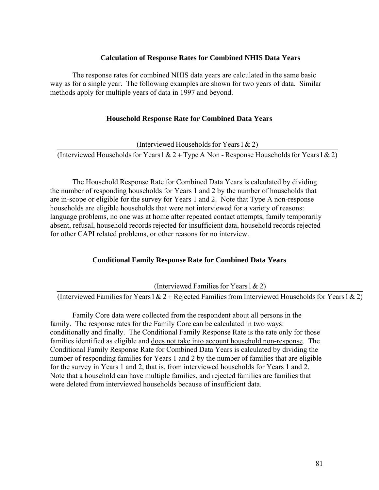## **Calculation of Response Rates for Combined NHIS Data Years**

The response rates for combined NHIS data years are calculated in the same basic way as for a single year. The following examples are shown for two years of data. Similar methods apply for multiple years of data in 1997 and beyond.

## **Household Response Rate for Combined Data Years**

(Interviewed Households for Years  $1 \& 2$ )

(Interviewed Households for Years  $1 & 2 + Type A$  Non - Response Households for Years  $1 & 2$ )

The Household Response Rate for Combined Data Years is calculated by dividing the number of responding households for Years 1 and 2 by the number of households that are in-scope or eligible for the survey for Years 1 and 2. Note that Type A non-response households are eligible households that were not interviewed for a variety of reasons: language problems, no one was at home after repeated contact attempts, family temporarily absent, refusal, household records rejected for insufficient data, household records rejected for other CAPI related problems, or other reasons for no interview.

# **Conditional Family Response Rate for Combined Data Years**

(Interviewed Families for Years  $1 \& 2$ )

(Interviewed Families for Years 1 & 2 + Rejected Families from Interviewed Households for Years 1 & 2)

Family Core data were collected from the respondent about all persons in the family. The response rates for the Family Core can be calculated in two ways: conditionally and finally. The Conditional Family Response Rate is the rate only for those families identified as eligible and does not take into account household non-response. The Conditional Family Response Rate for Combined Data Years is calculated by dividing the number of responding families for Years 1 and 2 by the number of families that are eligible for the survey in Years 1 and 2, that is, from interviewed households for Years 1 and 2. Note that a household can have multiple families, and rejected families are families that were deleted from interviewed households because of insufficient data.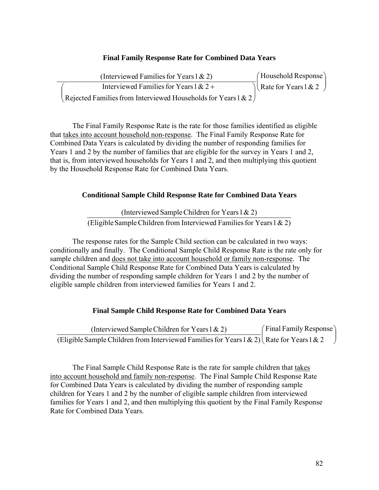# **Final Family Response Rate for Combined Data Years**

| (Interviewed Families for Years $1 \& 2$ )                      | $($ Household Response $)$         |
|-----------------------------------------------------------------|------------------------------------|
| Interviewed Families for Years $1 & 2 +$                        | $\log$ Rate for Years 1 & 2 $\log$ |
| Rejected Families from Interviewed Households for Years $1 & 2$ |                                    |

The Final Family Response Rate is the rate for those families identified as eligible that takes into account household non-response. The Final Family Response Rate for Combined Data Years is calculated by dividing the number of responding families for Years 1 and 2 by the number of families that are eligible for the survey in Years 1 and 2, that is, from interviewed households for Years 1 and 2, and then multiplying this quotient by the Household Response Rate for Combined Data Years.

# **Conditional Sample Child Response Rate for Combined Data Years**

(Eligible Sample Children from Interviewed Families for Years  $1 < 2$ ) (Interviewed Sample Children for Years  $1 < 2$ )

The response rates for the Sample Child section can be calculated in two ways: conditionally and finally. The Conditional Sample Child Response Rate is the rate only for sample children and does not take into account household or family non-response. The Conditional Sample Child Response Rate for Combined Data Years is calculated by dividing the number of responding sample children for Years 1 and 2 by the number of eligible sample children from interviewed families for Years 1 and 2.

# **Final Sample Child Response Rate for Combined Data Years**

į. (Interviewed Sample Children for Years 1 & 2)  $\int$  Final Family Response  $\overline{\phantom{a}}$ (Eligible Sample Children from Interviewed Families for Years 1 & 2) Rate for Years 1 & 2 ⎞  $\sqrt{ }$ ⎠

The Final Sample Child Response Rate is the rate for sample children that takes into account household and family non-response. The Final Sample Child Response Rate for Combined Data Years is calculated by dividing the number of responding sample children for Years 1 and 2 by the number of eligible sample children from interviewed families for Years 1 and 2, and then multiplying this quotient by the Final Family Response Rate for Combined Data Years.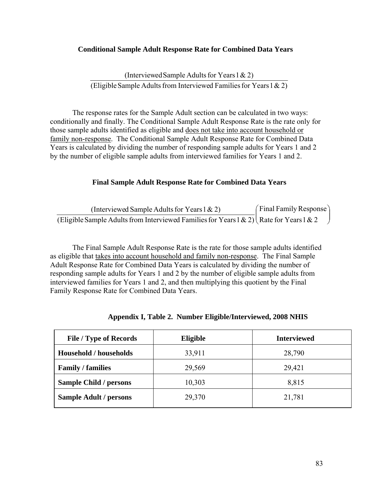# **Conditional Sample Adult Response Rate for Combined Data Years**

(Eligible Sample Adults from Interviewed Families for Years  $1 < 2$ ) (Interviewed Sample Adults for Years  $1 \& 2$ )

The response rates for the Sample Adult section can be calculated in two ways: conditionally and finally. The Conditional Sample Adult Response Rate is the rate only for those sample adults identified as eligible and does not take into account household or family non-response. The Conditional Sample Adult Response Rate for Combined Data Years is calculated by dividing the number of responding sample adults for Years 1 and 2 by the number of eligible sample adults from interviewed families for Years 1 and 2.

# **Final Sample Adult Response Rate for Combined Data Years**

| (Interviewed Sample Adults for Years $1 \& 2$ )                                                  | (Final Family Response) |
|--------------------------------------------------------------------------------------------------|-------------------------|
| (Eligible Sample Adults from Interviewed Families for Years 1 & 2) $\left($ Rate for Years 1 & 2 |                         |

The Final Sample Adult Response Rate is the rate for those sample adults identified as eligible that takes into account household and family non-response. The Final Sample Adult Response Rate for Combined Data Years is calculated by dividing the number of responding sample adults for Years 1 and 2 by the number of eligible sample adults from interviewed families for Years 1 and 2, and then multiplying this quotient by the Final Family Response Rate for Combined Data Years.

| <b>File / Type of Records</b> | Eligible | <b>Interviewed</b> |
|-------------------------------|----------|--------------------|
| <b>Household / households</b> | 33,911   | 28,790             |
| <b>Family / families</b>      | 29,569   | 29,421             |
| <b>Sample Child / persons</b> | 10,303   | 8,815              |
| <b>Sample Adult / persons</b> | 29,370   | 21,781             |

|  | Appendix I, Table 2. Number Eligible/Interviewed, 2008 NHIS |  |
|--|-------------------------------------------------------------|--|
|  |                                                             |  |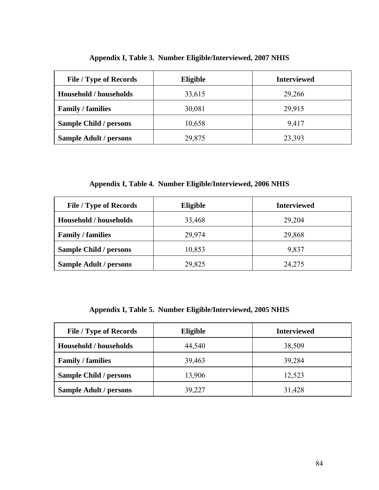| <b>File / Type of Records</b> | Eligible | <b>Interviewed</b> |
|-------------------------------|----------|--------------------|
| <b>Household / households</b> | 33,615   | 29,266             |
| <b>Family / families</b>      | 30,081   | 29,915             |
| <b>Sample Child / persons</b> | 10,658   | 9,417              |
| <b>Sample Adult / persons</b> | 29,875   | 23,393             |

# **Appendix I, Table 3. Number Eligible/Interviewed, 2007 NHIS**

**Appendix I, Table 4. Number Eligible/Interviewed, 2006 NHIS** 

| <b>File / Type of Records</b> | Eligible | <b>Interviewed</b> |
|-------------------------------|----------|--------------------|
| Household / households        | 33,468   | 29,204             |
| <b>Family / families</b>      | 29,974   | 29,868             |
| <b>Sample Child / persons</b> | 10,853   | 9,837              |
| <b>Sample Adult / persons</b> | 29,825   | 24,275             |

# **Appendix I, Table 5. Number Eligible/Interviewed, 2005 NHIS**

| <b>File / Type of Records</b> | Eligible | <b>Interviewed</b> |
|-------------------------------|----------|--------------------|
| <b>Household / households</b> | 44,540   | 38,509             |
| <b>Family / families</b>      | 39,463   | 39,284             |
| <b>Sample Child / persons</b> | 13,906   | 12,523             |
| <b>Sample Adult / persons</b> | 39,227   | 31,428             |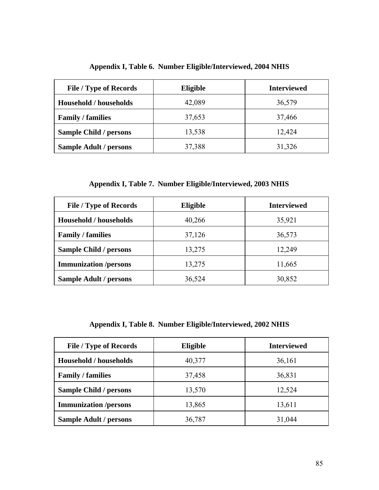|  |  | Appendix I, Table 6. Number Eligible/Interviewed, 2004 NHIS |  |
|--|--|-------------------------------------------------------------|--|
|--|--|-------------------------------------------------------------|--|

| <b>File / Type of Records</b> | Eligible | <b>Interviewed</b> |
|-------------------------------|----------|--------------------|
| <b>Household / households</b> | 42,089   | 36,579             |
| <b>Family / families</b>      | 37,653   | 37,466             |
| <b>Sample Child / persons</b> | 13,538   | 12,424             |
| <b>Sample Adult / persons</b> | 37,388   | 31,326             |

**Appendix I, Table 7. Number Eligible/Interviewed, 2003 NHIS** 

| <b>File / Type of Records</b> | Eligible | <b>Interviewed</b> |
|-------------------------------|----------|--------------------|
| <b>Household / households</b> | 40,266   | 35,921             |
| <b>Family / families</b>      | 37,126   | 36,573             |
| <b>Sample Child / persons</b> | 13,275   | 12,249             |
| <b>Immunization</b> /persons  | 13,275   | 11,665             |
| <b>Sample Adult / persons</b> | 36,524   | 30,852             |

**Appendix I, Table 8. Number Eligible/Interviewed, 2002 NHIS** 

| <b>File / Type of Records</b> | Eligible | <b>Interviewed</b> |
|-------------------------------|----------|--------------------|
| <b>Household / households</b> | 40,377   | 36,161             |
| <b>Family / families</b>      | 37,458   | 36,831             |
| <b>Sample Child / persons</b> | 13,570   | 12,524             |
| <b>Immunization</b> /persons  | 13,865   | 13,611             |
| <b>Sample Adult / persons</b> | 36,787   | 31,044             |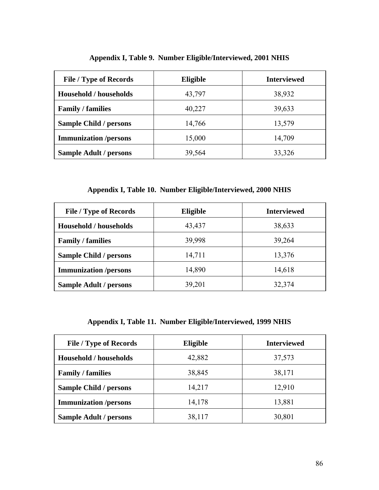| <b>File / Type of Records</b> | Eligible | <b>Interviewed</b> |
|-------------------------------|----------|--------------------|
| <b>Household / households</b> | 43,797   | 38,932             |
| <b>Family / families</b>      | 40,227   | 39,633             |
| <b>Sample Child / persons</b> | 14,766   | 13,579             |
| <b>Immunization</b> /persons  | 15,000   | 14,709             |
| <b>Sample Adult / persons</b> | 39,564   | 33,326             |

**Appendix I, Table 9. Number Eligible/Interviewed, 2001 NHIS** 

**Appendix I, Table 10. Number Eligible/Interviewed, 2000 NHIS** 

| <b>File / Type of Records</b> | <b>Eligible</b> | <b>Interviewed</b> |
|-------------------------------|-----------------|--------------------|
| <b>Household / households</b> | 43,437          | 38,633             |
| <b>Family / families</b>      | 39,998          | 39,264             |
| <b>Sample Child / persons</b> | 14,711          | 13,376             |
| <b>Immunization</b> /persons  | 14,890          | 14,618             |
| <b>Sample Adult / persons</b> | 39,201          | 32,374             |

**Appendix I, Table 11. Number Eligible/Interviewed, 1999 NHIS** 

| <b>File / Type of Records</b> | Eligible | <b>Interviewed</b> |
|-------------------------------|----------|--------------------|
| <b>Household / households</b> | 42,882   | 37,573             |
| <b>Family / families</b>      | 38,845   | 38,171             |
| <b>Sample Child / persons</b> | 14,217   | 12,910             |
| <b>Immunization</b> /persons  | 14,178   | 13,881             |
| <b>Sample Adult / persons</b> | 38,117   | 30,801             |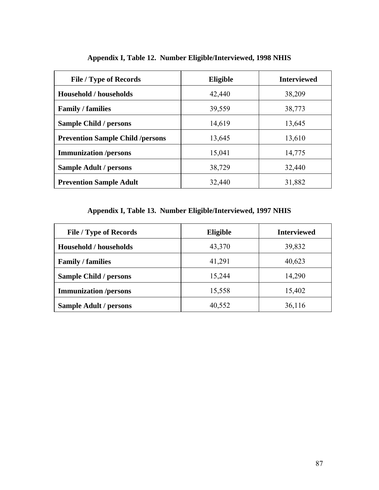| <b>File / Type of Records</b>           | Eligible | <b>Interviewed</b> |
|-----------------------------------------|----------|--------------------|
| <b>Household / households</b>           | 42,440   | 38,209             |
| <b>Family / families</b>                | 39,559   | 38,773             |
| <b>Sample Child / persons</b>           | 14,619   | 13,645             |
| <b>Prevention Sample Child /persons</b> | 13,645   | 13,610             |
| <b>Immunization</b> /persons            | 15,041   | 14,775             |
| <b>Sample Adult / persons</b>           | 38,729   | 32,440             |
| <b>Prevention Sample Adult</b>          | 32,440   | 31,882             |

# **Appendix I, Table 12. Number Eligible/Interviewed, 1998 NHIS**

# **Appendix I, Table 13. Number Eligible/Interviewed, 1997 NHIS**

| <b>File / Type of Records</b> | Eligible | <b>Interviewed</b> |
|-------------------------------|----------|--------------------|
| <b>Household / households</b> | 43,370   | 39,832             |
| <b>Family / families</b>      | 41,291   | 40,623             |
| <b>Sample Child / persons</b> | 15,244   | 14,290             |
| <b>Immunization</b> /persons  | 15,558   | 15,402             |
| <b>Sample Adult / persons</b> | 40,552   | 36,116             |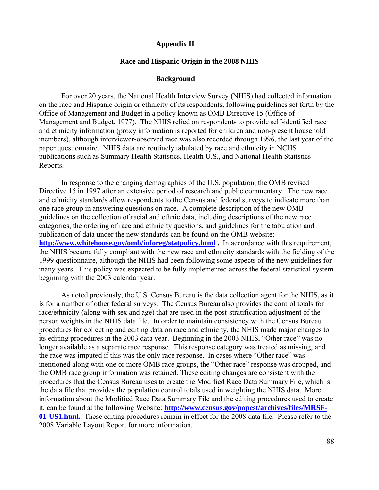## **Appendix II**

#### **Race and Hispanic Origin in the 2008 NHIS**

## **Background**

For over 20 years, the National Health Interview Survey (NHIS) had collected information on the race and Hispanic origin or ethnicity of its respondents, following guidelines set forth by the Office of Management and Budget in a policy known as OMB Directive 15 (Office of Management and Budget, 1977). The NHIS relied on respondents to provide self-identified race and ethnicity information (proxy information is reported for children and non-present household members), although interviewer-observed race was also recorded through 1996, the last year of the paper questionnaire. NHIS data are routinely tabulated by race and ethnicity in NCHS publications such as Summary Health Statistics, Health U.S., and National Health Statistics Reports.

http://www.whitehouse.gov/omb/inforeg/statpolicy.html. In accordance with this requirement, In response to the changing demographics of the U.S. population, the OMB revised Directive 15 in 1997 after an extensive period of research and public commentary. The new race and ethnicity standards allow respondents to the Census and federal surveys to indicate more than one race group in answering questions on race. A complete description of the new OMB guidelines on the collection of racial and ethnic data, including descriptions of the new race categories, the ordering of race and ethnicity questions, and guidelines for the tabulation and publication of data under the new standards can be found on the OMB website: the NHIS became fully compliant with the new race and ethnicity standards with the fielding of the 1999 questionnaire, although the NHIS had been following some aspects of the new guidelines for many years. This policy was expected to be fully implemented across the federal statistical system beginning with the 2003 calendar year.

As noted previously, the U.S. Census Bureau is the data collection agent for the NHIS, as it is for a number of other federal surveys. The Census Bureau also provides the control totals for race/ethnicity (along with sex and age) that are used in the post-stratification adjustment of the person weights in the NHIS data file. In order to maintain consistency with the Census Bureau procedures for collecting and editing data on race and ethnicity, the NHIS made major changes to its editing procedures in the 2003 data year. Beginning in the 2003 NHIS, "Other race" was no longer available as a separate race response. This response category was treated as missing, and the race was imputed if this was the only race response. In cases where "Other race" was mentioned along with one or more OMB race groups, the "Other race" response was dropped, and the OMB race group information was retained. These editing changes are consistent with the procedures that the Census Bureau uses to create the Modified Race Data Summary File, which is the data file that provides the population control totals used in weighting the NHIS data. More information about the Modified Race Data Summary File and the editing procedures used to create it, can be found at the following Website: **[http://www.census.gov/popest/archives/files/MRSF-](http://www.census.gov/popest/archives/files/MRSF-01-US1.html)[01-US1.html.](http://www.census.gov/popest/archives/files/MRSF-01-US1.html)** These editing procedures remain in effect for the 2008 data file. Please refer to the 2008 Variable Layout Report for more information.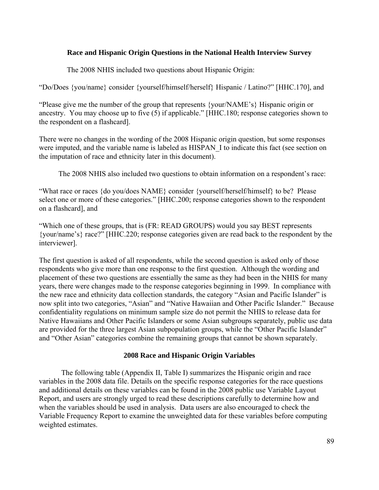# **Race and Hispanic Origin Questions in the National Health Interview Survey**

The 2008 NHIS included two questions about Hispanic Origin:

"Do/Does {you/name} consider {yourself/himself/herself} Hispanic / Latino?" [HHC.170], and

"Please give me the number of the group that represents {your/NAME's} Hispanic origin or ancestry. You may choose up to five (5) if applicable." [HHC.180; response categories shown to the respondent on a flashcard].

There were no changes in the wording of the 2008 Hispanic origin question, but some responses were imputed, and the variable name is labeled as HISPAN\_I to indicate this fact (see section on the imputation of race and ethnicity later in this document).

The 2008 NHIS also included two questions to obtain information on a respondent's race:

"What race or races {do you/does NAME} consider {yourself/herself/himself} to be? Please select one or more of these categories." [HHC.200; response categories shown to the respondent on a flashcard], and

"Which one of these groups, that is (FR: READ GROUPS) would you say BEST represents {your/name's} race?" [HHC.220; response categories given are read back to the respondent by the interviewer].

The first question is asked of all respondents, while the second question is asked only of those respondents who give more than one response to the first question. Although the wording and placement of these two questions are essentially the same as they had been in the NHIS for many years, there were changes made to the response categories beginning in 1999. In compliance with the new race and ethnicity data collection standards, the category "Asian and Pacific Islander" is now split into two categories, "Asian" and "Native Hawaiian and Other Pacific Islander." Because confidentiality regulations on minimum sample size do not permit the NHIS to release data for Native Hawaiians and Other Pacific Islanders or some Asian subgroups separately, public use data are provided for the three largest Asian subpopulation groups, while the "Other Pacific Islander" and "Other Asian" categories combine the remaining groups that cannot be shown separately.

# **2008 Race and Hispanic Origin Variables**

The following table (Appendix II, Table I) summarizes the Hispanic origin and race variables in the 2008 data file. Details on the specific response categories for the race questions and additional details on these variables can be found in the 2008 public use Variable Layout Report, and users are strongly urged to read these descriptions carefully to determine how and when the variables should be used in analysis. Data users are also encouraged to check the Variable Frequency Report to examine the unweighted data for these variables before computing weighted estimates.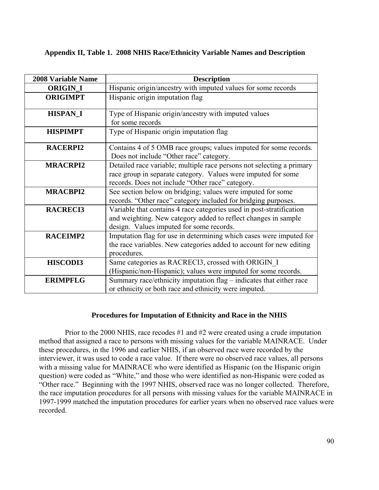# **Appendix II, Table 1. 2008 NHIS Race/Ethnicity Variable Names and Description**

| <b>2008 Variable Name</b> | <b>Description</b>                                                                                                                                                                         |  |
|---------------------------|--------------------------------------------------------------------------------------------------------------------------------------------------------------------------------------------|--|
| <b>ORIGIN_I</b>           | Hispanic origin/ancestry with imputed values for some records                                                                                                                              |  |
| <b>ORIGIMPT</b>           | Hispanic origin imputation flag                                                                                                                                                            |  |
| <b>HISPAN_I</b>           | Type of Hispanic origin/ancestry with imputed values<br>for some records                                                                                                                   |  |
| <b>HISPIMPT</b>           | Type of Hispanic origin imputation flag                                                                                                                                                    |  |
| <b>RACERPI2</b>           | Contains 4 of 5 OMB race groups; values imputed for some records.<br>Does not include "Other race" category.                                                                               |  |
| <b>MRACRPI2</b>           | Detailed race variable; multiple race persons not selecting a primary<br>race group in separate category. Values were imputed for some<br>records. Does not include "Other race" category. |  |
| <b>MRACBPI2</b>           | See section below on bridging; values were imputed for some<br>records. "Other race" category included for bridging purposes.                                                              |  |
| <b>RACRECI3</b>           | Variable that contains 4 race categories used in post-stratification<br>and weighting. New category added to reflect changes in sample<br>design. Values imputed for some records.         |  |
| <b>RACEIMP2</b>           | Imputation flag for use in determining which cases were imputed for<br>the race variables. New categories added to account for new editing<br>procedures.                                  |  |
| <b>HISCODI3</b>           | Same categories as RACRECI3, crossed with ORIGIN I<br>(Hispanic/non-Hispanic); values were imputed for some records.                                                                       |  |
| <b>ERIMPFLG</b>           | Summary race/ethnicity imputation flag – indicates that either race<br>or ethnicity or both race and ethnicity were imputed.                                                               |  |

# **Procedures for Imputation of Ethnicity and Race in the NHIS**

 Prior to the 2000 NHIS, race recodes #1 and #2 were created using a crude imputation method that assigned a race to persons with missing values for the variable MAINRACE. Under these procedures, in the 1996 and earlier NHIS, if an observed race were recorded by the interviewer, it was used to code a race value. If there were no observed race values, all persons with a missing value for MAINRACE who were identified as Hispanic (on the Hispanic origin question) were coded as "White," and those who were identified as non-Hispanic were coded as "Other race." Beginning with the 1997 NHIS, observed race was no longer collected. Therefore, the race imputation procedures for all persons with missing values for the variable MAINRACE in 1997-1999 matched the imputation procedures for earlier years when no observed race values were recorded.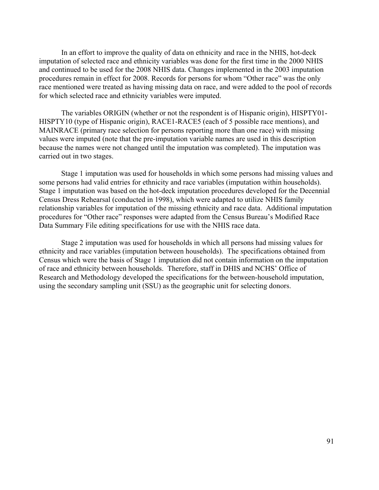In an effort to improve the quality of data on ethnicity and race in the NHIS, hot-deck imputation of selected race and ethnicity variables was done for the first time in the 2000 NHIS and continued to be used for the 2008 NHIS data. Changes implemented in the 2003 imputation procedures remain in effect for 2008. Records for persons for whom "Other race" was the only race mentioned were treated as having missing data on race, and were added to the pool of records for which selected race and ethnicity variables were imputed.

The variables ORIGIN (whether or not the respondent is of Hispanic origin), HISPTY01 HISPTY10 (type of Hispanic origin), RACE1-RACE5 (each of 5 possible race mentions), and MAINRACE (primary race selection for persons reporting more than one race) with missing values were imputed (note that the pre-imputation variable names are used in this description because the names were not changed until the imputation was completed). The imputation was carried out in two stages.

Stage 1 imputation was used for households in which some persons had missing values and some persons had valid entries for ethnicity and race variables (imputation within households). Stage 1 imputation was based on the hot-deck imputation procedures developed for the Decennial Census Dress Rehearsal (conducted in 1998), which were adapted to utilize NHIS family relationship variables for imputation of the missing ethnicity and race data. Additional imputation procedures for "Other race" responses were adapted from the Census Bureau's Modified Race Data Summary File editing specifications for use with the NHIS race data.

Stage 2 imputation was used for households in which all persons had missing values for ethnicity and race variables (imputation between households). The specifications obtained from Census which were the basis of Stage 1 imputation did not contain information on the imputation of race and ethnicity between households. Therefore, staff in DHIS and NCHS' Office of Research and Methodology developed the specifications for the between-household imputation, using the secondary sampling unit (SSU) as the geographic unit for selecting donors.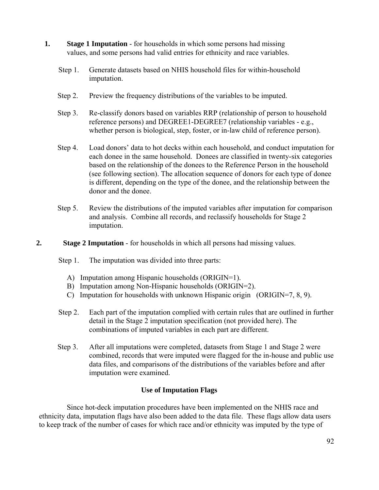- **1.** Stage 1 Imputation for households in which some persons had missing values, and some persons had valid entries for ethnicity and race variables.
	- Step 1. Generate datasets based on NHIS household files for within-household imputation.
	- Step 2. Preview the frequency distributions of the variables to be imputed.
	- Step 3. Re-classify donors based on variables RRP (relationship of person to household reference persons) and DEGREE1-DEGREE7 (relationship variables - e.g., whether person is biological, step, foster, or in-law child of reference person).
	- Step 4. Load donors' data to hot decks within each household, and conduct imputation for each donee in the same household. Donees are classified in twenty-six categories based on the relationship of the donees to the Reference Person in the household (see following section). The allocation sequence of donors for each type of donee is different, depending on the type of the donee, and the relationship between the donor and the donee.
	- Step 5. Review the distributions of the imputed variables after imputation for comparison and analysis. Combine all records, and reclassify households for Stage 2 imputation.
- **2. Stage 2 Imputation** for households in which all persons had missing values.

# Step 1. The imputation was divided into three parts:

- A) Imputation among Hispanic households (ORIGIN=1).
- B) Imputation among Non-Hispanic households (ORIGIN=2).
- C) Imputation for households with unknown Hispanic origin (ORIGIN=7, 8, 9).
- Step 2. Each part of the imputation complied with certain rules that are outlined in further detail in the Stage 2 imputation specification (not provided here). The combinations of imputed variables in each part are different.
- Step 3. After all imputations were completed, datasets from Stage 1 and Stage 2 were combined, records that were imputed were flagged for the in-house and public use data files, and comparisons of the distributions of the variables before and after imputation were examined.

# **Use of Imputation Flags**

Since hot-deck imputation procedures have been implemented on the NHIS race and ethnicity data, imputation flags have also been added to the data file. These flags allow data users to keep track of the number of cases for which race and/or ethnicity was imputed by the type of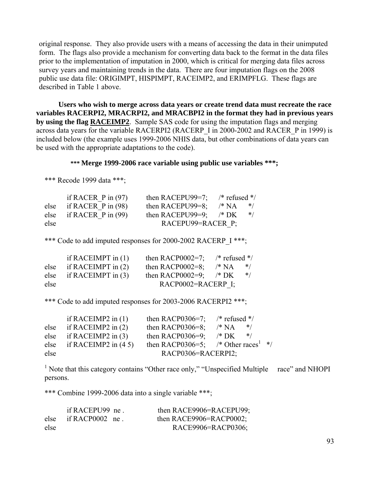original response. They also provide users with a means of accessing the data in their unimputed form. The flags also provide a mechanism for converting data back to the format in the data files prior to the implementation of imputation in 2000, which is critical for merging data files across survey years and maintaining trends in the data. There are four imputation flags on the 2008 public use data file: ORIGIMPT, HISPIMPT, RACEIMP2, and ERIMPFLG. These flags are described in Table 1 above.

**Users who wish to merge across data years or create trend data must recreate the race variables RACERPI2, MRACRPI2, and MRACBPI2 in the format they had in previous years by using the flag RACEIMP2**. Sample SAS code for using the imputation flags and merging across data years for the variable RACERPI2 (RACERP\_I in 2000-2002 and RACER\_P in 1999) is included below (the example uses 1999-2006 NHIS data, but other combinations of data years can be used with the appropriate adaptations to the code).

# **\*\*\* Merge 1999-2006 race variable using public use variables \*\*\*;**

\*\*\* Recode 1999 data \*\*\*;

|      | if RACER $P$ in (97)      | then RACEPU99=7;  | $/*$ refused $*/$    |
|------|---------------------------|-------------------|----------------------|
|      | else if RACER $P$ in (98) | then RACEPU99=8;  | /* NA<br>$*$         |
|      | else if RACER $P$ in (99) | then RACEPU99=9;  | $\frac{*}{K}$<br>$*$ |
| else |                           | RACEPU99=RACER P; |                      |

\*\*\* Code to add imputed responses for 2000-2002 RACERP I \*\*\*;

|      | if RACEIMPT in $(1)$      | then RACP0002=7;       | $/*$ refused */ |       |
|------|---------------------------|------------------------|-----------------|-------|
|      | else if RACEIMPT in $(2)$ | then RACP0002=8;       | /* NA           | $*$ / |
|      | else if RACEIMPT in $(3)$ | then RACP0002=9;       | $/*$ DK         | $*$ / |
| else |                           | $RACP0002 = RACERP$ I; |                 |       |

\*\*\* Code to add imputed responses for 2003-2006 RACERPI2 \*\*\*;

|      | if RACEIMP2 in $(1)$    | then RACP0306=7;                                | $/*$ refused $*/$ |  |
|------|-------------------------|-------------------------------------------------|-------------------|--|
| else | if RACEIMP2 in $(2)$    | then RACP0306=8;                                | $/* NA$<br>$*$ /  |  |
| else | if RACEIMP2 in $(3)$    | then RACP0306=9;                                | $/* DK$<br>$*$    |  |
| else | if RACEIMP2 in $(4\ 5)$ | then RACP0306=5; /* Other races <sup>1</sup> */ |                   |  |
| else |                         | RACP0306=RACERPI2;                              |                   |  |

<sup>1</sup> Note that this category contains "Other race only," "Unspecified Multiple race" and NHOPI persons.

\*\*\* Combine 1999-2006 data into a single variable \*\*\*;

|      | if RACEPU99 ne       | then RACE9906=RACEPU99; |
|------|----------------------|-------------------------|
| else | if RACP0002 $\,$ ne. | then RACE9906=RACP0002; |
| else |                      | RACE9906=RACP0306;      |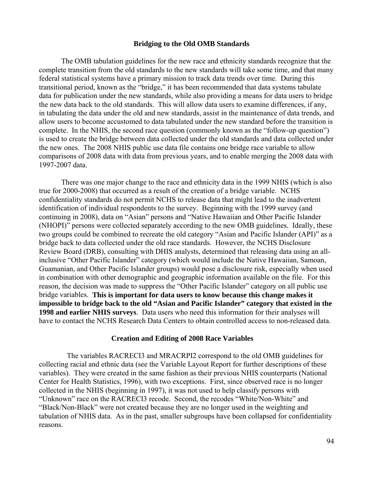#### **Bridging to the Old OMB Standards**

The OMB tabulation guidelines for the new race and ethnicity standards recognize that the complete transition from the old standards to the new standards will take some time, and that many federal statistical systems have a primary mission to track data trends over time. During this transitional period, known as the "bridge," it has been recommended that data systems tabulate data for publication under the new standards, while also providing a means for data users to bridge the new data back to the old standards. This will allow data users to examine differences, if any, in tabulating the data under the old and new standards, assist in the maintenance of data trends, and allow users to become accustomed to data tabulated under the new standard before the transition is complete. In the NHIS, the second race question (commonly known as the "follow-up question") is used to create the bridge between data collected under the old standards and data collected under the new ones. The 2008 NHIS public use data file contains one bridge race variable to allow comparisons of 2008 data with data from previous years, and to enable merging the 2008 data with 1997-2007 data.

There was one major change to the race and ethnicity data in the 1999 NHIS (which is also true for 2000-2008) that occurred as a result of the creation of a bridge variable. NCHS confidentiality standards do not permit NCHS to release data that might lead to the inadvertent identification of individual respondents to the survey. Beginning with the 1999 survey (and continuing in 2008), data on "Asian" persons and "Native Hawaiian and Other Pacific Islander (NHOPI)" persons were collected separately according to the new OMB guidelines. Ideally, these two groups could be combined to recreate the old category "Asian and Pacific Islander (API)" as a bridge back to data collected under the old race standards. However, the NCHS Disclosure Review Board (DRB), consulting with DHIS analysts, determined that releasing data using an allinclusive "Other Pacific Islander" category (which would include the Native Hawaiian, Samoan, Guamanian, and Other Pacific Islander groups) would pose a disclosure risk, especially when used in combination with other demographic and geographic information available on the file. For this reason, the decision was made to suppress the "Other Pacific Islander" category on all public use bridge variables. **This is important for data users to know because this change makes it impossible to bridge back to the old "Asian and Pacific Islander" category that existed in the 1998 and earlier NHIS surveys**. Data users who need this information for their analyses will have to contact the NCHS Research Data Centers to obtain controlled access to non-released data.

#### **Creation and Editing of 2008 Race Variables**

The variables RACRECI3 and MRACRPI2 correspond to the old OMB guidelines for collecting racial and ethnic data (see the Variable Layout Report for further descriptions of these variables). They were created in the same fashion as their previous NHIS counterparts (National Center for Health Statistics, 1996), with two exceptions. First, since observed race is no longer collected in the NHIS (beginning in 1997), it was not used to help classify persons with "Unknown" race on the RACRECI3 recode. Second, the recodes "White/Non-White" and "Black/Non-Black" were not created because they are no longer used in the weighting and tabulation of NHIS data. As in the past, smaller subgroups have been collapsed for confidentiality reasons.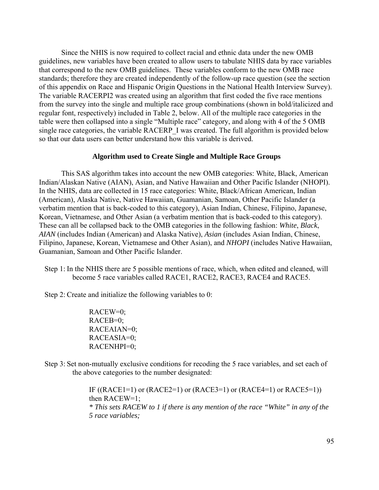Since the NHIS is now required to collect racial and ethnic data under the new OMB guidelines, new variables have been created to allow users to tabulate NHIS data by race variables that correspond to the new OMB guidelines. These variables conform to the new OMB race standards; therefore they are created independently of the follow-up race question (see the section of this appendix on Race and Hispanic Origin Questions in the National Health Interview Survey). The variable RACERPI2 was created using an algorithm that first coded the five race mentions from the survey into the single and multiple race group combinations (shown in bold/italicized and regular font, respectively) included in Table 2, below. All of the multiple race categories in the table were then collapsed into a single "Multiple race" category, and along with 4 of the 5 OMB single race categories, the variable RACERP I was created. The full algorithm is provided below so that our data users can better understand how this variable is derived.

## **Algorithm used to Create Single and Multiple Race Groups**

This SAS algorithm takes into account the new OMB categories: White, Black, American Indian/Alaskan Native (AIAN), Asian, and Native Hawaiian and Other Pacific Islander (NHOPI). In the NHIS, data are collected in 15 race categories: White, Black/African American, Indian (American), Alaska Native, Native Hawaiian, Guamanian, Samoan, Other Pacific Islander (a verbatim mention that is back-coded to this category), Asian Indian, Chinese, Filipino, Japanese, Korean, Vietnamese, and Other Asian (a verbatim mention that is back-coded to this category). These can all be collapsed back to the OMB categories in the following fashion: *White*, *Black*, *AIAN* (includes Indian (American) and Alaska Native), *Asian* (includes Asian Indian, Chinese, Filipino, Japanese, Korean, Vietnamese and Other Asian), and *NHOPI* (includes Native Hawaiian, Guamanian, Samoan and Other Pacific Islander.

Step 1: In the NHIS there are 5 possible mentions of race, which, when edited and cleaned, will become 5 race variables called RACE1, RACE2, RACE3, RACE4 and RACE5.

Step 2: Create and initialize the following variables to 0:

RACEW=0; RACEB=0; RACEAIAN=0; RACEASIA=0; RACENHPI=0;

Step 3: Set non-mutually exclusive conditions for recoding the 5 race variables, and set each of the above categories to the number designated:

> IF ((RACE1=1) or (RACE2=1) or (RACE3=1) or (RACE4=1) or RACE5=1)) then RACEW=1; *\* This sets RACEW to 1 if there is any mention of the race "White" in any of the 5 race variables;*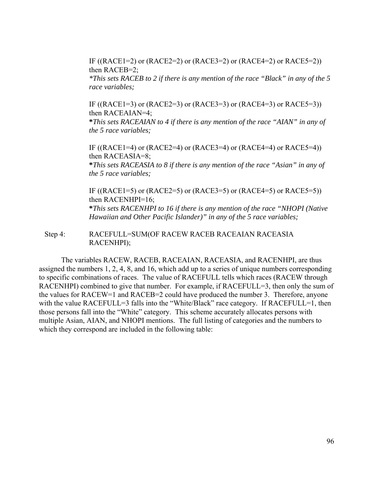IF ((RACE1=2) or (RACE2=2) or (RACE3=2) or (RACE4=2) or RACE5=2)) then RACEB=2; *\*This sets RACEB to 2 if there is any mention of the race "Black" in any of the 5 race variables;* 

IF ((RACE1=3) or (RACE2=3) or (RACE3=3) or (RACE4=3) or RACE5=3)) then RACEAIAN=4;

**\****This sets RACEAIAN to 4 if there is any mention of the race "AIAN" in any of the 5 race variables;* 

IF  $((RACE1=4)$  or  $(RACE2=4)$  or  $(RACE3=4)$  or  $(RACE4=4)$  or  $RACE5=4)$ ) then RACEASIA=8; **\****This sets RACEASIA to 8 if there is any mention of the race "Asian" in any of the 5 race variables;* 

IF  $((RACE1=5)$  or  $(RACE2=5)$  or  $(RACE3=5)$  or  $(RACE4=5)$  or  $RACE5=5)$ ) then RACENHPI=16; **\****This sets RACENHPI to 16 if there is any mention of the race "NHOPI (Native Hawaiian and Other Pacific Islander)" in any of the 5 race variables;* 

 $Step 4$ : RACEFULL=SUM(OF RACEW RACEB RACEAIAN RACEASIA RACENHPI);

The variables RACEW, RACEB, RACEAIAN, RACEASIA, and RACENHPI, are thus assigned the numbers 1, 2, 4, 8, and 16, which add up to a series of unique numbers corresponding to specific combinations of races. The value of RACEFULL tells which races (RACEW through RACENHPI) combined to give that number. For example, if RACEFULL=3, then only the sum of the values for RACEW=1 and RACEB=2 could have produced the number 3. Therefore, anyone with the value RACEFULL=3 falls into the "White/Black" race category. If RACEFULL=1, then those persons fall into the "White" category. This scheme accurately allocates persons with multiple Asian, AIAN, and NHOPI mentions. The full listing of categories and the numbers to which they correspond are included in the following table: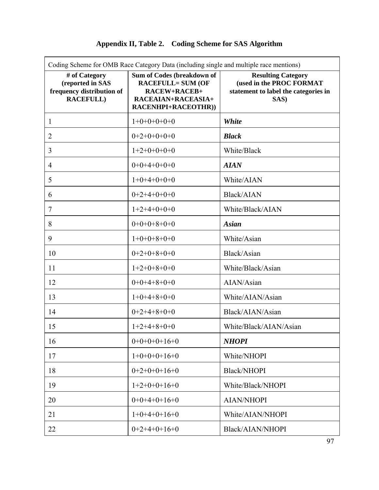# **Appendix II, Table 2. Coding Scheme for SAS Algorithm**

| Coding Scheme for OMB Race Category Data (including single and multiple race mentions) |                                                                                                                     |                                                                                                       |  |
|----------------------------------------------------------------------------------------|---------------------------------------------------------------------------------------------------------------------|-------------------------------------------------------------------------------------------------------|--|
| # of Category<br>(reported in SAS<br>frequency distribution of<br><b>RACEFULL)</b>     | Sum of Codes (breakdown of<br><b>RACEFULL= SUM (OF</b><br>RACEW+RACEB+<br>RACEAIAN+RACEASIA+<br>RACENHPI+RACEOTHR)) | <b>Resulting Category</b><br>(used in the PROC FORMAT<br>statement to label the categories in<br>SAS) |  |
| 1                                                                                      | $1+0+0+0+0+0$                                                                                                       | White                                                                                                 |  |
| $\overline{2}$                                                                         | $0+2+0+0+0+0$                                                                                                       | <b>Black</b>                                                                                          |  |
| 3                                                                                      | $1+2+0+0+0+0$                                                                                                       | White/Black                                                                                           |  |
| 4                                                                                      | $0+0+4+0+0+0$                                                                                                       | <b>AIAN</b>                                                                                           |  |
| 5                                                                                      | $1+0+4+0+0+0$                                                                                                       | White/AIAN                                                                                            |  |
| 6                                                                                      | $0+2+4+0+0+0$                                                                                                       | <b>Black/AIAN</b>                                                                                     |  |
| 7                                                                                      | $1+2+4+0+0+0$                                                                                                       | White/Black/AIAN                                                                                      |  |
| 8                                                                                      | $0+0+0+8+0+0$                                                                                                       | <b>Asian</b>                                                                                          |  |
| 9                                                                                      | $1+0+0+8+0+0$                                                                                                       | White/Asian                                                                                           |  |
| 10                                                                                     | $0+2+0+8+0+0$                                                                                                       | Black/Asian                                                                                           |  |
| 11                                                                                     | $1+2+0+8+0+0$                                                                                                       | White/Black/Asian                                                                                     |  |
| 12                                                                                     | $0+0+4+8+0+0$                                                                                                       | AIAN/Asian                                                                                            |  |
| 13                                                                                     | $1+0+4+8+0+0$                                                                                                       | White/AIAN/Asian                                                                                      |  |
| 14                                                                                     | $0+2+4+8+0+0$                                                                                                       | Black/AIAN/Asian                                                                                      |  |
| 15                                                                                     | $1+2+4+8+0+0$                                                                                                       | White/Black/AIAN/Asian                                                                                |  |
| 16                                                                                     | $0+0+0+0+16+0$                                                                                                      | <b>NHOPI</b>                                                                                          |  |
| 17                                                                                     | $1+0+0+0+16+0$                                                                                                      | White/NHOPI                                                                                           |  |
| 18                                                                                     | $0+2+0+0+16+0$                                                                                                      | <b>Black/NHOPI</b>                                                                                    |  |
| 19                                                                                     | $1+2+0+0+16+0$                                                                                                      | White/Black/NHOPI                                                                                     |  |
| 20                                                                                     | $0+0+4+0+16+0$                                                                                                      | <b>AIAN/NHOPI</b>                                                                                     |  |
| 21                                                                                     | $1+0+4+0+16+0$                                                                                                      | White/AIAN/NHOPI                                                                                      |  |
| 22                                                                                     | $0+2+4+0+16+0$                                                                                                      | Black/AIAN/NHOPI                                                                                      |  |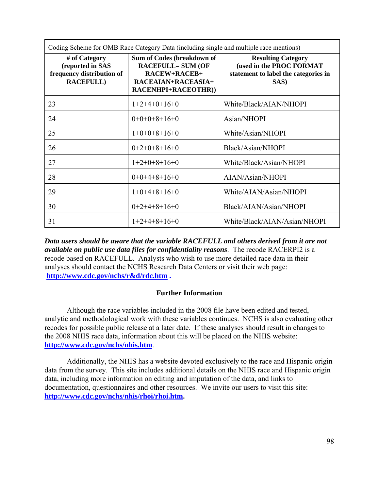| Coding Scheme for OMB Race Category Data (including single and multiple race mentions) |                                                                                                                            |                                                                                                       |  |
|----------------------------------------------------------------------------------------|----------------------------------------------------------------------------------------------------------------------------|-------------------------------------------------------------------------------------------------------|--|
| # of Category<br>(reported in SAS<br>frequency distribution of<br><b>RACEFULL)</b>     | Sum of Codes (breakdown of<br><b>RACEFULL= SUM (OF</b><br>RACEW+RACEB+<br>RACEAIAN+RACEASIA+<br><b>RACENHPI+RACEOTHR))</b> | <b>Resulting Category</b><br>(used in the PROC FORMAT<br>statement to label the categories in<br>SAS) |  |
| 23                                                                                     | $1+2+4+0+16+0$                                                                                                             | White/Black/AIAN/NHOPI                                                                                |  |
| 24                                                                                     | $0+0+0+8+16+0$                                                                                                             | Asian/NHOPI                                                                                           |  |
| 25                                                                                     | $1+0+0+8+16+0$                                                                                                             | White/Asian/NHOPI                                                                                     |  |
| 26                                                                                     | $0+2+0+8+16+0$                                                                                                             | Black/Asian/NHOPI                                                                                     |  |
| 27                                                                                     | $1+2+0+8+16+0$                                                                                                             | White/Black/Asian/NHOPI                                                                               |  |
| 28                                                                                     | $0+0+4+8+16+0$                                                                                                             | AIAN/Asian/NHOPI                                                                                      |  |
| 29                                                                                     | $1+0+4+8+16+0$                                                                                                             | White/AIAN/Asian/NHOPI                                                                                |  |
| 30                                                                                     | $0+2+4+8+16+0$                                                                                                             | Black/AIAN/Asian/NHOPI                                                                                |  |
| 31                                                                                     | $1+2+4+8+16+0$                                                                                                             | White/Black/AIAN/Asian/NHOPI                                                                          |  |

 **[http://www.cdc.gov/nchs/r&d/rdc.htm .](http://www.cdc.gov/nchs/r&d/rdc.htm) Further Information**  *Data users should be aware that the variable RACEFULL and others derived from it are not available on public use data files for confidentiality reasons*. The recode RACERPI2 is a recode based on RACEFULL. Analysts who wish to use more detailed race data in their analyses should contact the NCHS Research Data Centers or visit their web page:

Although the race variables included in the 2008 file have been edited and tested, analytic and methodological work with these variables continues. NCHS is also evaluating other recodes for possible public release at a later date. If these analyses should result in changes to the 2008 NHIS race data, information about this will be placed on the NHIS website: **<http://www.cdc.gov/nchs/nhis.htm>**.

Additionally, the NHIS has a website devoted exclusively to the race and Hispanic origin data from the survey. This site includes additional details on the NHIS race and Hispanic origin data, including more information on editing and imputation of the data, and links to documentation, questionnaires and other resources. We invite our users to visit this site: **[http://www.cdc.gov/nchs/nhis/rhoi/rhoi.htm.](http://www.cdc.gov/nchs/nhis/rhoi/rhoi.htm)**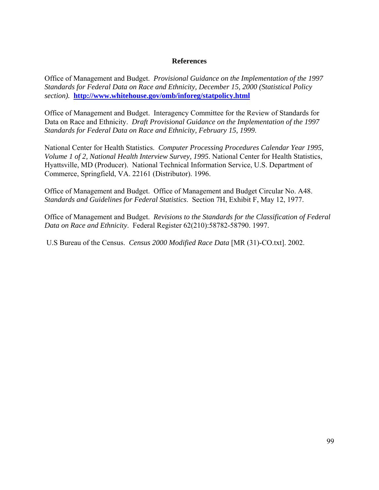## **References**

 *section).* **<http://www.whitehouse.gov/omb/inforeg/statpolicy.html>**Office of Management and Budget. *Provisional Guidance on the Implementation of the 1997 Standards for Federal Data on Race and Ethnicity, December 15, 2000 (Statistical Policy* 

Office of Management and Budget. Interagency Committee for the Review of Standards for Data on Race and Ethnicity. *Draft Provisional Guidance on the Implementation of the 1997 Standards for Federal Data on Race and Ethnicity, February 15, 1999*.

National Center for Health Statistics. *Computer Processing Procedures Calendar Year 1995, Volume 1 of 2, National Health Interview Survey, 1995*. National Center for Health Statistics, Hyattsville, MD (Producer). National Technical Information Service, U.S. Department of Commerce, Springfield, VA. 22161 (Distributor). 1996.

Office of Management and Budget. Office of Management and Budget Circular No. A48. *Standards and Guidelines for Federal Statistics*. Section 7H, Exhibit F, May 12, 1977.

Office of Management and Budget. *Revisions to the Standards for the Classification of Federal Data on Race and Ethnicity*. Federal Register 62(210):58782-58790. 1997.

U.S Bureau of the Census. *Census 2000 Modified Race Data* [MR (31)-CO.txt]. 2002.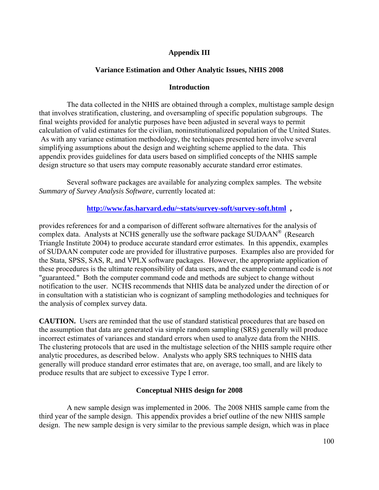# **Appendix III**

# **Variance Estimation and Other Analytic Issues, NHIS 2008**

# **Introduction**

The data collected in the NHIS are obtained through a complex, multistage sample design that involves stratification, clustering, and oversampling of specific population subgroups. The final weights provided for analytic purposes have been adjusted in several ways to permit calculation of valid estimates for the civilian, noninstitutionalized population of the United States. As with any variance estimation methodology, the techniques presented here involve several simplifying assumptions about the design and weighting scheme applied to the data. This appendix provides guidelines for data users based on simplified concepts of the NHIS sample design structure so that users may compute reasonably accurate standard error estimates.

Several software packages are available for analyzing complex samples. The website *Summary of Survey Analysis Software,* currently located at:

# **[http://www.fas.harvard.edu/~stats/survey-soft/survey-soft.html ,](http://www.fas.harvard.edu/~stats/survey-soft/survey-soft.html)**

provides references for and a comparison of different software alternatives for the analysis of complex data. Analysts at NCHS generally use the software package SUDAAN® (Research Triangle Institute 2004) to produce accurate standard error estimates. In this appendix, examples of SUDAAN computer code are provided for illustrative purposes. Examples also are provided for the Stata, SPSS, SAS, R, and VPLX software packages. However, the appropriate application of these procedures is the ultimate responsibility of data users, and the example command code is *not*  "guaranteed." Both the computer command code and methods are subject to change without notification to the user. NCHS recommends that NHIS data be analyzed under the direction of or in consultation with a statistician who is cognizant of sampling methodologies and techniques for the analysis of complex survey data.

**CAUTION.** Users are reminded that the use of standard statistical procedures that are based on the assumption that data are generated via simple random sampling (SRS) generally will produce incorrect estimates of variances and standard errors when used to analyze data from the NHIS. The clustering protocols that are used in the multistage selection of the NHIS sample require other analytic procedures, as described below. Analysts who apply SRS techniques to NHIS data generally will produce standard error estimates that are, on average, too small, and are likely to produce results that are subject to excessive Type I error.

# **Conceptual NHIS design for 2008**

A new sample design was implemented in 2006. The 2008 NHIS sample came from the third year of the sample design. This appendix provides a brief outline of the new NHIS sample design. The new sample design is very similar to the previous sample design, which was in place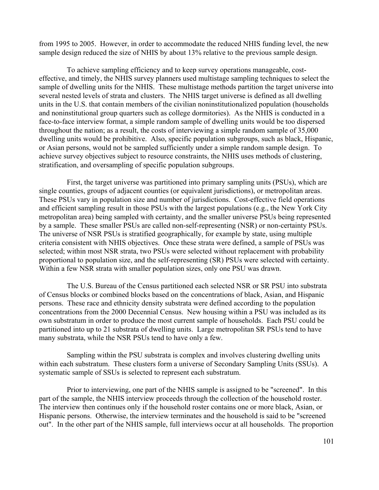from 1995 to 2005. However, in order to accommodate the reduced NHIS funding level, the new sample design reduced the size of NHIS by about 13% relative to the previous sample design.

To achieve sampling efficiency and to keep survey operations manageable, costeffective, and timely, the NHIS survey planners used multistage sampling techniques to select the sample of dwelling units for the NHIS. These multistage methods partition the target universe into several nested levels of strata and clusters. The NHIS target universe is defined as all dwelling units in the U.S. that contain members of the civilian noninstitutionalized population (households and noninstitutional group quarters such as college dormitories). As the NHIS is conducted in a face-to-face interview format, a simple random sample of dwelling units would be too dispersed throughout the nation; as a result, the costs of interviewing a simple random sample of 35,000 dwelling units would be prohibitive. Also, specific population subgroups, such as black, Hispanic, or Asian persons, would not be sampled sufficiently under a simple random sample design. To achieve survey objectives subject to resource constraints, the NHIS uses methods of clustering, stratification, and oversampling of specific population subgroups.

First, the target universe was partitioned into primary sampling units (PSUs), which are single counties, groups of adjacent counties (or equivalent jurisdictions), or metropolitan areas. These PSUs vary in population size and number of jurisdictions. Cost-effective field operations and efficient sampling result in those PSUs with the largest populations (e.g., the New York City metropolitan area) being sampled with certainty, and the smaller universe PSUs being represented by a sample. These smaller PSUs are called non-self-representing (NSR) or non-certainty PSUs. The universe of NSR PSUs is stratified geographically, for example by state, using multiple criteria consistent with NHIS objectives. Once these strata were defined, a sample of PSUs was selected; within most NSR strata, two PSUs were selected without replacement with probability proportional to population size, and the self-representing (SR) PSUs were selected with certainty. Within a few NSR strata with smaller population sizes, only one PSU was drawn.

The U.S. Bureau of the Census partitioned each selected NSR or SR PSU into substrata of Census blocks or combined blocks based on the concentrations of black, Asian, and Hispanic persons. These race and ethnicity density substrata were defined according to the population concentrations from the 2000 Decennial Census. New housing within a PSU was included as its own substratum in order to produce the most current sample of households. Each PSU could be partitioned into up to 21 substrata of dwelling units. Large metropolitan SR PSUs tend to have many substrata, while the NSR PSUs tend to have only a few.

Sampling within the PSU substrata is complex and involves clustering dwelling units within each substratum. These clusters form a universe of Secondary Sampling Units (SSUs). A systematic sample of SSUs is selected to represent each substratum.

Prior to interviewing, one part of the NHIS sample is assigned to be "screened". In this part of the sample, the NHIS interview proceeds through the collection of the household roster. The interview then continues only if the household roster contains one or more black, Asian, or Hispanic persons. Otherwise, the interview terminates and the household is said to be "screened out". In the other part of the NHIS sample, full interviews occur at all households. The proportion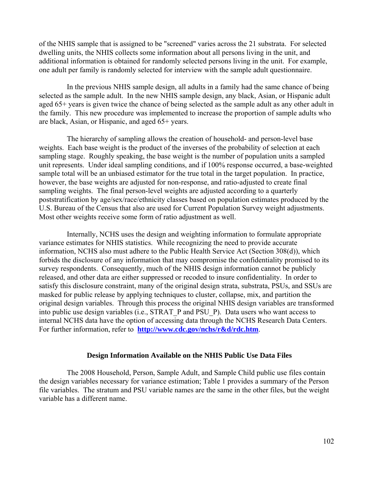of the NHIS sample that is assigned to be "screened" varies across the 21 substrata. For selected dwelling units, the NHIS collects some information about all persons living in the unit, and additional information is obtained for randomly selected persons living in the unit. For example, one adult per family is randomly selected for interview with the sample adult questionnaire.

In the previous NHIS sample design, all adults in a family had the same chance of being selected as the sample adult. In the new NHIS sample design, any black, Asian, or Hispanic adult aged 65+ years is given twice the chance of being selected as the sample adult as any other adult in the family. This new procedure was implemented to increase the proportion of sample adults who are black, Asian, or Hispanic, and aged 65+ years.

The hierarchy of sampling allows the creation of household- and person-level base weights. Each base weight is the product of the inverses of the probability of selection at each sampling stage. Roughly speaking, the base weight is the number of population units a sampled unit represents. Under ideal sampling conditions, and if 100% response occurred, a base-weighted sample total will be an unbiased estimator for the true total in the target population. In practice, however, the base weights are adjusted for non-response, and ratio-adjusted to create final sampling weights. The final person-level weights are adjusted according to a quarterly poststratification by age/sex/race/ethnicity classes based on population estimates produced by the U.S. Bureau of the Census that also are used for Current Population Survey weight adjustments. Most other weights receive some form of ratio adjustment as well.

Internally, NCHS uses the design and weighting information to formulate appropriate variance estimates for NHIS statistics. While recognizing the need to provide accurate information, NCHS also must adhere to the Public Health Service Act (Section 308(d)), which forbids the disclosure of any information that may compromise the confidentiality promised to its survey respondents. Consequently, much of the NHIS design information cannot be publicly released, and other data are either suppressed or recoded to insure confidentiality. In order to satisfy this disclosure constraint, many of the original design strata, substrata, PSUs, and SSUs are masked for public release by applying techniques to cluster, collapse, mix, and partition the original design variables. Through this process the original NHIS design variables are transformed into public use design variables (i.e., STRAT\_P and PSU\_P). Data users who want access to internal NCHS data have the option of accessing data through the NCHS Research Data Centers. For further information, refer to **<http://www.cdc.gov/nchs/r&d/rdc.htm>**.

# **Design Information Available on the NHIS Public Use Data Files**

The 2008 Household, Person, Sample Adult, and Sample Child public use files contain the design variables necessary for variance estimation; Table 1 provides a summary of the Person file variables. The stratum and PSU variable names are the same in the other files, but the weight variable has a different name.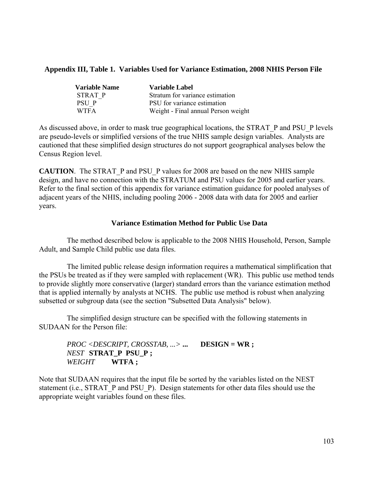# **Appendix III, Table 1. Variables Used for Variance Estimation, 2008 NHIS Person File**

| <b>Variable Name</b> | Variable Label                      |
|----------------------|-------------------------------------|
| STRAT P              | Stratum for variance estimation     |
| PSU P                | PSU for variance estimation         |
| <b>WTFA</b>          | Weight - Final annual Person weight |

As discussed above, in order to mask true geographical locations, the STRAT\_P and PSU\_P levels are pseudo-levels or simplified versions of the true NHIS sample design variables. Analysts are cautioned that these simplified design structures do not support geographical analyses below the Census Region level.

**CAUTION**. The STRAT\_P and PSU\_P values for 2008 are based on the new NHIS sample design, and have no connection with the STRATUM and PSU values for 2005 and earlier years. Refer to the final section of this appendix for variance estimation guidance for pooled analyses of adjacent years of the NHIS, including pooling 2006 - 2008 data with data for 2005 and earlier years.

# **Variance Estimation Method for Public Use Data**

The method described below is applicable to the 2008 NHIS Household, Person, Sample Adult, and Sample Child public use data files.

The limited public release design information requires a mathematical simplification that the PSUs be treated as if they were sampled with replacement (WR). This public use method tends to provide slightly more conservative (larger) standard errors than the variance estimation method that is applied internally by analysts at NCHS. The public use method is robust when analyzing subsetted or subgroup data (see the section "Subsetted Data Analysis" below).

The simplified design structure can be specified with the following statements in SUDAAN for the Person file:

# *PROC <DESCRIPT, CROSSTAB, ...>* **... DESIGN = WR ;**  *NEST* **STRAT\_P PSU\_P ;**  *WEIGHT* **WTFA ;**

Note that SUDAAN requires that the input file be sorted by the variables listed on the NEST statement (i.e., STRAT\_P and PSU\_P). Design statements for other data files should use the appropriate weight variables found on these files.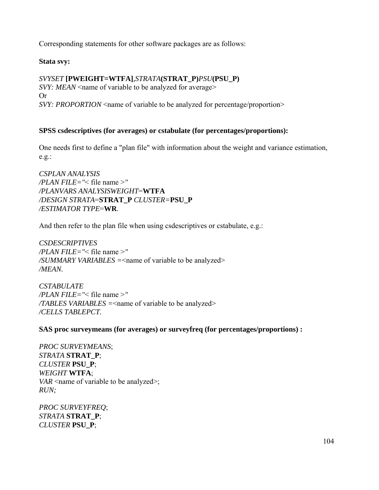Corresponding statements for other software packages are as follows:

# **Stata svy:**

# *SVYSET* **[PWEIGHT=WTFA]***,STRATA***(STRAT\_P)***PSU***(PSU\_P)**

*SVY: MEAN* <name of variable to be analyzed for average> Or *SVY: PROPORTION* <name of variable to be analyzed for percentage/proportion>

# **SPSS csdescriptives (for averages) or cstabulate (for percentages/proportions):**

One needs first to define a "plan file" with information about the weight and variance estimation, e.g.:

*CSPLAN ANALYSIS /PLAN FILE="*< file name >*" /PLANVARS ANALYSISWEIGHT*=**WTFA**  */DESIGN STRATA*=**STRAT\_P** *CLUSTER=***PSU\_P**  */ESTIMATOR TYPE*=**WR**.

And then refer to the plan file when using csdescriptives or cstabulate, e.g.:

*CSDESCRIPTIVES /PLAN FILE="*< file name >*" /SUMMARY VARIABLES =*<name of variable to be analyzed> */MEAN.* 

*CSTABULATE /PLAN FILE="*< file name >*" /TABLES VARIABLES =*<name of variable to be analyzed> */CELLS TABLEPCT.* 

**SAS proc surveymeans (for averages) or surveyfreq (for percentages/proportions) :** 

*PROC SURVEYMEANS*; *STRATA* **STRAT\_P**; *CLUSTER* **PSU\_P**; *WEIGHT* **WTFA**; *VAR*  $\le$ name of variable to be analyzed>; *RUN;* 

*PROC SURVEYFREQ*; *STRATA* **STRAT\_P**; *CLUSTER* **PSU\_P**;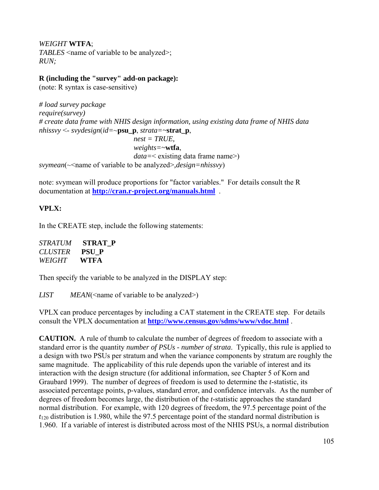*WEIGHT* **WTFA**; *TABLES* <name of variable to be analyzed>; *RUN;* 

# **R (including the "survey" add-on package):**

(note: R syntax is case-sensitive)

```
# load survey package 
require(survey)
# create data frame with NHIS design information, using existing data frame of NHIS data 
nhissvy <- svydesign(id=~psu_p, strata=~strat_p, 
                              nest = TRUE,
                              weights=~wtfa, 
                              data=< existing data frame name>) 
svymean(~<name of variable to be analyzed>,design=nhissvy)
```
note: svymean will produce proportions for "factor variables." For details consult the R documentation at **<http://cran.r-project.org/manuals.html>** .

# **VPLX:**

In the CREATE step, include the following statements:

| <i>STRATUM</i> | STRAT P      |
|----------------|--------------|
| <b>CLUSTER</b> | <b>PSU P</b> |
| WEIGHT         | <b>WTFA</b>  |

Then specify the variable to be analyzed in the DISPLAY step:

*LIST MEAN*(<name of variable to be analyzed>)

VPLX can produce percentages by including a CAT statement in the CREATE step. For details consult the VPLX documentation at **<http://www.census.gov/sdms/www/vdoc.html>** .

**CAUTION.** A rule of thumb to calculate the number of degrees of freedom to associate with a standard error is the quantity *number of PSUs - number of strata*. Typically, this rule is applied to a design with two PSUs per stratum and when the variance components by stratum are roughly the same magnitude. The applicability of this rule depends upon the variable of interest and its interaction with the design structure (for additional information, see Chapter 5 of Korn and Graubard 1999). The number of degrees of freedom is used to determine the *t*-statistic, its associated percentage points, p-values, standard error, and confidence intervals. As the number of degrees of freedom becomes large, the distribution of the *t*-statistic approaches the standard normal distribution. For example, with 120 degrees of freedom, the 97.5 percentage point of the  $t_{120}$  distribution is 1.980, while the 97.5 percentage point of the standard normal distribution is 1.960. If a variable of interest is distributed across most of the NHIS PSUs, a normal distribution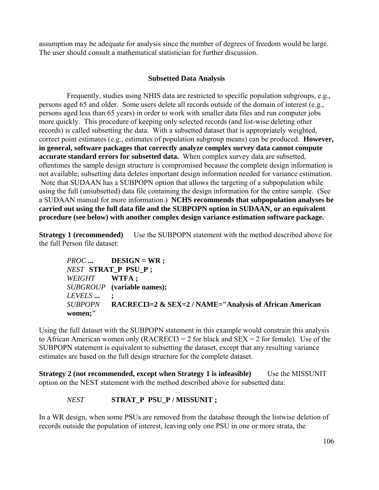assumption may be adequate for analysis since the number of degrees of freedom would be large. The user should consult a mathematical statistician for further discussion.

# **Subsetted Data Analysis**

Frequently, studies using NHIS data are restricted to specific population subgroups, e.g., persons aged 65 and older. Some users delete all records outside of the domain of interest (e.g., persons aged less than 65 years) in order to work with smaller data files and run computer jobs more quickly. This procedure of keeping only selected records (and list-wise deleting other records) is called subsetting the data. With a subsetted dataset that is appropriately weighted, correct point estimates (e.g., estimates of population subgroup means) can be produced. **However, in general, software packages that correctly analyze complex survey data cannot compute accurate standard errors for subsetted data.** When complex survey data are subsetted, oftentimes the sample design structure is compromised because the complete design information is not available; subsetting data deletes important design information needed for variance estimation. Note that SUDAAN has a SUBPOPN option that allows the targeting of a subpopulation while using the full (unsubsetted) data file containing the design information for the entire sample. (See a SUDAAN manual for more information.) **NCHS recommends that subpopulation analyses be carried out using the full data file and the SUBPOPN option in SUDAAN, or an equivalent procedure (see below) with another complex design variance estimation software package.** 

**Strategy 1 (recommended)** Use the SUBPOPN statement with the method described above for the full Person file dataset:

*PROC* **... DESIGN = WR ;**  *NEST* **STRAT\_P PSU\_P ;**  *WEIGHT* **WTFA ;**  *SUBGROUP* **(variable names);**  *LEVELS* **... ;**  *SUBPOPN* **RACRECI3=2 & SEX=2 / NAME="Analysis of African American women;"**

Using the full dataset with the SUBPOPN statement in this example would constrain this analysis to African American women only (RACRECI3 = 2 for black and  $SEX = 2$  for female). Use of the SUBPOPN statement is equivalent to subsetting the dataset, except that any resulting variance estimates are based on the full design structure for the complete dataset.

**Strategy 2 (not recommended, except when Strategy 1 is infeasible)** Use the MISSUNIT option on the NEST statement with the method described above for subsetted data:

#### **NEST** STRAT\_P PSU\_P / MISSUNIT ;

In a WR design, when some PSUs are removed from the database through the listwise deletion of records outside the population of interest, leaving only one PSU in one or more strata, the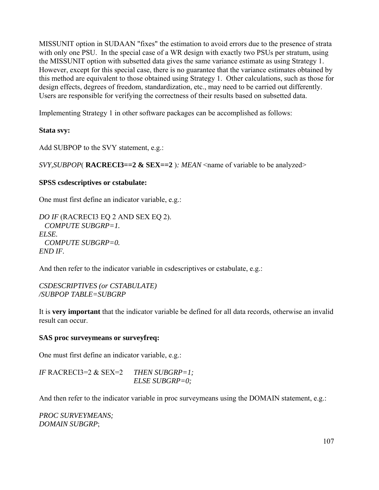MISSUNIT option in SUDAAN "fixes" the estimation to avoid errors due to the presence of strata with only one PSU. In the special case of a WR design with exactly two PSUs per stratum, using the MISSUNIT option with subsetted data gives the same variance estimate as using Strategy 1. However, except for this special case, there is no guarantee that the variance estimates obtained by this method are equivalent to those obtained using Strategy 1. Other calculations, such as those for design effects, degrees of freedom, standardization, etc., may need to be carried out differently. Users are responsible for verifying the correctness of their results based on subsetted data.

Implementing Strategy 1 in other software packages can be accomplished as follows:

# **Stata svy:**

Add SUBPOP to the SVY statement, e.g.:

 $SVT$ ,  $SUBPOP$  **RACRECI3==2 & SEX==2**)*: MEAN* <name of variable to be analyzed>

# **SPSS csdescriptives or cstabulate:**

One must first define an indicator variable, e.g.:

*DO IF* (RACRECI3 EQ 2 AND SEX EQ 2). *COMPUTE SUBGRP=1. ELSE. COMPUTE SUBGRP=0. END IF.* 

And then refer to the indicator variable in csdescriptives or cstabulate, e.g.:

*CSDESCRIPTIVES (or CSTABULATE) /SUBPOP TABLE=SUBGRP* 

It is **very important** that the indicator variable be defined for all data records, otherwise an invalid result can occur.

# **SAS proc surveymeans or surveyfreq:**

One must first define an indicator variable, e.g.:

*IF* RACRECI3=2 & SEX=2 *THEN SUBGRP=1; ELSE SUBGRP=0;* 

And then refer to the indicator variable in proc surveymeans using the DOMAIN statement, e.g.:

*PROC SURVEYMEANS; DOMAIN SUBGRP*;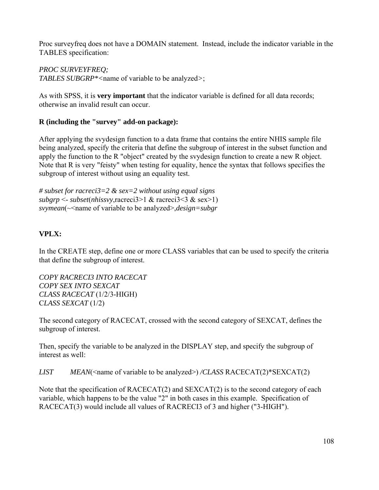Proc surveyfreq does not have a DOMAIN statement. Instead, include the indicator variable in the TABLES specification:

*PROC SURVEYFREQ; TABLES SUBGRP\*<*name of variable to be analyzed*>*;

As with SPSS, it is **very important** that the indicator variable is defined for all data records; otherwise an invalid result can occur.

# **R (including the "survey" add-on package):**

After applying the svydesign function to a data frame that contains the entire NHIS sample file being analyzed, specify the criteria that define the subgroup of interest in the subset function and apply the function to the R "object" created by the svydesign function to create a new R object. Note that R is very "feisty" when testing for equality, hence the syntax that follows specifies the subgroup of interest without using an equality test.

*# subset for racreci3=2 & sex=2 without using equal signs subgrp* <- *subset*(*nhissvy*,racreci3>1 & racreci3<3 & sex>1) *svymean*( $\sim$ name of variable to be analyzed>,*design=subgr* 

# **VPLX:**

In the CREATE step, define one or more CLASS variables that can be used to specify the criteria that define the subgroup of interest.

*COPY RACRECI3 INTO RACECAT COPY SEX INTO SEXCAT CLASS RACECAT* (1/2/3-HIGH) C*LASS SEXCAT* (1/2)

The second category of RACECAT, crossed with the second category of SEXCAT, defines the subgroup of interest.

Then, specify the variable to be analyzed in the DISPLAY step, and specify the subgroup of interest as well:

*LIST MEAN*(<name of variable to be analyzed>) */CLASS* RACECAT(2)\*SEXCAT(2)

Note that the specification of RACECAT(2) and SEXCAT(2) is to the second category of each variable, which happens to be the value "2" in both cases in this example. Specification of RACECAT(3) would include all values of RACRECI3 of 3 and higher ("3-HIGH").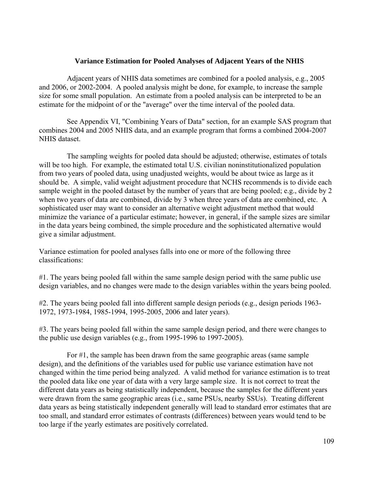#### **Variance Estimation for Pooled Analyses of Adjacent Years of the NHIS**

Adjacent years of NHIS data sometimes are combined for a pooled analysis, e.g., 2005 and 2006, or 2002-2004. A pooled analysis might be done, for example, to increase the sample size for some small population. An estimate from a pooled analysis can be interpreted to be an estimate for the midpoint of or the "average" over the time interval of the pooled data.

See Appendix VI, "Combining Years of Data" section, for an example SAS program that combines 2004 and 2005 NHIS data, and an example program that forms a combined 2004-2007 NHIS dataset.

The sampling weights for pooled data should be adjusted; otherwise, estimates of totals will be too high. For example, the estimated total U.S. civilian noninstitutionalized population from two years of pooled data, using unadjusted weights, would be about twice as large as it should be. A simple, valid weight adjustment procedure that NCHS recommends is to divide each sample weight in the pooled dataset by the number of years that are being pooled; e.g., divide by 2 when two years of data are combined, divide by 3 when three years of data are combined, etc. A sophisticated user may want to consider an alternative weight adjustment method that would minimize the variance of a particular estimate; however, in general, if the sample sizes are similar in the data years being combined, the simple procedure and the sophisticated alternative would give a similar adjustment.

Variance estimation for pooled analyses falls into one or more of the following three classifications:

#1. The years being pooled fall within the same sample design period with the same public use design variables, and no changes were made to the design variables within the years being pooled.

#2. The years being pooled fall into different sample design periods (e.g., design periods 1963 1972, 1973-1984, 1985-1994, 1995-2005, 2006 and later years).

#3. The years being pooled fall within the same sample design period, and there were changes to the public use design variables (e.g., from 1995-1996 to 1997-2005).

For #1, the sample has been drawn from the same geographic areas (same sample design), and the definitions of the variables used for public use variance estimation have not changed within the time period being analyzed. A valid method for variance estimation is to treat the pooled data like one year of data with a very large sample size. It is not correct to treat the different data years as being statistically independent, because the samples for the different years were drawn from the same geographic areas (i.e., same PSUs, nearby SSUs). Treating different data years as being statistically independent generally will lead to standard error estimates that are too small, and standard error estimates of contrasts (differences) between years would tend to be too large if the yearly estimates are positively correlated.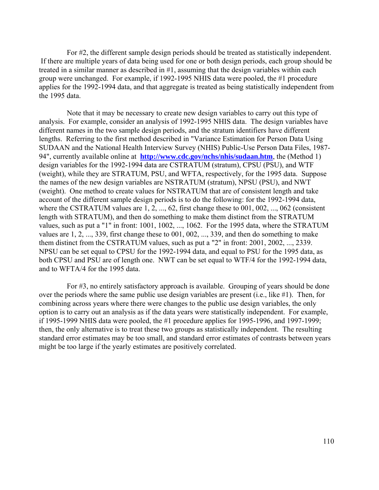For #2, the different sample design periods should be treated as statistically independent. If there are multiple years of data being used for one or both design periods, each group should be treated in a similar manner as described in #1, assuming that the design variables within each group were unchanged. For example, if 1992-1995 NHIS data were pooled, the #1 procedure applies for the 1992-1994 data, and that aggregate is treated as being statistically independent from the 1995 data.

 94", currently available online at **<http://www.cdc.gov/nchs/nhis/sudaan.htm>**, the (Method 1) Note that it may be necessary to create new design variables to carry out this type of analysis. For example, consider an analysis of 1992-1995 NHIS data. The design variables have different names in the two sample design periods, and the stratum identifiers have different lengths. Referring to the first method described in "Variance Estimation for Person Data Using SUDAAN and the National Health Interview Survey (NHIS) Public-Use Person Data Files, 1987 design variables for the 1992-1994 data are CSTRATUM (stratum), CPSU (PSU), and WTF (weight), while they are STRATUM, PSU, and WFTA, respectively, for the 1995 data. Suppose the names of the new design variables are NSTRATUM (stratum), NPSU (PSU), and NWT (weight). One method to create values for NSTRATUM that are of consistent length and take account of the different sample design periods is to do the following: for the 1992-1994 data, where the CSTRATUM values are  $1, 2, ..., 62$ , first change these to 001, 002, ..., 062 (consistent length with STRATUM), and then do something to make them distinct from the STRATUM values, such as put a "1" in front: 1001, 1002, ..., 1062. For the 1995 data, where the STRATUM values are 1, 2, ..., 339, first change these to 001, 002, ..., 339, and then do something to make them distinct from the CSTRATUM values, such as put a "2" in front: 2001, 2002, ..., 2339. NPSU can be set equal to CPSU for the 1992-1994 data, and equal to PSU for the 1995 data, as both CPSU and PSU are of length one. NWT can be set equal to WTF/4 for the 1992-1994 data, and to WFTA/4 for the 1995 data.

For #3, no entirely satisfactory approach is available. Grouping of years should be done over the periods where the same public use design variables are present (i.e., like #1). Then, for combining across years where there were changes to the public use design variables, the only option is to carry out an analysis as if the data years were statistically independent. For example, if 1995-1999 NHIS data were pooled, the #1 procedure applies for 1995-1996, and 1997-1999; then, the only alternative is to treat these two groups as statistically independent. The resulting standard error estimates may be too small, and standard error estimates of contrasts between years might be too large if the yearly estimates are positively correlated.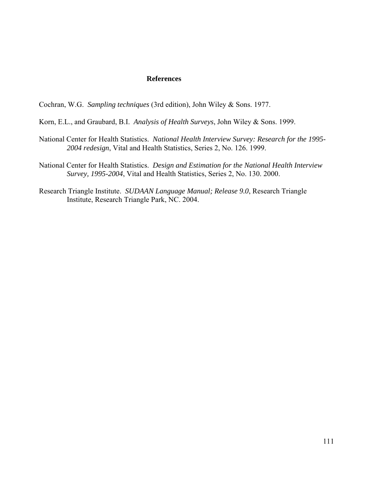#### **References**

Cochran, W.G. *Sampling techniques* (3rd edition), John Wiley & Sons. 1977.

- Korn, E.L., and Graubard, B.I. *Analysis of Health Surveys*, John Wiley & Sons. 1999.
- National Center for Health Statistics. *National Health Interview Survey: Research for the 1995- 2004 redesign*, Vital and Health Statistics, Series 2, No. 126. 1999.
- National Center for Health Statistics. *Design and Estimation for the National Health Interview Survey, 1995-2004*, Vital and Health Statistics, Series 2, No. 130. 2000.
- Research Triangle Institute. *SUDAAN Language Manual; Release 9.0*, Research Triangle Institute, Research Triangle Park, NC. 2004.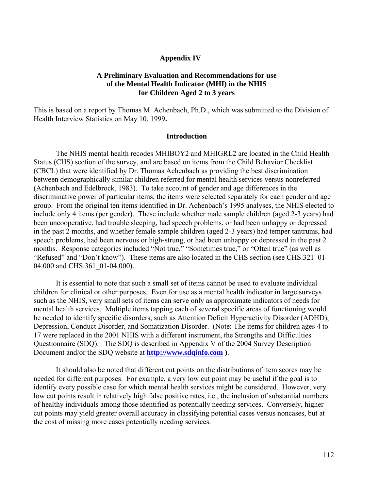#### **Appendix IV**

#### **A Preliminary Evaluation and Recommendations for use of the Mental Health Indicator (MHI) in the NHIS for Children Aged 2 to 3 years**

This is based on a report by Thomas M. Achenbach, Ph.D., which was submitted to the Division of Health Interview Statistics on May 10, 1999**.** 

#### **Introduction**

The NHIS mental health recodes MHIBOY2 and MHIGRL2 are located in the Child Health Status (CHS) section of the survey, and are based on items from the Child Behavior Checklist (CBCL) that were identified by Dr. Thomas Achenbach as providing the best discrimination between demographically similar children referred for mental health services versus nonreferred (Achenbach and Edelbrock, 1983). To take account of gender and age differences in the discriminative power of particular items, the items were selected separately for each gender and age group. From the original ten items identified in Dr. Achenbach's 1995 analyses, the NHIS elected to include only 4 items (per gender). These include whether male sample children (aged 2-3 years) had been uncooperative, had trouble sleeping, had speech problems, or had been unhappy or depressed in the past 2 months, and whether female sample children (aged 2-3 years) had temper tantrums, had speech problems, had been nervous or high-strung, or had been unhappy or depressed in the past 2 months. Response categories included "Not true," "Sometimes true," or "Often true" (as well as "Refused" and "Don't know"). These items are also located in the CHS section (see CHS.321\_01-04.000 and CHS.361 01-04.000).

It is essential to note that such a small set of items cannot be used to evaluate individual children for clinical or other purposes. Even for use as a mental health indicator in large surveys such as the NHIS, very small sets of items can serve only as approximate indicators of needs for mental health services. Multiple items tapping each of several specific areas of functioning would be needed to identify specific disorders, such as Attention Deficit Hyperactivity Disorder (ADHD), Depression, Conduct Disorder, and Somatization Disorder. (Note: The items for children ages 4 to 17 were replaced in the 2001 NHIS with a different instrument, the Strengths and Difficulties Questionnaire (SDQ). The SDQ is described in Appendix V of the 2004 Survey Description Document and/or the SDQ website at **[http://www.sdqinfo.com \)](http://www.sdqinfo.com)**.

It should also be noted that different cut points on the distributions of item scores may be needed for different purposes. For example, a very low cut point may be useful if the goal is to identify every possible case for which mental health services might be considered. However, very low cut points result in relatively high false positive rates, i.e., the inclusion of substantial numbers of healthy individuals among those identified as potentially needing services. Conversely, higher cut points may yield greater overall accuracy in classifying potential cases versus noncases, but at the cost of missing more cases potentially needing services.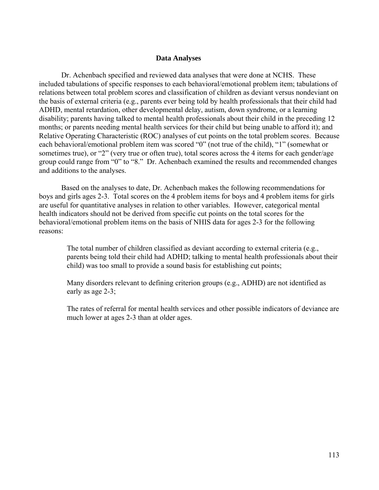#### **Data Analyses**

Dr. Achenbach specified and reviewed data analyses that were done at NCHS. These included tabulations of specific responses to each behavioral/emotional problem item; tabulations of relations between total problem scores and classification of children as deviant versus nondeviant on the basis of external criteria (e.g., parents ever being told by health professionals that their child had ADHD, mental retardation, other developmental delay, autism, down syndrome, or a learning disability; parents having talked to mental health professionals about their child in the preceding 12 months; or parents needing mental health services for their child but being unable to afford it); and Relative Operating Characteristic (ROC) analyses of cut points on the total problem scores. Because each behavioral/emotional problem item was scored "0" (not true of the child), "1" (somewhat or sometimes true), or "2" (very true or often true), total scores across the 4 items for each gender/age group could range from "0" to "8." Dr. Achenbach examined the results and recommended changes and additions to the analyses.

Based on the analyses to date, Dr. Achenbach makes the following recommendations for boys and girls ages 2-3. Total scores on the 4 problem items for boys and 4 problem items for girls are useful for quantitative analyses in relation to other variables. However, categorical mental health indicators should not be derived from specific cut points on the total scores for the behavioral/emotional problem items on the basis of NHIS data for ages 2-3 for the following reasons:

The total number of children classified as deviant according to external criteria (e.g., parents being told their child had ADHD; talking to mental health professionals about their child) was too small to provide a sound basis for establishing cut points;

Many disorders relevant to defining criterion groups (e.g., ADHD) are not identified as early as age 2-3;

The rates of referral for mental health services and other possible indicators of deviance are much lower at ages 2-3 than at older ages.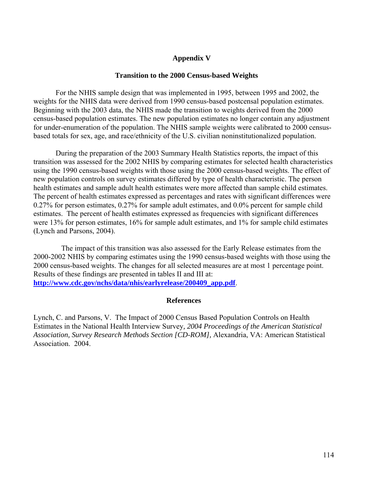#### **Appendix V**

#### **Transition to the 2000 Census-based Weights**

For the NHIS sample design that was implemented in 1995, between 1995 and 2002, the weights for the NHIS data were derived from 1990 census-based postcensal population estimates. Beginning with the 2003 data, the NHIS made the transition to weights derived from the 2000 census-based population estimates. The new population estimates no longer contain any adjustment for under-enumeration of the population. The NHIS sample weights were calibrated to 2000 censusbased totals for sex, age, and race/ethnicity of the U.S. civilian noninstitutionalized population.

During the preparation of the 2003 Summary Health Statistics reports, the impact of this transition was assessed for the 2002 NHIS by comparing estimates for selected health characteristics using the 1990 census-based weights with those using the 2000 census-based weights. The effect of new population controls on survey estimates differed by type of health characteristic. The person health estimates and sample adult health estimates were more affected than sample child estimates. The percent of health estimates expressed as percentages and rates with significant differences were 0.27% for person estimates, 0.27% for sample adult estimates, and 0.0% percent for sample child estimates. The percent of health estimates expressed as frequencies with significant differences were 13% for person estimates, 16% for sample adult estimates, and 1% for sample child estimates (Lynch and Parsons, 2004).

The impact of this transition was also assessed for the Early Release estimates from the 2000-2002 NHIS by comparing estimates using the 1990 census-based weights with those using the 2000 census-based weights. The changes for all selected measures are at most 1 percentage point. Results of these findings are presented in tables II and III at: **[http://www.cdc.gov/nchs/data/nhis/earlyrelease/200409\\_app.pdf](http://www.cdc.gov/nchs/data/nhis/earlyrelease/200409_app.pdf)**.

#### **References**

Lynch, C. and Parsons, V. The Impact of 2000 Census Based Population Controls on Health Estimates in the National Health Interview Survey*, 2004 Proceedings of the American Statistical Association, Survey Research Methods Section [CD-ROM],* Alexandria, VA: American Statistical Association. 2004.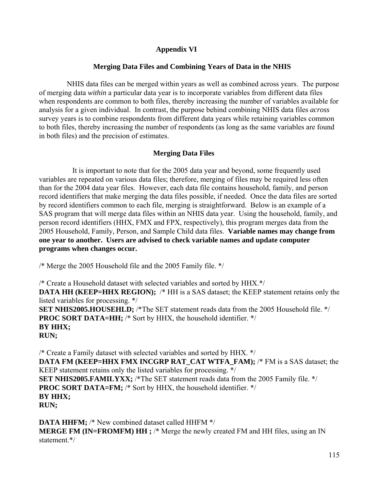## **Appendix VI**

## **Merging Data Files and Combining Years of Data in the NHIS**

NHIS data files can be merged within years as well as combined across years. The purpose of merging data *within* a particular data year is to incorporate variables from different data files when respondents are common to both files, thereby increasing the number of variables available for analysis for a given individual. In contrast, the purpose behind combining NHIS data files *across*  survey years is to combine respondents from different data years while retaining variables common to both files, thereby increasing the number of respondents (as long as the same variables are found in both files) and the precision of estimates.

## **Merging Data Files**

 It is important to note that for the 2005 data year and beyond, some frequently used variables are repeated on various data files; therefore, merging of files may be required less often than for the 2004 data year files. However, each data file contains household, family, and person record identifiers that make merging the data files possible, if needed. Once the data files are sorted by record identifiers common to each file, merging is straightforward. Below is an example of a SAS program that will merge data files within an NHIS data year. Using the household, family, and person record identifiers (HHX, FMX and FPX, respectively), this program merges data from the 2005 Household, Family, Person, and Sample Child data files. **Variable names may change from one year to another. Users are advised to check variable names and update computer programs when changes occur.** 

/\* Merge the 2005 Household file and the 2005 Family file. \*/

/\* Create a Household dataset with selected variables and sorted by HHX.\*/ **DATA HH (KEEP=HHX REGION);** /\* HH is a SAS dataset; the KEEP statement retains only the listed variables for processing. \*/ **SET NHIS2005.HOUSEHLD;** /\*The SET statement reads data from the 2005 Household file. \*/ **PROC SORT DATA=HH;** /\* Sort by HHX, the household identifier. \*/ **BY HHX; RUN;** 

/\* Create a Family dataset with selected variables and sorted by HHX. \*/ **DATA FM (KEEP=HHX FMX INCGRP RAT\_CAT WTFA\_FAM);** /\* FM is a SAS dataset; the KEEP statement retains only the listed variables for processing. \*/ **SET NHIS2005.FAMILYXX;** /\*The SET statement reads data from the 2005 Family file. \*/ **PROC SORT DATA=FM;** /\* Sort by HHX, the household identifier. \*/ **BY HHX; RUN;**

**DATA HHFM;** /\* New combined dataset called HHFM \*/ **MERGE FM (IN=FROMFM) HH ;** /\* Merge the newly created FM and HH files, using an IN statement.\*/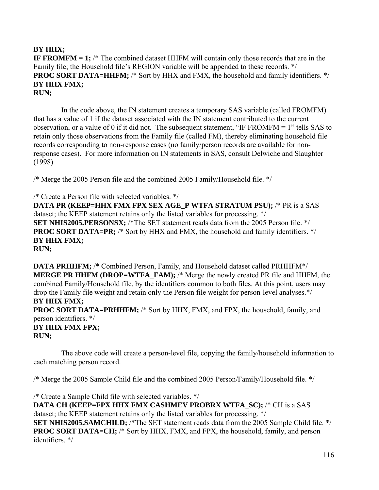## **BY HHX;**

**IF FROMFM = 1;** /\* The combined dataset HHFM will contain only those records that are in the Family file; the Household file's REGION variable will be appended to these records. \*/ **PROC SORT DATA=HHFM;** /\* Sort by HHX and FMX, the household and family identifiers. \*/ **BY HHX FMX; RUN;**

In the code above, the IN statement creates a temporary SAS variable (called FROMFM) that has a value of 1 if the dataset associated with the IN statement contributed to the current observation, or a value of 0 if it did not. The subsequent statement, "IF FROMFM = 1" tells SAS to retain only those observations from the Family file (called FM), thereby eliminating household file records corresponding to non-response cases (no family/person records are available for nonresponse cases). For more information on IN statements in SAS, consult Delwiche and Slaughter (1998).

/\* Merge the 2005 Person file and the combined 2005 Family/Household file. \*/

/\* Create a Person file with selected variables. \*/ **DATA PR (KEEP=HHX FMX FPX SEX AGE\_P WTFA STRATUM PSU);** /\* PR is a SAS dataset; the KEEP statement retains only the listed variables for processing. \*/ **SET NHIS2005.PERSONSX;** /\*The SET statement reads data from the 2005 Person file. \*/ **PROC SORT DATA=PR;** /\* Sort by HHX and FMX, the household and family identifiers. \*/ **BY HHX FMX; RUN;**

**DATA PRHHFM;** /\* Combined Person, Family, and Household dataset called PRHHFM\*/ **MERGE PR HHFM (DROP=WTFA\_FAM);** /\* Merge the newly created PR file and HHFM, the combined Family/Household file, by the identifiers common to both files. At this point, users may drop the Family file weight and retain only the Person file weight for person-level analyses.\*/ **BY HHX FMX;** 

**PROC SORT DATA=PRHHFM;** /\* Sort by HHX, FMX, and FPX, the household, family, and person identifiers. \*/ **BY HHX FMX FPX;** 

**RUN;** 

The above code will create a person-level file, copying the family/household information to each matching person record.

/\* Merge the 2005 Sample Child file and the combined 2005 Person/Family/Household file. \*/

/\* Create a Sample Child file with selected variables. \*/ **DATA CH (KEEP=FPX HHX FMX CASHMEV PROBRX WTFA\_SC);** /\* CH is a SAS dataset; the KEEP statement retains only the listed variables for processing. \*/ **SET NHIS2005.SAMCHILD;** /\*The SET statement reads data from the 2005 Sample Child file. \*/ **PROC SORT DATA=CH;** /\* Sort by HHX, FMX, and FPX, the household, family, and person identifiers. \*/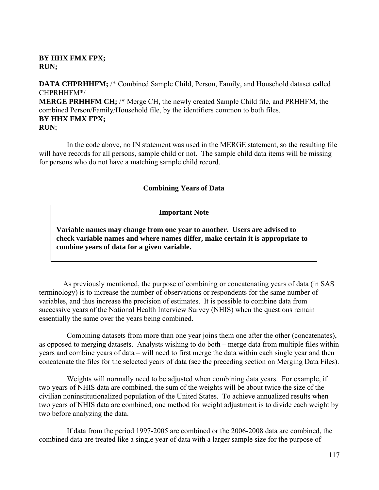#### **BY HHX FMX FPX; RUN;**

**DATA CHPRHHFM;** /\* Combined Sample Child, Person, Family, and Household dataset called CHPRHHFM\*/ **MERGE PRHHFM CH;** /\* Merge CH, the newly created Sample Child file, and PRHHFM, the

combined Person/Family/Household file, by the identifiers common to both files. **BY HHX FMX FPX; RUN**;

In the code above, no IN statement was used in the MERGE statement, so the resulting file will have records for all persons, sample child or not. The sample child data items will be missing for persons who do not have a matching sample child record.

#### **Combining Years of Data**

#### **Important Note**

**Variable names may change from one year to another. Users are advised to check variable names and where names differ, make certain it is appropriate to combine years of data for a given variable.** 

 As previously mentioned, the purpose of combining or concatenating years of data (in SAS terminology) is to increase the number of observations or respondents for the same number of variables, and thus increase the precision of estimates. It is possible to combine data from successive years of the National Health Interview Survey (NHIS) when the questions remain essentially the same over the years being combined.

Combining datasets from more than one year joins them one after the other (concatenates), as opposed to merging datasets. Analysts wishing to do both – merge data from multiple files within years and combine years of data – will need to first merge the data within each single year and then concatenate the files for the selected years of data (see the preceding section on Merging Data Files).

Weights will normally need to be adjusted when combining data years. For example, if two years of NHIS data are combined, the sum of the weights will be about twice the size of the civilian noninstitutionalized population of the United States. To achieve annualized results when two years of NHIS data are combined, one method for weight adjustment is to divide each weight by two before analyzing the data.

If data from the period 1997-2005 are combined or the 2006-2008 data are combined, the combined data are treated like a single year of data with a larger sample size for the purpose of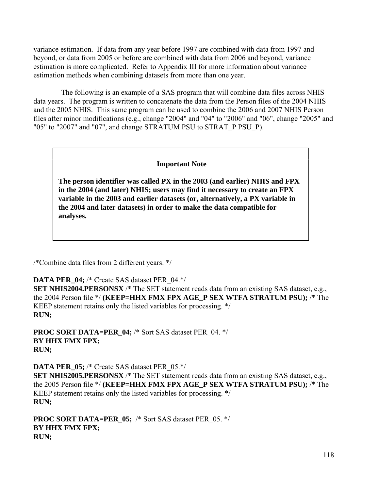variance estimation. If data from any year before 1997 are combined with data from 1997 and beyond, or data from 2005 or before are combined with data from 2006 and beyond, variance estimation is more complicated. Refer to Appendix III for more information about variance estimation methods when combining datasets from more than one year.

The following is an example of a SAS program that will combine data files across NHIS data years. The program is written to concatenate the data from the Person files of the 2004 NHIS and the 2005 NHIS. This same program can be used to combine the 2006 and 2007 NHIS Person files after minor modifications (e.g., change "2004" and "04" to "2006" and "06", change "2005" and "05" to "2007" and "07", and change STRATUM PSU to STRAT\_P PSU\_P).

#### **Important Note**

**The person identifier was called PX in the 2003 (and earlier) NHIS and FPX in the 2004 (and later) NHIS; users may find it necessary to create an FPX variable in the 2003 and earlier datasets (or, alternatively, a PX variable in the 2004 and later datasets) in order to make the data compatible for analyses.** 

/\*Combine data files from 2 different years. \*/

**DATA PER\_04;** /\* Create SAS dataset PER\_04.\*/

**SET NHIS2004.PERSONSX** /\* The SET statement reads data from an existing SAS dataset, e.g., the 2004 Person file \*/ **(KEEP=HHX FMX FPX AGE\_P SEX WTFA STRATUM PSU);** /\* The KEEP statement retains only the listed variables for processing. \*/ **RUN;**

**PROC SORT DATA=PER\_04; /\* Sort SAS dataset PER 04. \*/ BY HHX FMX FPX; RUN;**

**DATA PER\_05;** /\* Create SAS dataset PER\_05.\*/ **SET NHIS2005.PERSONSX** /\* The SET statement reads data from an existing SAS dataset, e.g., the 2005 Person file \*/ **(KEEP=HHX FMX FPX AGE\_P SEX WTFA STRATUM PSU);** /\* The KEEP statement retains only the listed variables for processing. \*/ **RUN;**

**PROC SORT DATA=PER\_05;** /\* Sort SAS dataset PER\_05. \*/ **BY HHX FMX FPX; RUN;**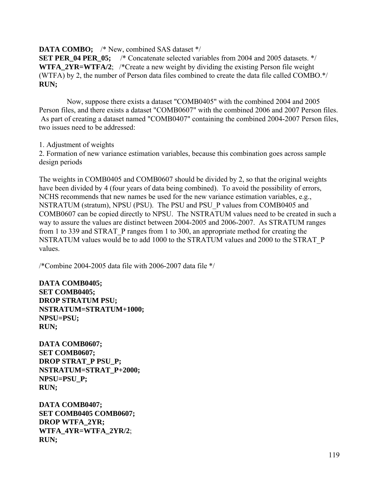#### **DATA COMBO;** /\* New, combined SAS dataset \*/

**SET PER\_04 PER\_05;** /\* Concatenate selected variables from 2004 and 2005 datasets. \*/ **WTFA 2YR=WTFA/2**; /\*Create a new weight by dividing the existing Person file weight (WTFA) by 2, the number of Person data files combined to create the data file called COMBO.\*/ **RUN;** 

Now, suppose there exists a dataset "COMB0405" with the combined 2004 and 2005 Person files, and there exists a dataset "COMB0607" with the combined 2006 and 2007 Person files. As part of creating a dataset named "COMB0407" containing the combined 2004-2007 Person files, two issues need to be addressed:

#### 1. Adjustment of weights

2. Formation of new variance estimation variables, because this combination goes across sample design periods

The weights in COMB0405 and COMB0607 should be divided by 2, so that the original weights have been divided by 4 (four years of data being combined). To avoid the possibility of errors, NCHS recommends that new names be used for the new variance estimation variables, e.g., NSTRATUM (stratum), NPSU (PSU). The PSU and PSU\_P values from COMB0405 and COMB0607 can be copied directly to NPSU. The NSTRATUM values need to be created in such a way to assure the values are distinct between 2004-2005 and 2006-2007. As STRATUM ranges from 1 to 339 and STRAT\_P ranges from 1 to 300, an appropriate method for creating the NSTRATUM values would be to add 1000 to the STRATUM values and 2000 to the STRAT\_P values.

/\*Combine 2004-2005 data file with 2006-2007 data file \*/

**DATA COMB0405; SET COMB0405; DROP STRATUM PSU; NSTRATUM=STRATUM+1000; NPSU=PSU; RUN;**

**DATA COMB0607; SET COMB0607; DROP STRAT\_P PSU\_P; NSTRATUM=STRAT\_P+2000; NPSU=PSU\_P; RUN;** 

**DATA COMB0407; SET COMB0405 COMB0607; DROP WTFA\_2YR; WTFA\_4YR=WTFA\_2YR/2**; **RUN;**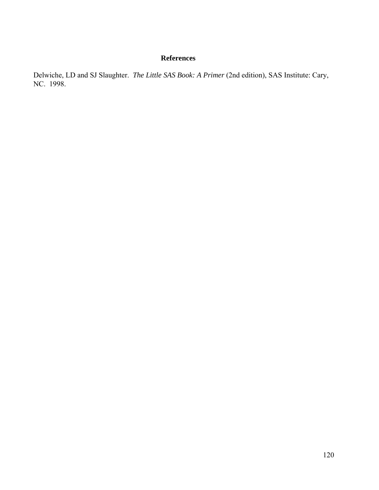## **References**

Delwiche, LD and SJ Slaughter. *The Little SAS Book: A Primer* (2nd edition), SAS Institute: Cary, NC. 1998.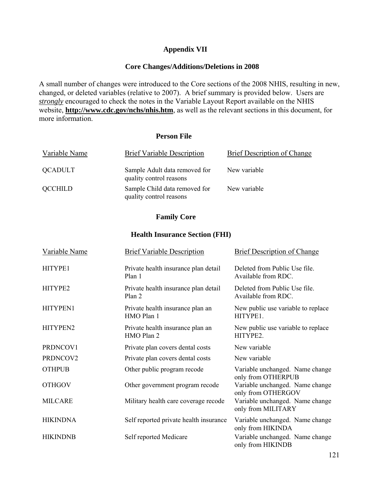## **Appendix VII**

### **Core Changes/Additions/Deletions in 2008**

A small number of changes were introduced to the Core sections of the 2008 NHIS, resulting in new, changed, or deleted variables (relative to 2007). A brief summary is provided below. Users are *strongly* encouraged to check the notes in the Variable Layout Report available on the NHIS website, **<http://www.cdc.gov/nchs/nhis.htm>**, as well as the relevant sections in this document, for more information.

#### **Person File**

| Variable Name  | <b>Brief Variable Description</b>                        | Brief Description of Change |
|----------------|----------------------------------------------------------|-----------------------------|
| QCADULT        | Sample Adult data removed for<br>quality control reasons | New variable                |
| <b>QCCHILD</b> | Sample Child data removed for<br>quality control reasons | New variable                |

### **Family Core**

#### **Health Insurance Section (FHI)**

| Variable Name   | <b>Brief Variable Description</b>              | <b>Brief Description of Change</b>                    |  |
|-----------------|------------------------------------------------|-------------------------------------------------------|--|
| HITYPE1         | Private health insurance plan detail<br>Plan 1 | Deleted from Public Use file.<br>Available from RDC.  |  |
| HITYPE2         | Private health insurance plan detail<br>Plan 2 | Deleted from Public Use file.<br>Available from RDC.  |  |
| HITYPEN1        | Private health insurance plan an<br>HMO Plan 1 | New public use variable to replace<br>HITYPE1.        |  |
| HITYPEN2        | Private health insurance plan an<br>HMO Plan 2 | New public use variable to replace<br>HITYPE2.        |  |
| PRDNCOV1        | Private plan covers dental costs               | New variable                                          |  |
| PRDNCOV2        | Private plan covers dental costs               | New variable                                          |  |
| <b>OTHPUB</b>   | Other public program recode                    | Variable unchanged. Name change<br>only from OTHERPUB |  |
| <b>OTHGOV</b>   | Other government program recode                | Variable unchanged. Name change<br>only from OTHERGOV |  |
| <b>MILCARE</b>  | Military health care coverage recode           | Variable unchanged. Name change<br>only from MILITARY |  |
| <b>HIKINDNA</b> | Self reported private health insurance         | Variable unchanged. Name change<br>only from HIKINDA  |  |
| <b>HIKINDNB</b> | Self reported Medicare                         | Variable unchanged. Name change<br>only from HIKINDB  |  |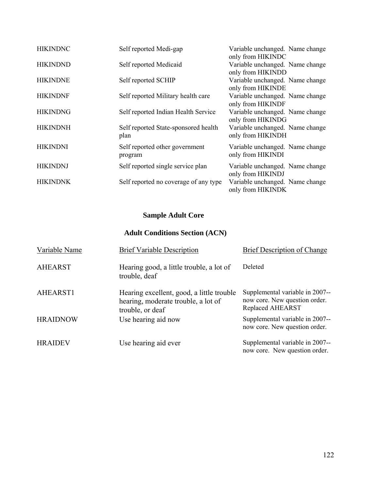| <b>HIKINDNC</b> | Self reported Medi-gap                       | Variable unchanged. Name change<br>only from HIKINDC |
|-----------------|----------------------------------------------|------------------------------------------------------|
| <b>HIKINDND</b> | Self reported Medicaid                       | Variable unchanged. Name change<br>only from HIKINDD |
| <b>HIKINDNE</b> | Self reported SCHIP                          | Variable unchanged. Name change<br>only from HIKINDE |
| <b>HIKINDNF</b> | Self reported Military health care           | Variable unchanged. Name change<br>only from HIKINDF |
| <b>HIKINDNG</b> | Self reported Indian Health Service          | Variable unchanged. Name change<br>only from HIKINDG |
| <b>HIKINDNH</b> | Self reported State-sponsored health<br>plan | Variable unchanged. Name change<br>only from HIKINDH |
| <b>HIKINDNI</b> | Self reported other government<br>program    | Variable unchanged. Name change<br>only from HIKINDI |
| <b>HIKINDNJ</b> | Self reported single service plan            | Variable unchanged. Name change<br>only from HIKINDJ |
| <b>HIKINDNK</b> | Self reported no coverage of any type        | Variable unchanged. Name change<br>only from HIKINDK |

## **Sample Adult Core**

## **Adult Conditions Section (ACN)**

| Variable Name   | <b>Brief Variable Description</b>                                                                    | <b>Brief Description of Change</b>                                                          |
|-----------------|------------------------------------------------------------------------------------------------------|---------------------------------------------------------------------------------------------|
| <b>AHEARST</b>  | Hearing good, a little trouble, a lot of<br>trouble, deaf                                            | Deleted                                                                                     |
| AHEARST1        | Hearing excellent, good, a little trouble<br>hearing, moderate trouble, a lot of<br>trouble, or deaf | Supplemental variable in 2007--<br>now core. New question order.<br><b>Replaced AHEARST</b> |
| <b>HRAIDNOW</b> | Use hearing aid now                                                                                  | Supplemental variable in 2007--<br>now core. New question order.                            |
| <b>HRAIDEV</b>  | Use hearing aid ever                                                                                 | Supplemental variable in 2007--<br>now core. New question order.                            |